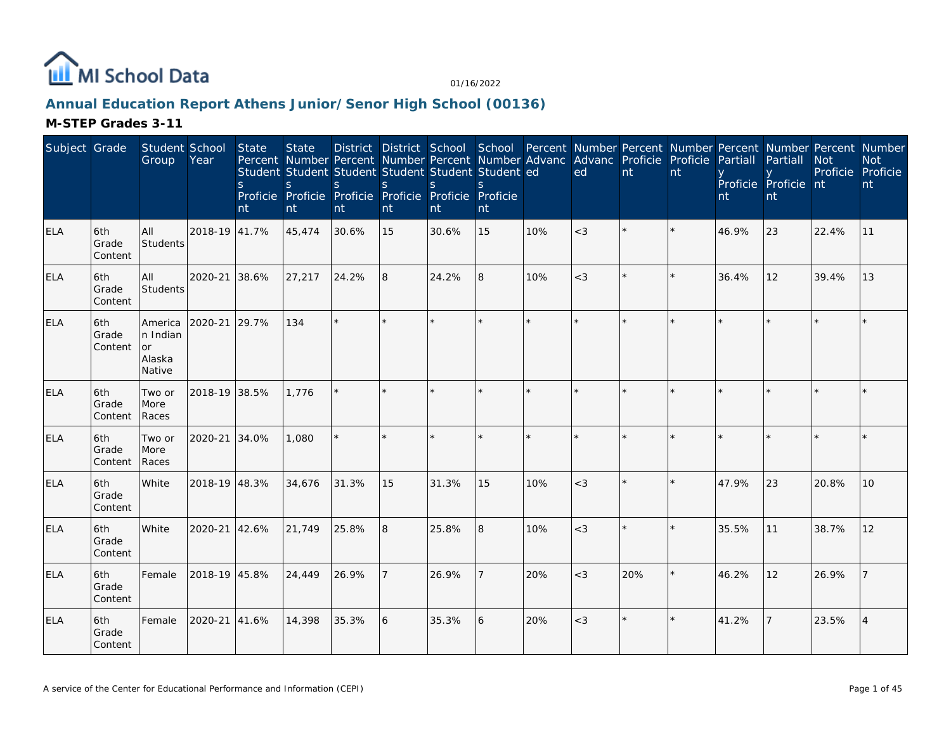

# **Annual Education Report Athens Junior/Senor High School (00136)**

| Subject Grade |                         | Student School<br>Group                              | Year          | <b>State</b><br><sub>S</sub><br>nt | <b>State</b><br>S<br>nt | S.<br>nt | S<br>nt | Student Student Student Student Student Student ed<br><sub>S</sub><br>Proficie Proficie Proficie Proficie Proficie Proficie<br>nt | S.<br>nt |         | District District School School Percent Number Percent Number Percent Number Percent Number<br>Percent Number Percent Number Percent Number Advanc Advanc Proficie Proficie<br>ed | $\overline{nt}$ | nt | Partiall<br>nt | Partiall<br>Proficie Proficie nt<br>nt | <b>Not</b><br>Proficie Proficie | <b>Not</b><br>nt |
|---------------|-------------------------|------------------------------------------------------|---------------|------------------------------------|-------------------------|----------|---------|-----------------------------------------------------------------------------------------------------------------------------------|----------|---------|-----------------------------------------------------------------------------------------------------------------------------------------------------------------------------------|-----------------|----|----------------|----------------------------------------|---------------------------------|------------------|
| <b>ELA</b>    | 6th<br>Grade<br>Content | All<br><b>Students</b>                               | 2018-19 41.7% |                                    | 45,474                  | 30.6%    | 15      | 30.6%                                                                                                                             | 15       | 10%     | $<$ 3                                                                                                                                                                             |                 |    | 46.9%          | 23                                     | 22.4%                           | 11               |
| <b>ELA</b>    | 6th<br>Grade<br>Content | All<br>Students                                      | 2020-21 38.6% |                                    | 27,217                  | 24.2%    | l8      | 24.2%                                                                                                                             | 8        | 10%     | $<$ 3                                                                                                                                                                             |                 |    | 36.4%          | 12                                     | 39.4%                           | 13               |
| <b>ELA</b>    | 6th<br>Grade<br>Content | <b>America</b><br>n Indian<br>or<br>Alaska<br>Native | 2020-21       | 29.7%                              | 134                     | $\star$  |         |                                                                                                                                   | $\star$  | $\star$ | $\star$                                                                                                                                                                           |                 |    |                |                                        |                                 |                  |
| <b>ELA</b>    | 6th<br>Grade<br>Content | Two or<br>More<br>Races                              | 2018-19 38.5% |                                    | 1.776                   | $\star$  |         |                                                                                                                                   | $\star$  | $\star$ | $\star$                                                                                                                                                                           |                 |    |                |                                        |                                 |                  |
| <b>ELA</b>    | 6th<br>Grade<br>Content | Two or<br>More<br>Races                              | 2020-21 34.0% |                                    | 1,080                   | $\star$  |         |                                                                                                                                   | $\star$  |         |                                                                                                                                                                                   |                 |    |                |                                        |                                 |                  |
| <b>ELA</b>    | 6th<br>Grade<br>Content | White                                                | 2018-19 48.3% |                                    | 34,676                  | 31.3%    | 15      | 31.3%                                                                                                                             | 15       | 10%     | $<$ 3                                                                                                                                                                             |                 |    | 47.9%          | 23                                     | 20.8%                           | 10               |
| <b>ELA</b>    | 6th<br>Grade<br>Content | White                                                | 2020-21 42.6% |                                    | 21,749                  | 25.8%    | 8       | 25.8%                                                                                                                             | 8        | 10%     | $<$ 3                                                                                                                                                                             |                 |    | 35.5%          | 11                                     | 38.7%                           | 12               |
| <b>ELA</b>    | 6th<br>Grade<br>Content | Female                                               | 2018-19 45.8% |                                    | 24,449                  | 26.9%    |         | 26.9%                                                                                                                             |          | 20%     | $<$ 3                                                                                                                                                                             | 20%             |    | 46.2%          | 12                                     | 26.9%                           |                  |
| <b>ELA</b>    | 6th<br>Grade<br>Content | Female                                               | 2020-21 41.6% |                                    | 14,398                  | 35.3%    | 6       | 35.3%                                                                                                                             | 6        | 20%     | $<$ 3                                                                                                                                                                             |                 |    | 41.2%          |                                        | 23.5%                           | $\overline{4}$   |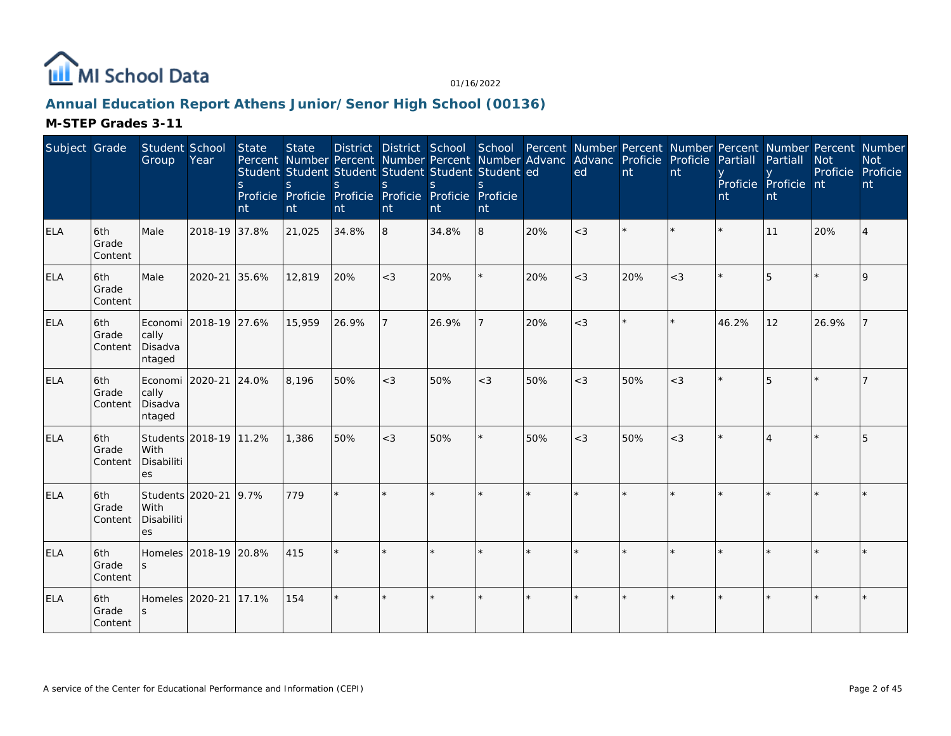

# **Annual Education Report Athens Junior/Senor High School (00136)**

| Subject Grade |                         | Student School<br>Group                             | Year                   | <b>State</b><br><sub>S</sub><br>nt | <b>State</b><br>Percent Number Percent Number Percent Number Advanc Advanc Proficie Proficie<br>Student Student Student Student Student Student ed<br>$\mathsf{S}$<br>Proficie Proficie Proficie Proficie Proficie Proficie<br>nt | <sub>S</sub><br>nt | <sub>S</sub><br>nt | $\mathsf{S}$<br>nt | $\mathcal{S}$<br>nt |         | ed      | nt  | nt    | Partiall<br>nt | District District School School Percent Number Percent Number Percent Number Percent Number<br>Partiall<br>Proficie Proficie nt<br>nt | <b>Not</b><br>Proficie Proficie | <b>Not</b><br>nt |
|---------------|-------------------------|-----------------------------------------------------|------------------------|------------------------------------|-----------------------------------------------------------------------------------------------------------------------------------------------------------------------------------------------------------------------------------|--------------------|--------------------|--------------------|---------------------|---------|---------|-----|-------|----------------|---------------------------------------------------------------------------------------------------------------------------------------|---------------------------------|------------------|
| ELA           | 6th<br>Grade<br>Content | Male                                                | 2018-19 37.8%          |                                    | 21,025                                                                                                                                                                                                                            | 34.8%              | $\overline{8}$     | 34.8%              | 8                   | 20%     | $<$ 3   |     |       |                | 11                                                                                                                                    | 20%                             |                  |
| ELA           | 6th<br>Grade<br>Content | Male                                                | 2020-21                | 35.6%                              | 12,819                                                                                                                                                                                                                            | 20%                | $<$ 3              | 20%                |                     | 20%     | $<$ 3   | 20% | $<$ 3 |                | 5                                                                                                                                     |                                 |                  |
| <b>ELA</b>    | 6th<br>Grade<br>Content | Economi 2018-19 27.6%<br>cally<br>Disadva<br>ntaged |                        |                                    | 15,959                                                                                                                                                                                                                            | 26.9%              |                    | 26.9%              |                     | 20%     | $<$ 3   |     |       | 46.2%          | 12                                                                                                                                    | 26.9%                           |                  |
| <b>ELA</b>    | 6th<br>Grade<br>Content | Economi 2020-21<br>cally<br>Disadva<br>ntaged       |                        | 24.0%                              | 8,196                                                                                                                                                                                                                             | 50%                | $<$ 3              | 50%                | $<$ 3               | 50%     | $<$ 3   | 50% | $<$ 3 |                | 5                                                                                                                                     |                                 |                  |
| <b>ELA</b>    | 6th<br>Grade<br>Content | With<br>Disabiliti<br>es                            | Students 2018-19 11.2% |                                    | 1,386                                                                                                                                                                                                                             | 50%                | $<$ 3              | 50%                |                     | 50%     | $<$ 3   | 50% | $<$ 3 |                |                                                                                                                                       |                                 |                  |
| <b>ELA</b>    | 6th<br>Grade<br>Content | Students 2020-21<br>With<br>Disabiliti<br>es        |                        | 9.7%                               | 779                                                                                                                                                                                                                               | ÷                  |                    |                    |                     |         |         |     |       |                |                                                                                                                                       |                                 |                  |
| <b>ELA</b>    | 6th<br>Grade<br>Content | Homeles 2018-19 20.8%                               |                        |                                    | 415                                                                                                                                                                                                                               |                    |                    |                    |                     |         |         |     |       |                |                                                                                                                                       |                                 |                  |
| <b>ELA</b>    | 6th<br>Grade<br>Content | Homeles 2020-21                                     |                        | 17.1%                              | 154                                                                                                                                                                                                                               | $\star$            |                    |                    |                     | $\star$ | $\star$ |     |       |                |                                                                                                                                       |                                 |                  |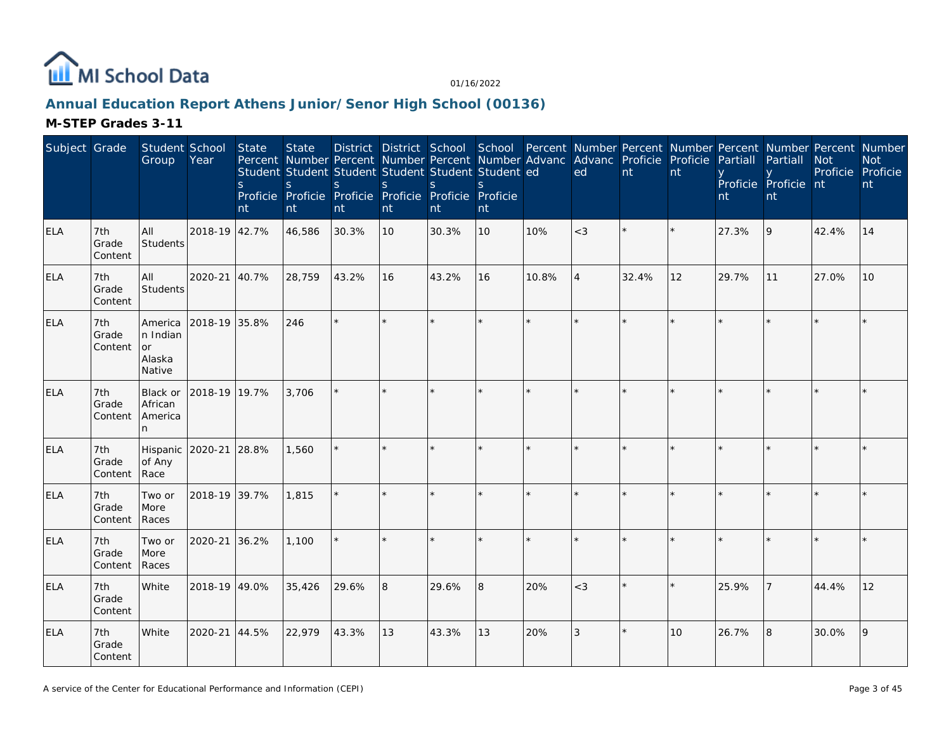

# **Annual Education Report Athens Junior/Senor High School (00136)**

| Subject Grade |                         | Student School<br>Group                              | Year          | <b>State</b><br><sub>S</sub><br>nt | <b>State</b><br>Student Student Student Student Student Student ed<br>S<br>Proficie Proficie Proficie Proficie Proficie Proficie<br>nt | <sub>S</sub><br>nt | $\mathsf{S}$<br>nt | S<br>nt | S<br>nt |         | Percent Number Percent Number Percent Number Advanc Advanc Proficie Proficie<br>ed | $\overline{nt}$ | nt | Partiall<br>nt | District District School School Percent Number Percent Number Percent Number Percent Number<br>Partiall<br>Proficie Proficie nt<br>nt | <b>Not</b><br>Proficie Proficie | <b>Not</b><br>nt |
|---------------|-------------------------|------------------------------------------------------|---------------|------------------------------------|----------------------------------------------------------------------------------------------------------------------------------------|--------------------|--------------------|---------|---------|---------|------------------------------------------------------------------------------------|-----------------|----|----------------|---------------------------------------------------------------------------------------------------------------------------------------|---------------------------------|------------------|
| <b>ELA</b>    | 7th<br>Grade<br>Content | All<br>Students                                      | 2018-19 42.7% |                                    | 46,586                                                                                                                                 | 30.3%              | 10                 | 30.3%   | 10      | 10%     | $<$ 3                                                                              |                 |    | 27.3%          | 9                                                                                                                                     | 42.4%                           | 14               |
| <b>ELA</b>    | 7th<br>Grade<br>Content | All<br>Students                                      | 2020-21 40.7% |                                    | 28,759                                                                                                                                 | 43.2%              | 16                 | 43.2%   | 16      | 10.8%   | $\overline{4}$                                                                     | 32.4%           | 12 | 29.7%          | 11                                                                                                                                    | 27.0%                           | 10               |
| <b>ELA</b>    | 7th<br>Grade<br>Content | America<br>n Indian<br><b>or</b><br>Alaska<br>Native | 2018-19 35.8% |                                    | 246                                                                                                                                    | $\star$            |                    |         | $\star$ | $\star$ |                                                                                    |                 |    |                |                                                                                                                                       |                                 |                  |
| ELA           | 7th<br>Grade<br>Content | Black or<br>African<br>America<br>n.                 | 2018-19 19.7% |                                    | 3.706                                                                                                                                  |                    |                    |         | $\star$ |         | $\star$                                                                            |                 |    |                |                                                                                                                                       |                                 |                  |
| <b>ELA</b>    | 7th<br>Grade<br>Content | Hispanic 2020-21<br>of Any<br>Race                   |               | 28.8%                              | 1,560                                                                                                                                  |                    |                    |         | $\star$ |         |                                                                                    |                 |    |                |                                                                                                                                       |                                 |                  |
| <b>ELA</b>    | 7th<br>Grade<br>Content | Two or<br>More<br>Races                              | 2018-19 39.7% |                                    | 1,815                                                                                                                                  | $\star$            |                    |         | ×.      |         | ×.                                                                                 |                 |    |                |                                                                                                                                       |                                 |                  |
| ELA           | 7th<br>Grade<br>Content | Two or<br>More<br>Races                              | 2020-21       | 36.2%                              | 1,100                                                                                                                                  |                    |                    |         |         |         |                                                                                    |                 |    |                |                                                                                                                                       |                                 |                  |
| <b>ELA</b>    | 7th<br>Grade<br>Content | White                                                | 2018-19 49.0% |                                    | 35,426                                                                                                                                 | 29.6%              | 8                  | 29.6%   | 8       | 20%     | $<$ 3                                                                              |                 |    | 25.9%          |                                                                                                                                       | 44.4%                           | 12               |
| <b>ELA</b>    | 7th<br>Grade<br>Content | White                                                | 2020-21       | 44.5%                              | 22,979                                                                                                                                 | 43.3%              | 13                 | 43.3%   | 13      | 20%     | 3                                                                                  |                 | 10 | 26.7%          | 8                                                                                                                                     | 30.0%                           | 9                |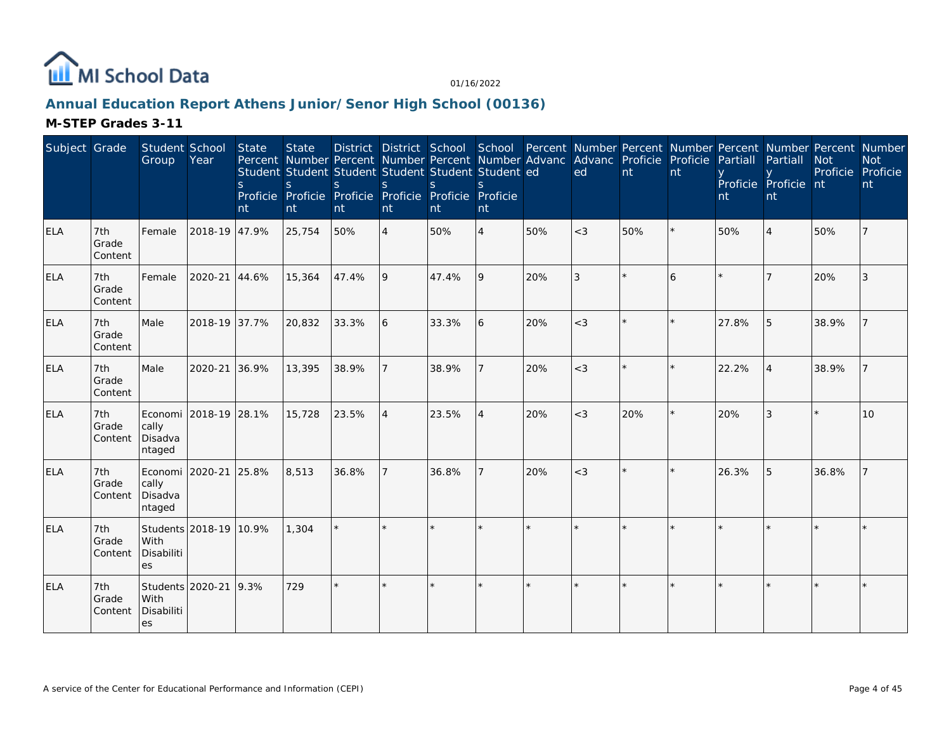

# **Annual Education Report Athens Junior/Senor High School (00136)**

| Subject Grade |                         | Student School<br>Group                       | Year                   | <b>State</b><br><sub>S</sub><br>nt | <b>State</b><br>Percent Number Percent Number Percent Number Advanc Advanc Proficie Proficie<br>Student Student Student Student Student Student ed<br>S<br>Proficie Proficie Proficie Proficie Proficie Proficie<br>nt | <sub>S</sub><br>nt | <sub>S</sub><br>nt | $\mathcal{S}$<br>Int | $\mathcal{S}$<br>nt |     | ed             | nt  | nt | Partiall<br>nt | District District School School Percent Number Percent Number Percent Number Percent Number<br>Partiall<br>Proficie Proficie nt<br>nt | <b>Not</b><br>Proficie | <b>Not</b><br>Proficie<br>nt |
|---------------|-------------------------|-----------------------------------------------|------------------------|------------------------------------|------------------------------------------------------------------------------------------------------------------------------------------------------------------------------------------------------------------------|--------------------|--------------------|----------------------|---------------------|-----|----------------|-----|----|----------------|---------------------------------------------------------------------------------------------------------------------------------------|------------------------|------------------------------|
| <b>ELA</b>    | 7th<br>Grade<br>Content | Female                                        | 2018-19 47.9%          |                                    | 25,754                                                                                                                                                                                                                 | 50%                | $\overline{4}$     | 50%                  | $\overline{4}$      | 50% | $<$ 3          | 50% |    | 50%            | $\boldsymbol{\vartriangle}$                                                                                                           | 50%                    |                              |
| ELA           | 7th<br>Grade<br>Content | Female                                        | 2020-21 44.6%          |                                    | 15,364                                                                                                                                                                                                                 | 47.4%              | 9                  | 47.4%                | 9                   | 20% | $\overline{3}$ |     | 6  |                |                                                                                                                                       | 20%                    | 3                            |
| <b>ELA</b>    | 7th<br>Grade<br>Content | Male                                          | 2018-19 37.7%          |                                    | 20,832                                                                                                                                                                                                                 | 33.3%              | <sup>6</sup>       | 33.3%                | 6                   | 20% | $<$ 3          |     |    | 27.8%          | 5                                                                                                                                     | 38.9%                  |                              |
| <b>ELA</b>    | 7th<br>Grade<br>Content | Male                                          | 2020-21 36.9%          |                                    | 13,395                                                                                                                                                                                                                 | 38.9%              |                    | 38.9%                | $\overline{7}$      | 20% | $<$ 3          |     |    | 22.2%          |                                                                                                                                       | 38.9%                  | $\overline{7}$               |
| <b>ELA</b>    | 7th<br>Grade<br>Content | cally<br>Disadva<br>ntaged                    | Economi 2018-19 28.1%  |                                    | 15,728                                                                                                                                                                                                                 | 23.5%              | <sup>4</sup>       | 23.5%                | $\overline{4}$      | 20% | $<$ 3          | 20% |    | 20%            |                                                                                                                                       |                        | 10                           |
| <b>ELA</b>    | 7th<br>Grade<br>Content | Economi 2020-21<br>cally<br>Disadva<br>ntaged |                        | 25.8%                              | 8,513                                                                                                                                                                                                                  | 36.8%              |                    | 36.8%                |                     | 20% | $<$ 3          |     |    | 26.3%          | 5                                                                                                                                     | 36.8%                  |                              |
| <b>ELA</b>    | 7th<br>Grade<br>Content | With<br>Disabiliti<br>es                      | Students 2018-19 10.9% |                                    | 1,304                                                                                                                                                                                                                  |                    |                    |                      | ×.                  |     |                |     |    |                |                                                                                                                                       |                        |                              |
| <b>ELA</b>    | 7th<br>Grade<br>Content | Students 2020-21<br>With<br>Disabiliti<br>es  |                        | 9.3%                               | 729                                                                                                                                                                                                                    | $\star$            |                    |                      | $\star$             |     |                |     |    |                |                                                                                                                                       |                        |                              |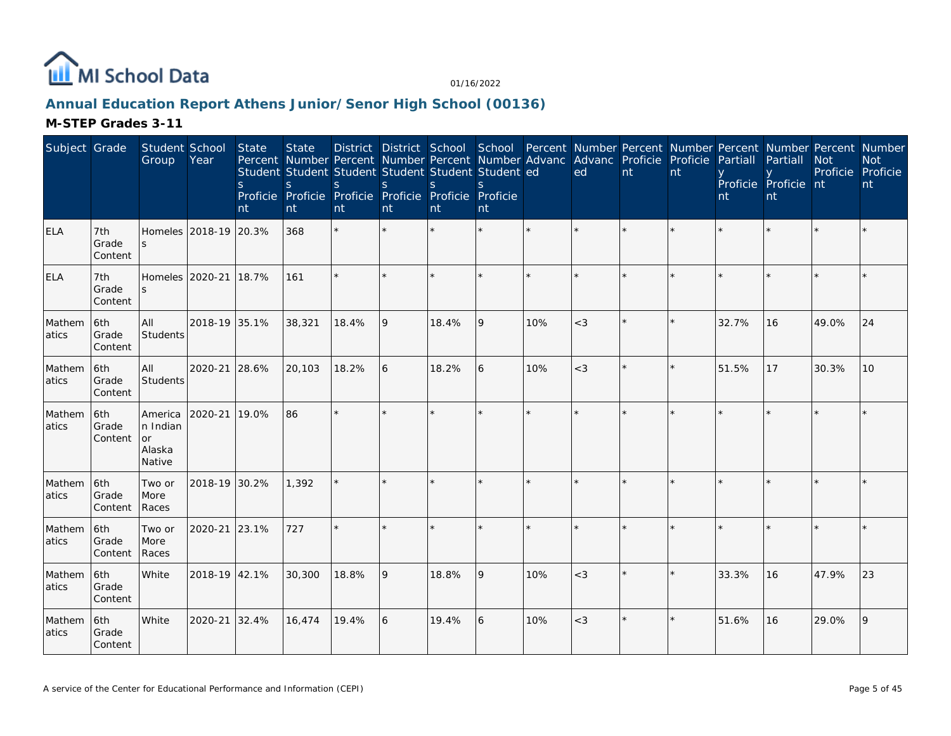

# **Annual Education Report Athens Junior/Senor High School (00136)**

| Subject Grade   |                          | Student School<br>Group                              | Year                  | State<br>S.<br>nt | <b>State</b><br>Percent Number Percent Number Percent Number Advanc Advanc Proficie Proficie<br>Student Student Student Student Student Student ed<br><sub>S</sub><br>Proficie Proficie Proficie Proficie Proficie Proficie<br>nt | <sub>S</sub><br>nt | S<br>nt | <sub>S</sub><br>nt | <sub>S</sub><br>nt |     | District District School School Percent Number Percent Number Percent Number Percent Number<br>ed | nt | nt      | Partiall<br>nt | Partiall<br>Proficie Proficie nt<br>nt | <b>Not</b> | <b>Not</b><br>Proficie Proficie<br>nt |
|-----------------|--------------------------|------------------------------------------------------|-----------------------|-------------------|-----------------------------------------------------------------------------------------------------------------------------------------------------------------------------------------------------------------------------------|--------------------|---------|--------------------|--------------------|-----|---------------------------------------------------------------------------------------------------|----|---------|----------------|----------------------------------------|------------|---------------------------------------|
| <b>ELA</b>      | 7th<br>Grade<br>Content  | $\mathcal{S}$                                        | Homeles 2018-19 20.3% |                   | 368                                                                                                                                                                                                                               |                    |         |                    |                    |     |                                                                                                   |    |         |                |                                        |            |                                       |
| <b>ELA</b>      | 7th<br>Grade<br>Content  |                                                      | Homeles 2020-21 18.7% |                   | 161                                                                                                                                                                                                                               |                    |         |                    |                    |     |                                                                                                   |    |         |                |                                        |            |                                       |
| Mathem<br>atics | l6th<br>Grade<br>Content | All<br>Students                                      | 2018-19 35.1%         |                   | 38,321                                                                                                                                                                                                                            | 18.4%              | 9       | 18.4%              | 9                  | 10% | $<$ 3                                                                                             |    | $\star$ | 32.7%          | 16                                     | 49.0%      | $ 24\rangle$                          |
| Mathem<br>atics | 6th<br>Grade<br>Content  | All<br>Students                                      | 2020-21 28.6%         |                   | 20,103                                                                                                                                                                                                                            | 18.2%              | 6       | 18.2%              | 6                  | 10% | $<$ 3                                                                                             |    |         | 51.5%          | 17                                     | 30.3%      | 10                                    |
| Mathem<br>atics | 16th<br>Grade<br>Content | America<br>n Indian<br><b>or</b><br>Alaska<br>Native | 2020-21 19.0%         |                   | 86                                                                                                                                                                                                                                |                    |         |                    |                    |     |                                                                                                   |    |         |                |                                        |            |                                       |
| Mathem<br>atics | 6th<br>Grade<br>Content  | Two or<br>More<br>Races                              | 2018-19 30.2%         |                   | 1,392                                                                                                                                                                                                                             |                    |         |                    |                    |     |                                                                                                   |    |         |                |                                        |            |                                       |
| Mathem<br>atics | 6th<br>Grade<br>Content  | Two or<br>More<br>Races                              | 2020-21 23.1%         |                   | 727                                                                                                                                                                                                                               | $\star$            |         |                    |                    |     |                                                                                                   |    |         |                |                                        |            |                                       |
| Mathem<br>atics | 6th<br>Grade<br>Content  | White                                                | 2018-19 42.1%         |                   | 30,300                                                                                                                                                                                                                            | 18.8%              | 9       | 18.8%              | 9                  | 10% | $<$ 3                                                                                             |    |         | 33.3%          | 16                                     | 47.9%      | 23                                    |
| Mathem<br>atics | 6th<br>Grade<br>Content  | White                                                | 2020-21 32.4%         |                   | 16,474                                                                                                                                                                                                                            | 19.4%              | 6       | 19.4%              | 6                  | 10% | $<$ 3                                                                                             |    |         | 51.6%          | 16                                     | 29.0%      | 9                                     |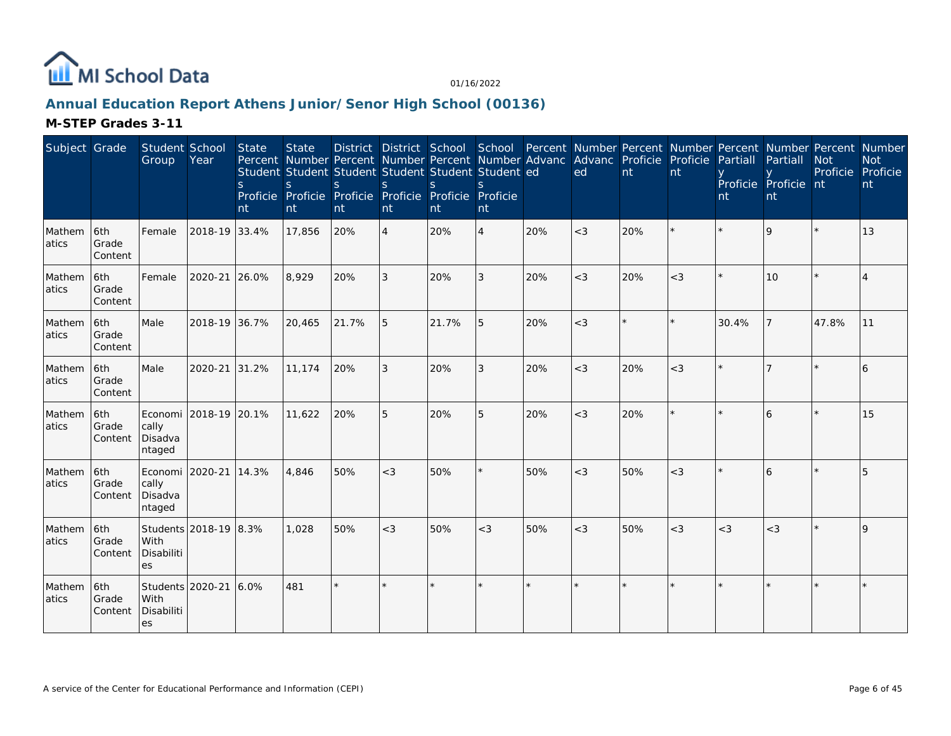

# **Annual Education Report Athens Junior/Senor High School (00136)**

| Subject Grade    |                          | Student School<br>Group                             | Year                  | <b>State</b><br><sub>S</sub><br>nt | <b>State</b><br>Student Student Student Student Student Student ed<br>S<br>Proficie Proficie Proficie Proficie Proficie Proficie<br>nt | S.<br>nt | <sub>S</sub><br>nt | <sup>S</sup><br>nt | $\mathcal{S}$<br>nt |     | Percent Number Percent Number Percent Number Advanc Advanc Proficie Proficie<br>ed | nt  | nt      | Partiall<br>nt | District District School School Percent Number Percent Number Percent Number Percent Number<br>Partiall<br>Proficie Proficie nt<br>nt | <b>Not</b><br>Proficie Proficie | <b>Not</b><br>nt |
|------------------|--------------------------|-----------------------------------------------------|-----------------------|------------------------------------|----------------------------------------------------------------------------------------------------------------------------------------|----------|--------------------|--------------------|---------------------|-----|------------------------------------------------------------------------------------|-----|---------|----------------|---------------------------------------------------------------------------------------------------------------------------------------|---------------------------------|------------------|
| Mathem<br>atics  | 6th<br>Grade<br>Content  | Female                                              | 2018-19 33.4%         |                                    | 17,856                                                                                                                                 | 20%      | $\overline{4}$     | 20%                | $\overline{4}$      | 20% | $<$ 3                                                                              | 20% | $\star$ | $\star$        | 9                                                                                                                                     |                                 | 13               |
| Mathem<br>latics | 6th<br>Grade<br>Content  | Female                                              | 2020-21               | 26.0%                              | 8,929                                                                                                                                  | 20%      | 3                  | 20%                | 3                   | 20% | $<$ 3                                                                              | 20% | $<$ 3   | $\star$        | 10                                                                                                                                    |                                 |                  |
| Mathem<br>latics | 6th<br>Grade<br>Content  | Male                                                | 2018-19 36.7%         |                                    | 20,465                                                                                                                                 | 21.7%    | 5                  | 21.7%              | 5                   | 20% | $<$ 3                                                                              |     | $\star$ | 30.4%          |                                                                                                                                       | 47.8%                           | 11               |
| Mathem<br>atics  | 6th<br>Grade<br>Content  | Male                                                | 2020-21               | 31.2%                              | 11,174                                                                                                                                 | 20%      | 3                  | 20%                | 3                   | 20% | $<$ 3                                                                              | 20% | $<$ 3   | $\star$        |                                                                                                                                       |                                 | 6                |
| Mathem<br>atics  | l6th<br>Grade<br>Content | Economi 2018-19 20.1%<br>cally<br>Disadva<br>ntaged |                       |                                    | 11.622                                                                                                                                 | 20%      | 5                  | 20%                | 5                   | 20% | $<$ 3                                                                              | 20% | $\star$ |                | 6                                                                                                                                     |                                 | 15               |
| Mathem<br>atics  | 6th<br>Grade<br>Content  | Economi 2020-21<br>cally<br>Disadva<br>ntaged       |                       | 14.3%                              | 4,846                                                                                                                                  | 50%      | $<$ 3              | 50%                |                     | 50% | $<$ 3                                                                              | 50% | $<$ 3   | $\star$        | 6                                                                                                                                     |                                 | 5                |
| Mathem<br>atics  | 6th<br>Grade<br>Content  | With<br>Disabiliti<br>es                            | Students 2018-19 8.3% |                                    | 1,028                                                                                                                                  | 50%      | $<$ 3              | 50%                | $<$ 3               | 50% | $<$ 3                                                                              | 50% | $<$ 3   | $<$ 3          | $<$ 3                                                                                                                                 |                                 | O                |
| Mathem<br>atics  | 6th<br>Grade<br>Content  | Students 2020-21<br>With<br>Disabiliti<br>es        |                       | 6.0%                               | 481                                                                                                                                    | $\star$  |                    |                    |                     |     |                                                                                    |     | ×.      |                |                                                                                                                                       |                                 |                  |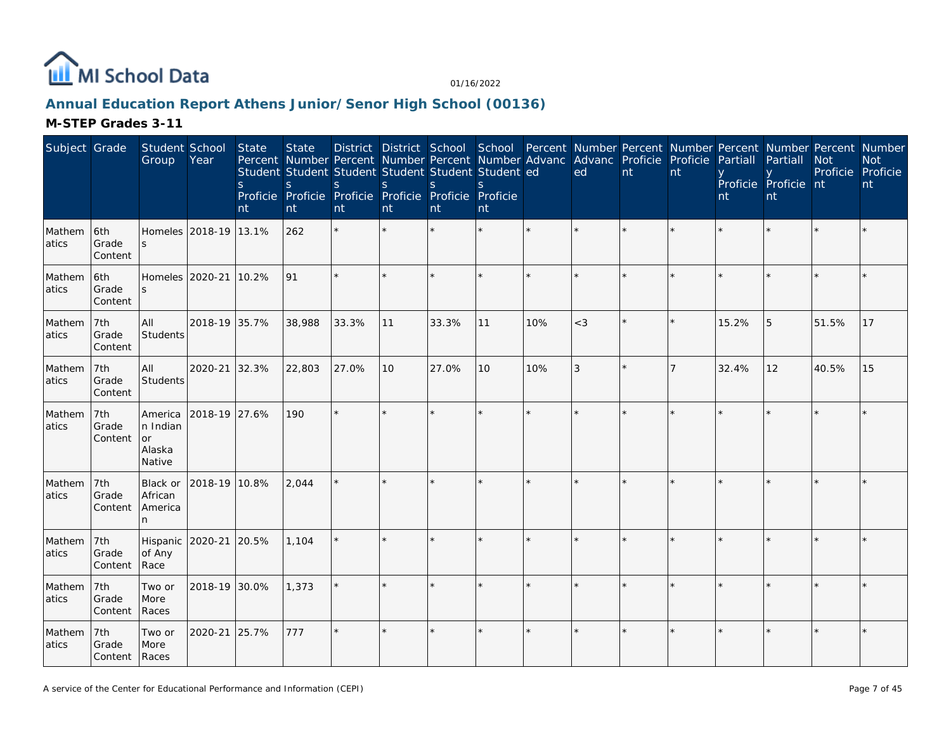

# **Annual Education Report Athens Junior/Senor High School (00136)**

| Subject Grade   |                               | Student School<br>Group                       | Year                  | State<br>S.<br>nt | <b>State</b><br>Percent Number Percent Number Percent Number Advanc Advanc Proficie Proficie<br>Student Student Student Student Student Student ed<br>S.<br>Proficie Proficie Proficie Proficie Proficie Proficie<br>nt | <sub>S</sub><br>nt | S<br>nt | S<br>nt | S<br>nt |     | District District School School Percent Number Percent Number Percent Number Percent Number<br>ed | nt | nt | Partiall<br>nt | Partiall<br>Proficie Proficie nt<br>nt | <b>Not</b><br>Proficie | <b>Not</b><br>Proficie<br>nt |
|-----------------|-------------------------------|-----------------------------------------------|-----------------------|-------------------|-------------------------------------------------------------------------------------------------------------------------------------------------------------------------------------------------------------------------|--------------------|---------|---------|---------|-----|---------------------------------------------------------------------------------------------------|----|----|----------------|----------------------------------------|------------------------|------------------------------|
| Mathem<br>atics | 6th<br>Grade<br>Content       |                                               | Homeles 2018-19 13.1% |                   | 262                                                                                                                                                                                                                     |                    |         |         |         |     |                                                                                                   |    | ÷  |                |                                        |                        |                              |
| Mathem<br>atics | 6th<br>Grade<br>Content       | S                                             | Homeles 2020-21 10.2% |                   | 91                                                                                                                                                                                                                      |                    |         |         |         |     |                                                                                                   |    |    |                |                                        |                        |                              |
| Mathem<br>atics | 7th<br>Grade<br>Content       | All<br>Students                               | 2018-19 35.7%         |                   | 38,988                                                                                                                                                                                                                  | 33.3%              | 11      | 33.3%   | 11      | 10% | $<$ 3                                                                                             |    |    | 15.2%          | 5                                      | 51.5%                  | 17                           |
| Mathem<br>atics | 7th<br>Grade<br>Content       | All<br>Students                               | 2020-21 32.3%         |                   | 22,803                                                                                                                                                                                                                  | 27.0%              | 10      | 27.0%   | 10      | 10% | $\overline{3}$                                                                                    |    | 7  | 32.4%          | 12                                     | 40.5%                  | 15                           |
| Mathem<br>atics | 7th<br>Grade<br>Content       | America<br>n Indian<br>or<br>Alaska<br>Native | 2018-19 27.6%         |                   | 190                                                                                                                                                                                                                     |                    |         |         |         |     |                                                                                                   |    |    |                |                                        |                        |                              |
| Mathem<br>atics | 7th<br>Grade<br>Content       | Black or<br>African<br>America<br>n           | 2018-19 10.8%         |                   | 2,044                                                                                                                                                                                                                   |                    |         |         |         |     |                                                                                                   |    |    |                |                                        |                        |                              |
| Mathem<br>atics | 7th<br>Grade<br>Content       | Hispanic<br>of Any<br>Race                    | 2020-21 20.5%         |                   | 1,104                                                                                                                                                                                                                   |                    |         |         |         |     |                                                                                                   |    |    |                |                                        |                        |                              |
| Mathem<br>atics | 7th<br>Grade<br>Content       | Two or<br>More<br>Races                       | 2018-19 30.0%         |                   | 1,373                                                                                                                                                                                                                   |                    |         |         |         |     |                                                                                                   |    |    |                |                                        |                        |                              |
| Mathem<br>atics | 7th<br>Grade<br>Content Races | Two or<br>More                                | 2020-21               | 25.7%             | 777                                                                                                                                                                                                                     |                    |         |         |         |     |                                                                                                   |    |    |                |                                        |                        |                              |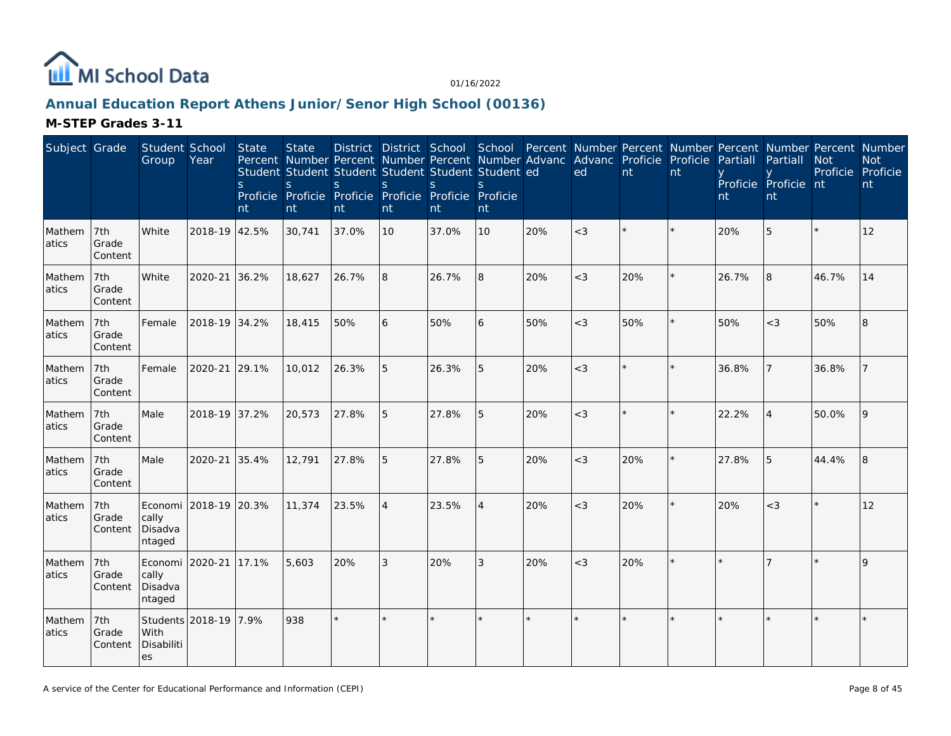

# **Annual Education Report Athens Junior/Senor High School (00136)**

| Subject Grade   |                         | Student School<br>Group                       | Year                  | <b>State</b><br><sub>S</sub><br>nt | <b>State</b><br>Percent Number Percent Number Percent Number Advanc Advanc Proficie Proficie<br>Student Student Student Student Student Student ed<br>S<br>Proficie Proficie Proficie Proficie Proficie Proficie<br>nt | <sub>S</sub><br>nt | $\mathsf{S}$<br>nt | <sub>S</sub><br>nt | S<br>nt |         | ed      | nt      | nt | Partiall<br>nt | District District School School Percent Number Percent Number Percent Number Percent Number<br>Partiall<br>Proficie Proficie nt<br>nt | <b>Not</b><br>Proficie Proficie | <b>Not</b><br>nt |
|-----------------|-------------------------|-----------------------------------------------|-----------------------|------------------------------------|------------------------------------------------------------------------------------------------------------------------------------------------------------------------------------------------------------------------|--------------------|--------------------|--------------------|---------|---------|---------|---------|----|----------------|---------------------------------------------------------------------------------------------------------------------------------------|---------------------------------|------------------|
| Mathem<br>atics | 7th<br>Grade<br>Content | White                                         | 2018-19 42.5%         |                                    | 30,741                                                                                                                                                                                                                 | 37.0%              | 10                 | 37.0%              | 10      | 20%     | $<$ 3   |         |    | 20%            | 5                                                                                                                                     |                                 | 12               |
| Mathem<br>atics | 7th<br>Grade<br>Content | White                                         | 2020-21               | 36.2%                              | 18,627                                                                                                                                                                                                                 | 26.7%              | 8                  | 26.7%              | 8       | 20%     | $<$ 3   | 20%     |    | 26.7%          | 8                                                                                                                                     | 46.7%                           | 14               |
| Mathem<br>atics | 7th<br>Grade<br>Content | Female                                        | 2018-19 34.2%         |                                    | 18,415                                                                                                                                                                                                                 | 50%                | 6                  | 50%                | 6       | 50%     | $\lt3$  | 50%     |    | 50%            | $\lt3$                                                                                                                                | 50%                             | 8                |
| Mathem<br>atics | 7th<br>Grade<br>Content | Female                                        | 2020-21               | 29.1%                              | 10,012                                                                                                                                                                                                                 | 26.3%              | 5                  | 26.3%              | 5       | 20%     | $\lt3$  | $\star$ |    | 36.8%          |                                                                                                                                       | 36.8%                           |                  |
| Mathem<br>atics | 7th<br>Grade<br>Content | Male                                          | 2018-19 37.2%         |                                    | 20,573                                                                                                                                                                                                                 | 27.8%              | 5                  | 27.8%              | 5       | 20%     | $<$ 3   |         |    | 22.2%          | $\boldsymbol{\vartriangle}$                                                                                                           | 50.0%                           | 9                |
| Mathem<br>atics | 7th<br>Grade<br>Content | Male                                          | 2020-21               | 35.4%                              | 12,791                                                                                                                                                                                                                 | 27.8%              | 5                  | 27.8%              | 5       | 20%     | $<$ 3   | 20%     |    | 27.8%          | 5                                                                                                                                     | 44.4%                           | 8                |
| Mathem<br>atics | 7th<br>Grade<br>Content | Economi<br>cally<br>Disadva<br>ntaged         | 2018-19 20.3%         |                                    | 11,374                                                                                                                                                                                                                 | 23.5%              | $\overline{4}$     | 23.5%              | 4       | 20%     | $\lt3$  | 20%     |    | 20%            | $<$ 3                                                                                                                                 |                                 | 12               |
| Mathem<br>atics | 7th<br>Grade<br>Content | Economi 2020-21<br>cally<br>Disadva<br>ntaged |                       | 17.1%                              | 5,603                                                                                                                                                                                                                  | 20%                | 3                  | 20%                | 3       | 20%     | $<$ 3   | 20%     |    |                |                                                                                                                                       |                                 | $\mathsf Q$      |
| Mathem<br>atics | 7th<br>Grade<br>Content | With<br>Disabiliti<br>es                      | Students 2018-19 7.9% |                                    | 938                                                                                                                                                                                                                    | $\star$            | ×.                 |                    | ×.      | $\star$ | $\star$ |         |    |                |                                                                                                                                       |                                 |                  |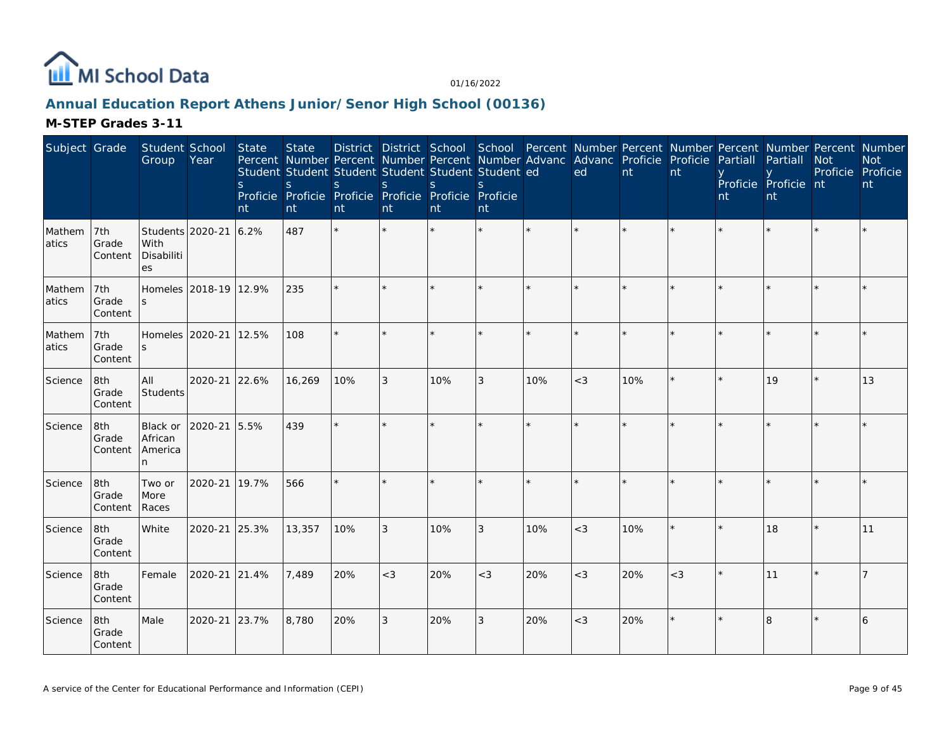

# **Annual Education Report Athens Junior/Senor High School (00136)**

| Subject Grade   |                         | Student School<br>Group                      | Year          | State<br><sub>S</sub><br>nt | <b>State</b><br>S<br>nt | Percent Number Percent Number Percent Number Advanc Advanc Proficie Proficie<br>Student Student Student Student Student Student ed<br>S.<br>Proficie Proficie Proficie Proficie Proficie Proficie<br>nt | S<br>nt | District District School School Percent Number Percent Number Percent Number Percent Number<br><sub>S</sub><br>nt | S.<br>nt |                      | ed      | nt  | nt      | Partiall<br>nt | Partiall<br>Proficie Proficie nt<br>nt | <b>Not</b><br>Proficie Proficie | <b>Not</b><br>nt |
|-----------------|-------------------------|----------------------------------------------|---------------|-----------------------------|-------------------------|---------------------------------------------------------------------------------------------------------------------------------------------------------------------------------------------------------|---------|-------------------------------------------------------------------------------------------------------------------|----------|----------------------|---------|-----|---------|----------------|----------------------------------------|---------------------------------|------------------|
| Mathem<br>atics | 7th<br>Grade<br>Content | Students 2020-21<br>With<br>Disabiliti<br>es |               | 6.2%                        | 487                     | $\star$                                                                                                                                                                                                 |         |                                                                                                                   |          |                      |         |     |         |                |                                        |                                 |                  |
| Mathem<br>atics | 7th<br>Grade<br>Content | Homeles 2018-19 12.9%                        |               |                             | 235                     |                                                                                                                                                                                                         | ×.      |                                                                                                                   | $\star$  |                      | $\star$ |     | $\star$ |                |                                        |                                 |                  |
| Mathem<br>atics | 7th<br>Grade<br>Content | Homeles 2020-21<br>S                         |               | 12.5%                       | 108                     | ÷.                                                                                                                                                                                                      | ×.      |                                                                                                                   | ×.       | $\mathbf{d}$         | $\star$ |     | ×       |                |                                        |                                 |                  |
| Science         | 8th<br>Grade<br>Content | All<br>Students                              | 2020-21       | 22.6%                       | 16,269                  | 10%                                                                                                                                                                                                     | 3       | 10%                                                                                                               | 3        | 10%                  | $<$ 3   | 10% |         |                | 19                                     |                                 | 13               |
| Science         | 8th<br>Grade<br>Content | Black or<br>African<br>America<br>n          | 2020-21 5.5%  |                             | 439                     | $\star$                                                                                                                                                                                                 | ×.      |                                                                                                                   | $\star$  | $\ddot{\phantom{1}}$ | $\star$ |     | $\star$ |                |                                        |                                 |                  |
| Science         | 8th<br>Grade<br>Content | Two or<br>More<br>Races                      | 2020-21       | 19.7%                       | 566                     |                                                                                                                                                                                                         |         |                                                                                                                   | $\star$  | $\star$              | $\star$ |     | $\star$ |                |                                        |                                 |                  |
| Science         | 8th<br>Grade<br>Content | White                                        | 2020-21       | 25.3%                       | 13,357                  | 10%                                                                                                                                                                                                     | 3       | 10%                                                                                                               | 3        | 10%                  | $<$ 3   | 10% |         |                | 18                                     |                                 | 11               |
| Science         | 8th<br>Grade<br>Content | Female                                       | 2020-21 21.4% |                             | 7,489                   | 20%                                                                                                                                                                                                     | $<$ 3   | 20%                                                                                                               | $<$ 3    | 20%                  | $<$ 3   | 20% | $<$ 3   |                | 11                                     |                                 |                  |
| Science         | 8th<br>Grade<br>Content | Male                                         | 2020-21       | 23.7%                       | 8,780                   | 20%                                                                                                                                                                                                     | 3       | 20%                                                                                                               | 3        | 20%                  | $<$ 3   | 20% |         |                | 8                                      |                                 | 6                |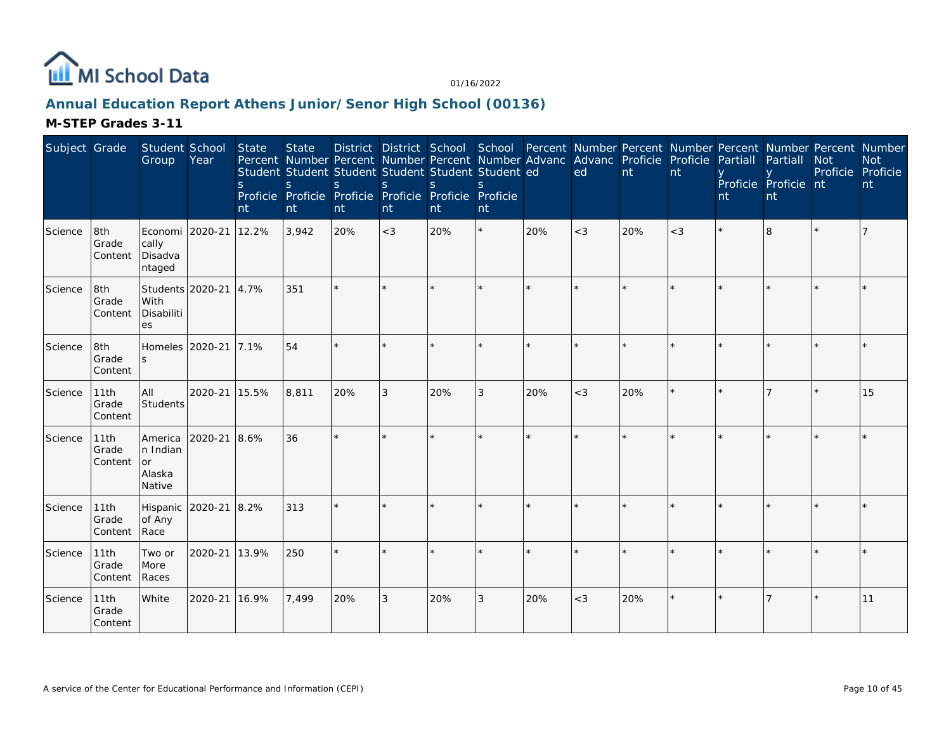

# **Annual Education Report Athens Junior/Senor High School (00136)**

| Subject Grade |                          | Student School<br>Group                              | Year    | <b>State</b><br><sub>S</sub><br>nt | <b>State</b><br><sub>S</sub><br>nt | Percent Number Percent Number Percent Number Advanc Advanc Proficie Proficie<br>Student Student Student Student Student Student ed<br>S.<br>Proficie Proficie Proficie Proficie Proficie Proficie<br>nt | <sub>S</sub><br>nt | S<br>nt | $\mathcal{S}$<br>nt |         | ed    | nt  | nt      | District District School School Percent Number Percent Number Percent Number Percent Number<br>Partiall<br>nt | Partiall<br>Proficie Proficie nt<br>nt | <b>Not</b><br>Proficie Proficie | <b>Not</b><br>nt |
|---------------|--------------------------|------------------------------------------------------|---------|------------------------------------|------------------------------------|---------------------------------------------------------------------------------------------------------------------------------------------------------------------------------------------------------|--------------------|---------|---------------------|---------|-------|-----|---------|---------------------------------------------------------------------------------------------------------------|----------------------------------------|---------------------------------|------------------|
| Science       | 8th<br>Grade<br>Content  | Economi   2020-21<br>cally<br>Disadva<br>ntaged      |         | 12.2%                              | 3,942                              | 20%                                                                                                                                                                                                     | $<$ 3              | 20%     | $\star$             | 20%     | $<$ 3 | 20% | $<$ 3   | $\star$                                                                                                       | 8                                      |                                 |                  |
| Science       | 8th<br>Grade<br>Content  | Students 2020-21<br>With<br>Disabiliti<br>es         |         | 4.7%                               | 351                                | $\star$                                                                                                                                                                                                 |                    |         |                     |         |       |     | $\star$ |                                                                                                               |                                        |                                 |                  |
| Science       | 8th<br>Grade<br>Content  | Homeles 2020-21<br>$\mathsf{S}$                      |         | 7.1%                               | 54                                 | ÷.                                                                                                                                                                                                      |                    |         |                     | ÷.      |       |     | ×.      |                                                                                                               |                                        |                                 |                  |
| Science       | 11th<br>Grade<br>Content | All<br>Students                                      | 2020-21 | 15.5%                              | 8,811                              | 20%                                                                                                                                                                                                     | 3                  | 20%     | 3                   | 20%     | $<$ 3 | 20% | $\star$ | $\star$                                                                                                       |                                        |                                 | 15               |
| Science       | 11th<br>Grade<br>Content | America<br>n Indian<br><b>or</b><br>Alaska<br>Native | 2020-21 | 8.6%                               | 36                                 | $\star$                                                                                                                                                                                                 |                    |         |                     | $\star$ |       |     |         |                                                                                                               |                                        |                                 |                  |
| Science       | 11th<br>Grade<br>Content | Hispanic<br>of Any<br>Race                           | 2020-21 | 8.2%                               | 313                                | $\star$                                                                                                                                                                                                 |                    |         |                     |         |       |     | $\star$ |                                                                                                               |                                        |                                 |                  |
| Science       | 11th<br>Grade<br>Content | Two or<br>More<br>Races                              | 2020-21 | 13.9%                              | 250                                | $\star$                                                                                                                                                                                                 |                    |         |                     |         |       |     | ÷.      |                                                                                                               |                                        |                                 |                  |
| Science       | 11th<br>Grade<br>Content | White                                                | 2020-21 | 16.9%                              | 7,499                              | 20%                                                                                                                                                                                                     | 3                  | 20%     | $\mathfrak{Z}$      | 20%     | $<$ 3 | 20% | $\star$ |                                                                                                               |                                        |                                 | 11               |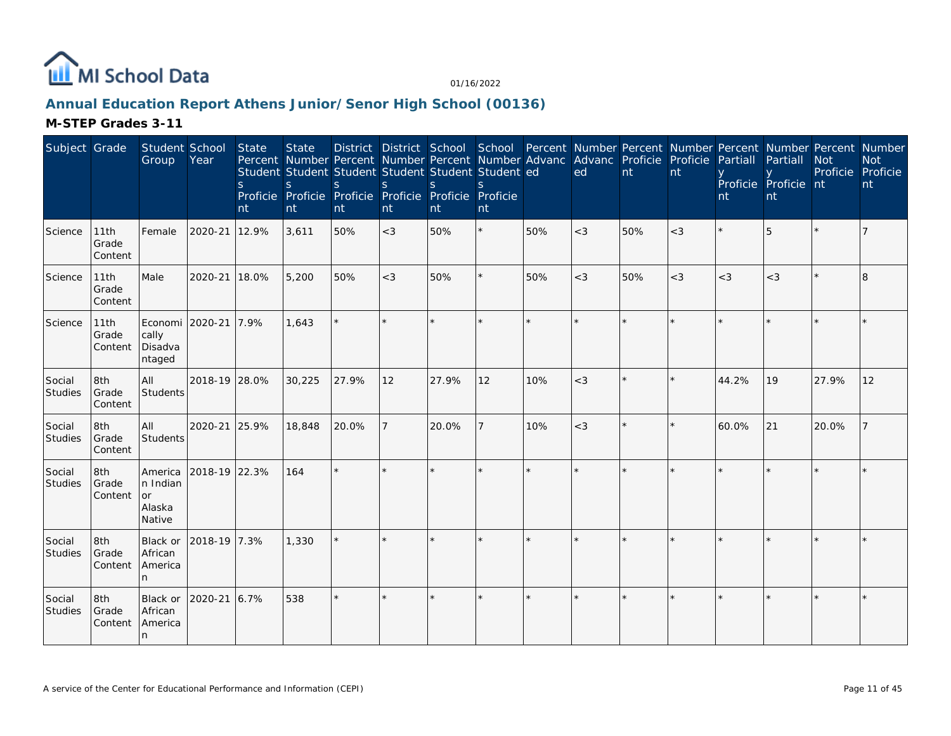

# **Annual Education Report Athens Junior/Senor High School (00136)**

| Subject Grade     |                          | Student School<br>Group                       | Year          | <b>State</b><br><sub>S</sub><br>nt | <b>State</b><br>S.<br>nt | Percent Number Percent Number Percent Number Advanc<br>Student Student Student Student Student Student ed<br>S.<br>Proficie Proficie Proficie Proficie Proficie Proficie<br>nt | <sub>S</sub><br>nt | District District School School Percent Number Percent Number Percent Number Percent Number<br><sup>S</sup><br>nt | <sub>S</sub><br>nt |              | Advanc Proficie<br>ed | nt  | Proficie<br>nt | Partiall<br>nt | Partiall<br>Proficie Proficie nt<br>nt | <b>Not</b><br>Proficie | <b>Not</b><br>Proficie<br>nt |
|-------------------|--------------------------|-----------------------------------------------|---------------|------------------------------------|--------------------------|--------------------------------------------------------------------------------------------------------------------------------------------------------------------------------|--------------------|-------------------------------------------------------------------------------------------------------------------|--------------------|--------------|-----------------------|-----|----------------|----------------|----------------------------------------|------------------------|------------------------------|
| Science           | 11th<br>Grade<br>Content | Female                                        | 2020-21       | 12.9%                              | 3,611                    | 50%                                                                                                                                                                            | $<$ 3              | 50%                                                                                                               | $\star$            | 50%          | $<$ 3                 | 50% | $<$ 3          |                | 5                                      |                        |                              |
| Science           | 11th<br>Grade<br>Content | Male                                          | 2020-21       | 18.0%                              | 5,200                    | 50%                                                                                                                                                                            | $<$ 3              | 50%                                                                                                               | $\star$            | 50%          | $<$ 3                 | 50% | $<$ 3          | $<$ 3          | $<$ 3                                  |                        | 8                            |
| Science           | 11th<br>Grade<br>Content | Economi 2020-21<br>cally<br>Disadva<br>ntaged |               | 7.9%                               | 1,643                    |                                                                                                                                                                                |                    |                                                                                                                   | $\star$            | $\star$      | $\star$               |     |                |                |                                        |                        |                              |
| Social<br>Studies | 8th<br>Grade<br>Content  | <b>AII</b><br>Students                        | 2018-19 28.0% |                                    | 30,225                   | 27.9%                                                                                                                                                                          | 12                 | 27.9%                                                                                                             | 12                 | 10%          | $<$ 3                 |     |                | 44.2%          | 19                                     | 27.9%                  | 12                           |
| Social<br>Studies | 8th<br>Grade<br>Content  | All<br>Students                               | 2020-21       | 25.9%                              | 18,848                   | 20.0%                                                                                                                                                                          |                    | 20.0%                                                                                                             | 7                  | 10%          | $<$ 3                 |     |                | 60.0%          | 21                                     | 20.0%                  |                              |
| Social<br>Studies | 8th<br>Grade<br>Content  | America<br>n Indian<br>or<br>Alaska<br>Native | 2018-19 22.3% |                                    | 164                      | ÷.                                                                                                                                                                             |                    |                                                                                                                   | ×.                 | $\mathbf{d}$ |                       |     |                |                |                                        |                        |                              |
| Social<br>Studies | 8th<br>Grade<br>Content  | Black or<br>African<br>America<br>n.          | 2018-19 7.3%  |                                    | 1,330                    | $\star$                                                                                                                                                                        |                    |                                                                                                                   | ×.                 |              |                       |     |                |                |                                        |                        |                              |
| Social<br>Studies | 8th<br>Grade<br>Content  | Black or<br>African<br>America<br>In.         | 2020-21       | 6.7%                               | 538                      | $\star$                                                                                                                                                                        | $\star$            |                                                                                                                   | $\star$            |              | $\star$               |     |                |                |                                        |                        |                              |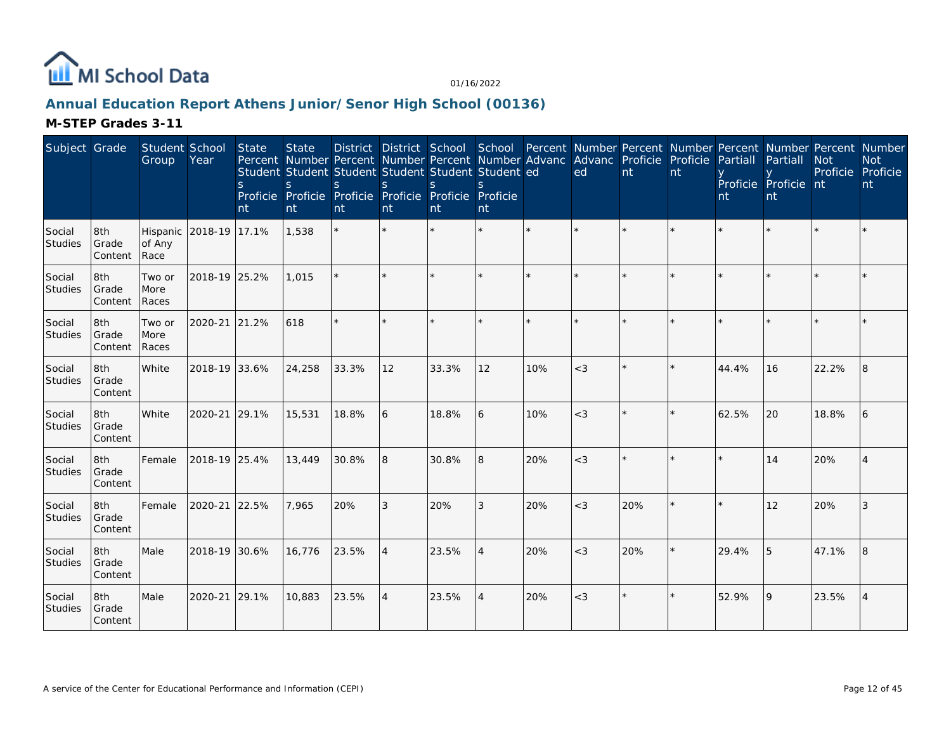

# **Annual Education Report Athens Junior/Senor High School (00136)**

| Subject Grade            |                          | Student School<br>Group                  | Year          | <b>State</b><br><sub>S</sub><br>nt | <b>State</b><br>Percent Number Percent Number Percent Number Advanc Advanc Proficie Proficie<br>Student Student Student Student Student Student ed<br>S.<br>Proficie Proficie Proficie Proficie Proficie Proficie<br>nt | <sub>S</sub><br>nt | <sub>S</sub><br>nt       | <sub>S</sub><br>nt | $\mathcal{S}$<br>nt |         | ed       | nt  | nt | Partiall<br>nt | District District School School Percent Number Percent Number Percent Number Percent Number<br>Partiall<br>Proficie Proficie nt<br>nt | <b>Not</b><br>Proficie Proficie | <b>Not</b><br>nt |
|--------------------------|--------------------------|------------------------------------------|---------------|------------------------------------|-------------------------------------------------------------------------------------------------------------------------------------------------------------------------------------------------------------------------|--------------------|--------------------------|--------------------|---------------------|---------|----------|-----|----|----------------|---------------------------------------------------------------------------------------------------------------------------------------|---------------------------------|------------------|
| Social<br><b>Studies</b> | 8th<br>Grade<br>Content  | Hispanic 2018-19 17.1%<br>of Any<br>Race |               |                                    | 1,538                                                                                                                                                                                                                   | $\star$            |                          |                    |                     | $\star$ | $\star$  |     |    |                |                                                                                                                                       |                                 |                  |
| Social<br><b>Studies</b> | 8th<br>Grade<br>Content  | Two or<br>More<br>Races                  | 2018-19 25.2% |                                    | 1,015                                                                                                                                                                                                                   |                    |                          |                    |                     |         | $\star$  |     |    |                |                                                                                                                                       |                                 |                  |
| Social<br><b>Studies</b> | 8th<br>Grade<br>Content  | Two or<br>More<br>Races                  | 2020-21 21.2% |                                    | 618                                                                                                                                                                                                                     | $\star$            |                          |                    |                     | ÷.      | $\star$  |     |    |                |                                                                                                                                       |                                 |                  |
| Social<br>Studies        | 8th<br>Grade<br>Content  | White                                    | 2018-19 33.6% |                                    | 24,258                                                                                                                                                                                                                  | 33.3%              | 12                       | 33.3%              | 12                  | 10%     | $<$ 3    |     |    | 44.4%          | 16                                                                                                                                    | 22.2%                           | 8                |
| Social<br>Studies        | 8th<br>Grade<br>Content  | <b>White</b>                             | 2020-21 29.1% |                                    | 15,531                                                                                                                                                                                                                  | 18.8%              | 6                        | 18.8%              | 6                   | 10%     | $\leq$ 3 |     |    | 62.5%          | 20                                                                                                                                    | 18.8%                           | 6                |
| Social<br>Studies        | 8th<br>Grade<br>Content  | Female                                   | 2018-19 25.4% |                                    | 13,449                                                                                                                                                                                                                  | 30.8%              | 8                        | 30.8%              | 8                   | 20%     | $<$ 3    |     |    |                | 14                                                                                                                                    | 20%                             |                  |
| Social<br>Studies        | 18th<br>Grade<br>Content | Female                                   | 2020-21 22.5% |                                    | 7.965                                                                                                                                                                                                                   | 20%                | 3                        | 20%                | 3                   | 20%     | $<$ 3    | 20% |    |                | 12                                                                                                                                    | 20%                             | 3                |
| Social<br><b>Studies</b> | 8th<br>Grade<br>Content  | Male                                     | 2018-19 30.6% |                                    | 16,776                                                                                                                                                                                                                  | 23.5%              | $\boldsymbol{\varDelta}$ | 23.5%              | $\overline{4}$      | 20%     | $<$ 3    | 20% |    | 29.4%          | 5                                                                                                                                     | 47.1%                           | 8                |
| Social<br><b>Studies</b> | 8th<br>Grade<br>Content  | Male                                     | 2020-21       | 29.1%                              | 10,883                                                                                                                                                                                                                  | 23.5%              | $\overline{4}$           | 23.5%              | $\overline{4}$      | 20%     | $<$ 3    |     |    | 52.9%          | <b>9</b>                                                                                                                              | 23.5%                           | 4                |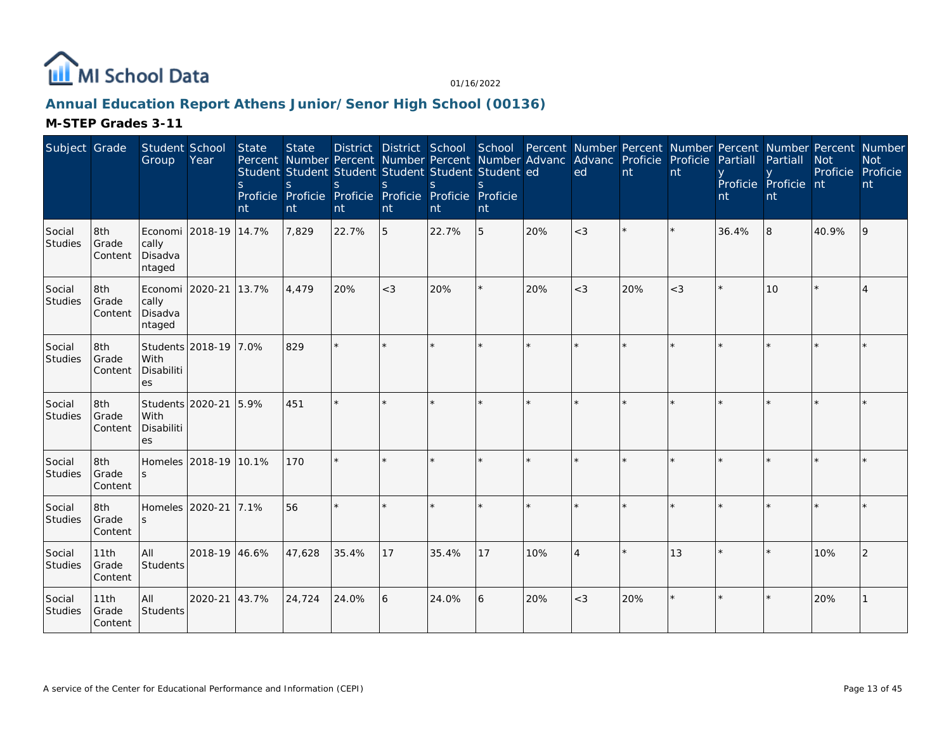

# **Annual Education Report Athens Junior/Senor High School (00136)**

| Subject Grade            |                          | Student School<br>Group                       | Year                  | <b>State</b><br><sub>S</sub><br>nt | <b>State</b><br>Percent Number Percent Number Percent Number Advanc Advanc Proficie Proficie<br>Student Student Student Student Student Student ed<br><sub>S</sub><br>Proficie Proficie Proficie Proficie Proficie Proficie<br>nt | S.<br>nt | S<br>nt | <sup>S</sup><br>nt | $\mathcal{S}$<br>nt |         | District District School School Percent Number Percent Number Percent Number Percent Number<br>ed | nt  | nt    | Partiall<br>nt | Partiall<br>Proficie Proficie nt<br>nt | <b>Not</b><br>Proficie Proficie | <b>Not</b><br>nt |
|--------------------------|--------------------------|-----------------------------------------------|-----------------------|------------------------------------|-----------------------------------------------------------------------------------------------------------------------------------------------------------------------------------------------------------------------------------|----------|---------|--------------------|---------------------|---------|---------------------------------------------------------------------------------------------------|-----|-------|----------------|----------------------------------------|---------------------------------|------------------|
| Social<br><b>Studies</b> | 8th<br>Grade<br>Content  | cally<br>Disadva<br>ntaged                    | Economi 2018-19 14.7% |                                    | 7,829                                                                                                                                                                                                                             | 22.7%    | 5       | 22.7%              | 5                   | 20%     | $<$ 3                                                                                             |     |       | 36.4%          | 8                                      | 40.9%                           | 9                |
| Social<br>Studies        | 8th<br>Grade<br>Content  | Economi 2020-21<br>cally<br>Disadva<br>ntaged |                       | 13.7%                              | 4.479                                                                                                                                                                                                                             | 20%      | $<$ 3   | 20%                |                     | 20%     | $<$ 3                                                                                             | 20% | $<$ 3 |                | 10                                     |                                 |                  |
| Social<br>Studies        | 8th<br>Grade<br>Content  | With<br>Disabiliti<br><b>es</b>               | Students 2018-19 7.0% |                                    | 829                                                                                                                                                                                                                               |          |         |                    |                     |         |                                                                                                   |     |       |                |                                        |                                 |                  |
| Social<br>Studies        | 8th<br>Grade<br>Content  | With<br>Disabiliti<br>es                      | Students 2020-21 5.9% |                                    | 451                                                                                                                                                                                                                               | $\star$  |         |                    |                     | $\star$ | ×                                                                                                 |     |       |                |                                        |                                 |                  |
| Social<br>Studies        | 8th<br>Grade<br>Content  | Homeles 2018-19 10.1%                         |                       |                                    | 170                                                                                                                                                                                                                               | $\star$  |         |                    |                     |         | ÷                                                                                                 |     |       |                |                                        |                                 |                  |
| Social<br><b>Studies</b> | 8th<br>Grade<br>Content  | Homeles 2020-21                               |                       | 7.1%                               | 56                                                                                                                                                                                                                                | $\star$  |         |                    |                     |         |                                                                                                   |     |       |                |                                        |                                 |                  |
| Social<br>Studies        | 11th<br>Grade<br>Content | All<br>Students                               | 2018-19 46.6%         |                                    | 47.628                                                                                                                                                                                                                            | 35.4%    | 17      | 35.4%              | 17                  | 10%     | $\overline{4}$                                                                                    |     | 13    |                |                                        | 10%                             |                  |
| Social<br>Studies        | 11th<br>Grade<br>Content | All<br>Students                               | 2020-21               | 43.7%                              | 24,724                                                                                                                                                                                                                            | 24.0%    | 6       | 24.0%              | 6                   | 20%     | $<$ 3                                                                                             | 20% |       |                |                                        | 20%                             |                  |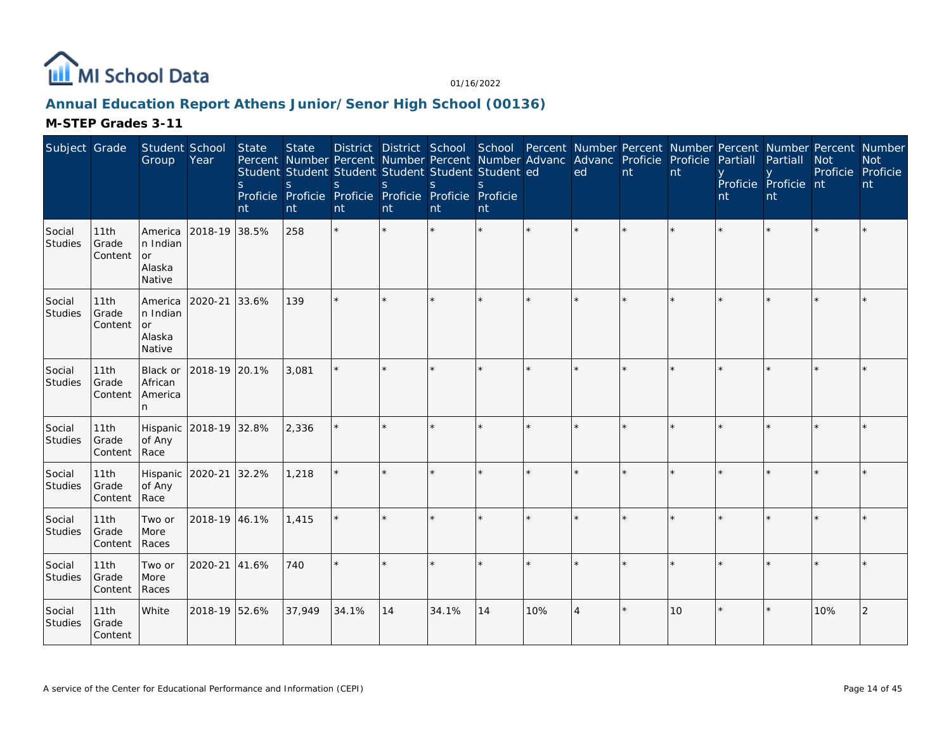

# **Annual Education Report Athens Junior/Senor High School (00136)**

| Subject Grade            |                          | Student School<br>Group                               | Year          | State<br>S.<br>nt | <b>State</b><br>S<br>nt | Percent Number Percent Number Percent Number Advanc<br>Student Student Student Student Student Student ed<br>S.<br>Proficie Proficie Proficie Proficie Proficie Proficie<br>nt | <sub>S</sub><br>nt | S.<br>nt | S.<br>nt |     | District District School School Percent Number Percent Number Percent Number Percent Number<br>Advanc Proficie Proficie<br>ed | nt | nt | Partiall<br>nt | Partiall<br>Proficie Proficie nt<br>nt | <b>Not</b><br>Proficie Proficie | <b>Not</b><br>nt |
|--------------------------|--------------------------|-------------------------------------------------------|---------------|-------------------|-------------------------|--------------------------------------------------------------------------------------------------------------------------------------------------------------------------------|--------------------|----------|----------|-----|-------------------------------------------------------------------------------------------------------------------------------|----|----|----------------|----------------------------------------|---------------------------------|------------------|
| Social<br>Studies        | 11th<br>Grade<br>Content | America<br>In Indian<br><b>or</b><br>Alaska<br>Native | 2018-19 38.5% |                   | 258                     | $\star$                                                                                                                                                                        |                    |          |          |     |                                                                                                                               |    |    |                |                                        |                                 |                  |
| Social<br>Studies        | 11th<br>Grade<br>Content | America<br>n Indian<br>or<br>Alaska<br>Native         | 2020-21       | 33.6%             | 139                     | ÷.                                                                                                                                                                             |                    |          | $\star$  |     |                                                                                                                               |    |    |                |                                        |                                 |                  |
| Social<br><b>Studies</b> | 11th<br>Grade<br>Content | Black or<br>African<br>America<br>n                   | 2018-19 20.1% |                   | 3,081                   |                                                                                                                                                                                |                    |          |          |     |                                                                                                                               |    |    |                |                                        |                                 |                  |
| Social<br>Studies        | 11th<br>Grade<br>Content | Hispanic<br>of Any<br>Race                            | 2018-19 32.8% |                   | 2,336                   |                                                                                                                                                                                | ×.                 |          | $\star$  |     | $\star$                                                                                                                       |    | ×. |                |                                        |                                 |                  |
| Social<br>Studies        | 11th<br>Grade<br>Content | Hispanic 2020-21<br>of Any<br>Race                    |               | 32.2%             | 1,218                   |                                                                                                                                                                                |                    |          | ×.       |     |                                                                                                                               |    |    |                |                                        |                                 |                  |
| Social<br>Studies        | 11th<br>Grade<br>Content | Two or<br>More<br>Races                               | 2018-19 46.1% |                   | 1,415                   |                                                                                                                                                                                |                    |          | ×.       |     | $\star$                                                                                                                       |    |    |                |                                        |                                 |                  |
| Social<br>Studies        | 11th<br>Grade<br>Content | Two or<br>More<br>Races                               | 2020-21       | 41.6%             | 740                     |                                                                                                                                                                                |                    |          |          |     |                                                                                                                               |    |    |                |                                        |                                 |                  |
| Social<br><b>Studies</b> | 11th<br>Grade<br>Content | White                                                 | 2018-19 52.6% |                   | 37,949                  | 34.1%                                                                                                                                                                          | 14                 | 34.1%    | 14       | 10% | $\overline{4}$                                                                                                                |    | 10 |                |                                        | 10%                             | 2                |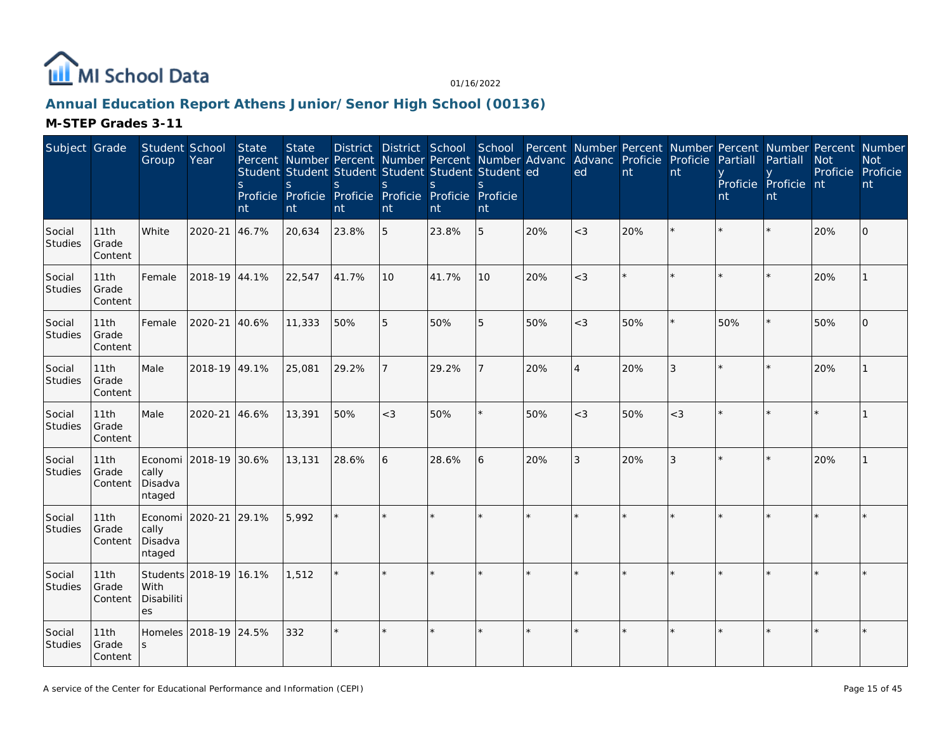

# **Annual Education Report Athens Junior/Senor High School (00136)**

| Subject Grade            |                          | Student School<br>Group                             | Year                   | State<br><sub>S</sub><br>nt | <b>State</b><br>Percent Number Percent Number Percent Number Advanc<br>Student Student Student Student Student Student ed<br>S<br>Proficie Proficie Proficie Proficie Proficie Proficie<br>nt | S.<br>nt | S<br>nt | <sub>S</sub><br>nt | S.<br>nt |     | District District School School Percent Number Percent Number Percent Number Percent Number<br>Advanc Proficie Proficie<br>ed | nt  | nt      | Partiall<br>nt | Partiall<br>Proficie Proficie nt<br>nt | <b>Not</b><br>Proficie Proficie | <b>Not</b><br>nt |
|--------------------------|--------------------------|-----------------------------------------------------|------------------------|-----------------------------|-----------------------------------------------------------------------------------------------------------------------------------------------------------------------------------------------|----------|---------|--------------------|----------|-----|-------------------------------------------------------------------------------------------------------------------------------|-----|---------|----------------|----------------------------------------|---------------------------------|------------------|
| Social<br>Studies        | 11th<br>Grade<br>Content | White                                               | 2020-21                | 46.7%                       | 20,634                                                                                                                                                                                        | 23.8%    | 5       | 23.8%              | 5        | 20% | $<$ 3                                                                                                                         | 20% |         |                |                                        | 20%                             | $\Omega$         |
| Social<br>Studies        | 11th<br>Grade<br>Content | Female                                              | 2018-19 44.1%          |                             | 22,547                                                                                                                                                                                        | 41.7%    | 10      | 41.7%              | 10       | 20% | $<$ 3                                                                                                                         |     |         |                |                                        | 20%                             |                  |
| Social<br><b>Studies</b> | 11th<br>Grade<br>Content | Female                                              | 2020-21                | 40.6%                       | 11,333                                                                                                                                                                                        | 50%      | 5       | 50%                | 5        | 50% | $<$ 3                                                                                                                         | 50% |         | 50%            |                                        | 50%                             | $\overline{O}$   |
| Social<br>Studies        | 11th<br>Grade<br>Content | Male                                                | 2018-19 49.1%          |                             | 25,081                                                                                                                                                                                        | 29.2%    |         | 29.2%              |          | 20% | $\overline{4}$                                                                                                                | 20% | 3       |                |                                        | 20%                             |                  |
| Social<br>Studies        | 11th<br>Grade<br>Content | Male                                                | 2020-21                | 46.6%                       | 13,391                                                                                                                                                                                        | 50%      | $<$ 3   | 50%                |          | 50% | $<$ 3                                                                                                                         | 50% | $<$ 3   |                |                                        |                                 |                  |
| Social<br>Studies        | 11th<br>Grade<br>Content | Economi 2018-19 30.6%<br>cally<br>Disadva<br>ntaged |                        |                             | 13,131                                                                                                                                                                                        | 28.6%    | 6       | 28.6%              | 6        | 20% | $\mathfrak{Z}$                                                                                                                | 20% | 3       |                |                                        | 20%                             |                  |
| Social<br>Studies        | 11th<br>Grade<br>Content | Economi 2020-21<br>cally<br>Disadva<br>ntaged       |                        | 29.1%                       | 5,992                                                                                                                                                                                         |          |         |                    |          |     |                                                                                                                               |     |         |                |                                        |                                 |                  |
| Social<br>Studies        | 11th<br>Grade<br>Content | With<br>Disabiliti<br>es                            | Students 2018-19 16.1% |                             | 1,512                                                                                                                                                                                         |          |         |                    |          |     |                                                                                                                               |     |         |                |                                        |                                 |                  |
| Social<br>Studies        | 11th<br>Grade<br>Content | S                                                   | Homeles 2018-19 24.5%  |                             | 332                                                                                                                                                                                           | $\star$  |         |                    |          |     |                                                                                                                               |     | $\star$ |                |                                        |                                 |                  |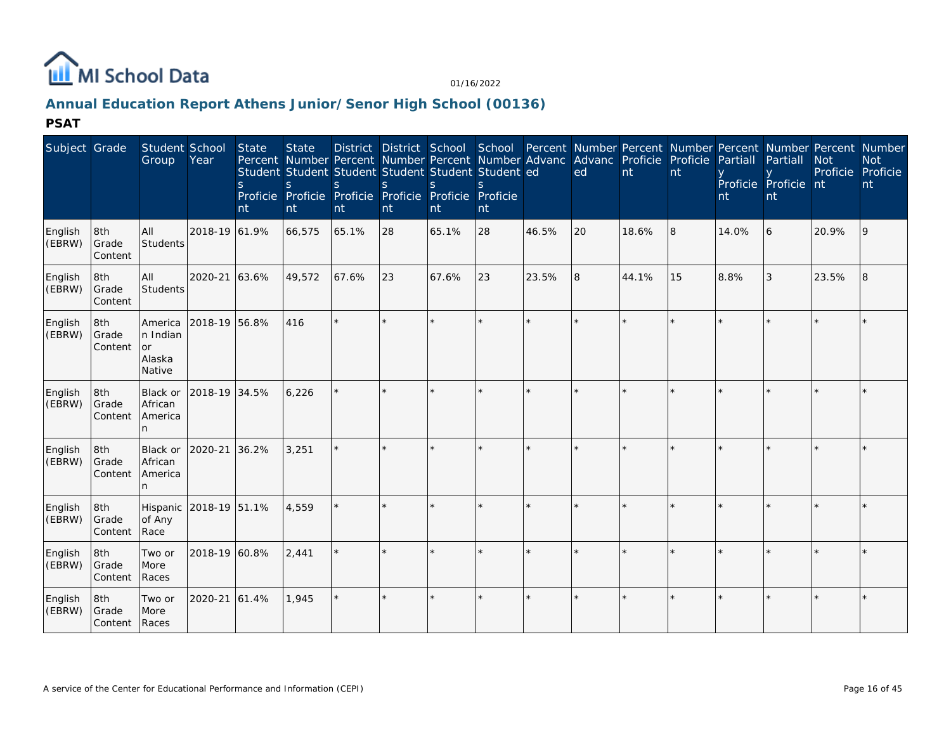

# **Annual Education Report Athens Junior/Senor High School (00136)**

| Subject Grade     |                         | Student School<br>Group                              | Year                   | State<br>S.<br>nt | <b>State</b><br><sub>S</sub><br>nt | $\varsigma$<br>nt | <sub>S</sub><br>nt | Student Student Student Student Student Student ed<br>$\mathcal{S}$<br>Proficie Proficie Proficie Proficie Proficie Proficie<br>nt | nt      |         | District District School School Percent Number Percent Number Percent Number Percent Number<br>Percent Number Percent Number Percent Number Advanc Advanc Proficie Proficie Partiall<br>ed | nt      | nt      | nt    | Partiall<br>Proficie Proficie nt<br>nt | <b>Not</b><br>Proficie Proficie | <b>Not</b><br>nt |
|-------------------|-------------------------|------------------------------------------------------|------------------------|-------------------|------------------------------------|-------------------|--------------------|------------------------------------------------------------------------------------------------------------------------------------|---------|---------|--------------------------------------------------------------------------------------------------------------------------------------------------------------------------------------------|---------|---------|-------|----------------------------------------|---------------------------------|------------------|
| English<br>(EBRW) | 8th<br>Grade<br>Content | All<br><b>Students</b>                               | 2018-19 61.9%          |                   | 66,575                             | 65.1%             | 28                 | 65.1%                                                                                                                              | 28      | 46.5%   | 20                                                                                                                                                                                         | 18.6%   | 8       | 14.0% | 6                                      | 20.9%                           | 9                |
| English<br>(EBRW) | 8th<br>Grade<br>Content | All<br><b>Students</b>                               | 2020-21 63.6%          |                   | 49,572                             | 67.6%             | 23                 | 67.6%                                                                                                                              | 23      | 23.5%   | 8                                                                                                                                                                                          | 44.1%   | 15      | 8.8%  | 3                                      | 23.5%                           | 8                |
| English<br>(EBRW) | 8th<br>Grade<br>Content | America<br>n Indian<br><b>or</b><br>Alaska<br>Native | 2018-19 56.8%          |                   | 416                                |                   | $\star$            |                                                                                                                                    |         | $\star$ |                                                                                                                                                                                            | $\star$ |         |       |                                        |                                 |                  |
| English<br>(EBRW) | 8th<br>Grade<br>Content | <b>Black or</b><br>African<br>America<br>n.          | 2018-19 34.5%          |                   | 6.226                              |                   | ÷                  |                                                                                                                                    | ÷.      |         | ÷                                                                                                                                                                                          | $\star$ | $\star$ |       |                                        |                                 |                  |
| English<br>(EBRW) | 8th<br>Grade<br>Content | Black or<br>African<br>America<br>n.                 | 2020-21 36.2%          |                   | 3,251                              |                   |                    |                                                                                                                                    |         |         |                                                                                                                                                                                            |         |         |       |                                        |                                 |                  |
| English<br>(EBRW) | 8th<br>Grade<br>Content | of Any<br>Race                                       | Hispanic 2018-19 51.1% |                   | 4,559                              |                   | $\star$            |                                                                                                                                    |         |         | $\star$                                                                                                                                                                                    | ÷.      | ÷.      |       |                                        |                                 | $\star$          |
| English<br>(EBRW) | 8th<br>Grade<br>Content | Two or<br>More<br>Races                              | 2018-19 60.8%          |                   | 2,441                              |                   |                    |                                                                                                                                    |         |         |                                                                                                                                                                                            |         | $\star$ |       |                                        |                                 |                  |
| English<br>(EBRW) | 8th<br>Grade<br>Content | Two or<br>More<br>Races                              | 2020-21 61.4%          |                   | 1,945                              |                   | $\star$            |                                                                                                                                    | $\star$ | $\star$ |                                                                                                                                                                                            | $\star$ | $\star$ |       |                                        |                                 |                  |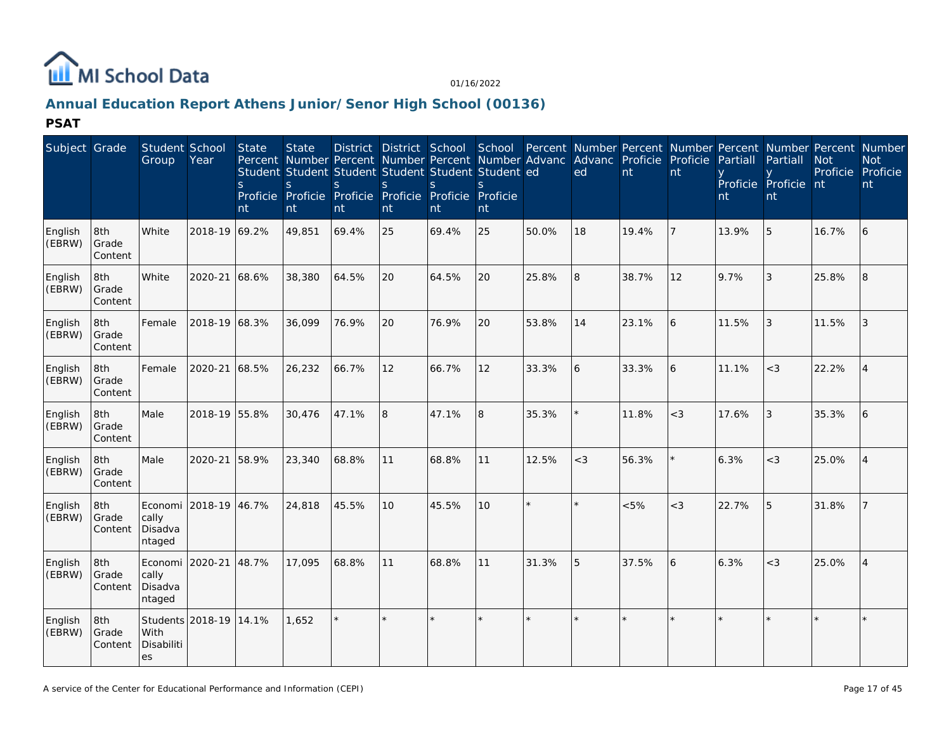

# **Annual Education Report Athens Junior/Senor High School (00136)**

| Subject Grade     |                         | Student School<br>Group                       | Year                   | State<br><sub>S</sub><br>nt | <b>State</b><br>S<br>nt | S.<br>nt | District District School<br>S<br>nt | Student Student Student Student Student Student ed<br><sub>S</sub><br>Proficie Proficie Proficie Proficie Proficie<br>nt | School<br>$\mathcal{S}$<br>Proficie<br>nt |         | Percent Number Percent Number Percent Number Percent Number<br>Percent Number Percent Number Percent Number Advanc Advanc Proficie Proficie<br>ed | nt    | nt             | Partiall<br>nt | Partiall<br>Proficie Proficie nt<br>nt | <b>Not</b><br>Proficie | <b>Not</b><br>Proficie<br>nt |
|-------------------|-------------------------|-----------------------------------------------|------------------------|-----------------------------|-------------------------|----------|-------------------------------------|--------------------------------------------------------------------------------------------------------------------------|-------------------------------------------|---------|---------------------------------------------------------------------------------------------------------------------------------------------------|-------|----------------|----------------|----------------------------------------|------------------------|------------------------------|
| English<br>(EBRW) | 8th<br>Grade<br>Content | White                                         | 2018-19 69.2%          |                             | 49,851                  | 69.4%    | 25                                  | 69.4%                                                                                                                    | 25                                        | 50.0%   | 18                                                                                                                                                | 19.4% | $\overline{7}$ | 13.9%          | 5                                      | 16.7%                  | 6                            |
| English<br>(EBRW) | 8th<br>Grade<br>Content | White                                         | 2020-21 68.6%          |                             | 38,380                  | 64.5%    | 20                                  | 64.5%                                                                                                                    | 20                                        | 25.8%   | 8                                                                                                                                                 | 38.7% | 12             | 9.7%           | 3                                      | 25.8%                  | 8                            |
| English<br>(EBRW) | 8th<br>Grade<br>Content | Female                                        | 2018-19 68.3%          |                             | 36,099                  | 76.9%    | 20                                  | 76.9%                                                                                                                    | 20                                        | 53.8%   | 14                                                                                                                                                | 23.1% | 6              | 11.5%          | 3                                      | 11.5%                  | 3                            |
| English<br>(EBRW) | 8th<br>Grade<br>Content | Female                                        | 2020-21 68.5%          |                             | 26,232                  | 66.7%    | 12                                  | 66.7%                                                                                                                    | 12                                        | 33.3%   | 6                                                                                                                                                 | 33.3% | 6              | 11.1%          | $<$ 3                                  | 22.2%                  | $\overline{4}$               |
| English<br>(EBRW) | 8th<br>Grade<br>Content | Male                                          | 2018-19 55.8%          |                             | 30,476                  | 47.1%    | 8                                   | 47.1%                                                                                                                    | 8                                         | 35.3%   |                                                                                                                                                   | 11.8% | $<$ 3          | 17.6%          | 3                                      | 35.3%                  | 6                            |
| English<br>(EBRW) | 8th<br>Grade<br>Content | Male                                          | 2020-21                | 58.9%                       | 23,340                  | 68.8%    | 11                                  | 68.8%                                                                                                                    | 11                                        | 12.5%   | $<$ 3                                                                                                                                             | 56.3% |                | 6.3%           | $<$ 3                                  | 25.0%                  | $\overline{4}$               |
| English<br>(EBRW) | 8th<br>Grade<br>Content | Economi<br>cally<br>Disadva<br>ntaged         | 2018-19 46.7%          |                             | 24,818                  | 45.5%    | 10                                  | 45.5%                                                                                                                    | 10                                        | $\star$ | $\star$                                                                                                                                           | &5%   | $<$ 3          | 22.7%          | 5                                      | 31.8%                  | $\overline{7}$               |
| English<br>(EBRW) | 8th<br>Grade<br>Content | Economi 2020-21<br>cally<br>Disadva<br>ntaged |                        | 48.7%                       | 17,095                  | 68.8%    | 11                                  | 68.8%                                                                                                                    | 11                                        | 31.3%   | 5                                                                                                                                                 | 37.5% | 6              | 6.3%           | $<$ 3                                  | 25.0%                  | $\overline{4}$               |
| English<br>(EBRW) | 8th<br>Grade<br>Content | With<br>Disabiliti<br>es                      | Students 2018-19 14.1% |                             | 1,652                   |          |                                     |                                                                                                                          |                                           |         |                                                                                                                                                   |       | $\star$        |                |                                        |                        |                              |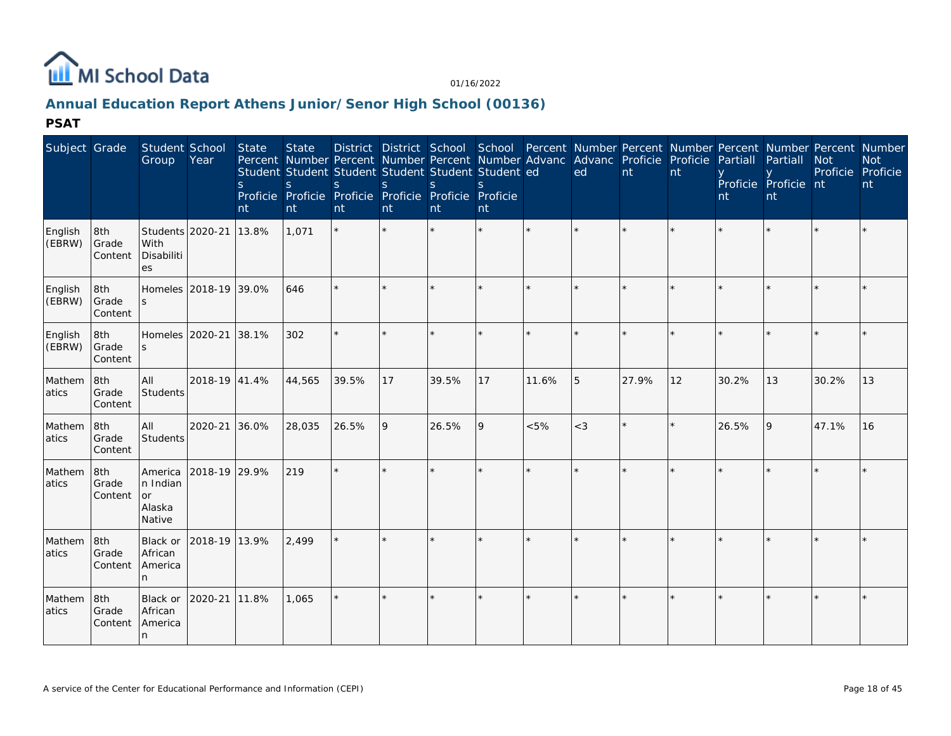

# **Annual Education Report Athens Junior/Senor High School (00136)**

| Subject Grade     |                         | Student School<br>Group                       | Year                  | State<br><sub>S</sub><br>nt | <b>State</b><br>$\mathsf{S}$<br>nt | Percent Number Percent Number Percent Number Advanc Advanc Proficie Proficie<br>Student Student Student Student Student Student ed<br>S<br>Proficie Proficie Proficie Proficie Proficie Proficie<br>nt | <sup>S</sup><br>nt | <sub>S</sub><br>nt | nt      |         | District District School School Percent Number Percent Number Percent Number Percent Number<br>ed | nt      | nt      | Partiall<br>nt | Partiall<br>Proficie Proficie nt<br>nt | <b>Not</b><br>Proficie Proficie | <b>Not</b><br>nt |
|-------------------|-------------------------|-----------------------------------------------|-----------------------|-----------------------------|------------------------------------|--------------------------------------------------------------------------------------------------------------------------------------------------------------------------------------------------------|--------------------|--------------------|---------|---------|---------------------------------------------------------------------------------------------------|---------|---------|----------------|----------------------------------------|---------------------------------|------------------|
| English<br>(EBRW) | 8th<br>Grade<br>Content | Students 2020-21<br>With<br>Disabiliti<br>es  |                       | 13.8%                       | 1,071                              |                                                                                                                                                                                                        |                    |                    | $\star$ |         |                                                                                                   | ÷.      |         |                |                                        |                                 |                  |
| English<br>(EBRW) | 8th<br>Grade<br>Content | S                                             | Homeles 2018-19 39.0% |                             | 646                                | $\star$                                                                                                                                                                                                |                    |                    | ÷       |         | $\star$                                                                                           | $\star$ | $\star$ |                |                                        |                                 |                  |
| English<br>(EBRW) | 8th<br>Grade<br>Content | S                                             | Homeles 2020-21 38.1% |                             | 302                                | $\star$                                                                                                                                                                                                |                    |                    | ÷       | $\star$ |                                                                                                   | $\star$ |         |                |                                        |                                 |                  |
| Mathem<br>atics   | 8th<br>Grade<br>Content | All<br><b>Students</b>                        | 2018-19 41.4%         |                             | 44,565                             | 39.5%                                                                                                                                                                                                  | 17                 | 39.5%              | 17      | 11.6%   | 5                                                                                                 | 27.9%   | 12      | 30.2%          | 13                                     | 30.2%                           | 13               |
| Mathem<br>atics   | 8th<br>Grade<br>Content | All<br><b>Students</b>                        | 2020-21 36.0%         |                             | 28,035                             | 26.5%                                                                                                                                                                                                  | 9                  | 26.5%              | 9       | &5%     | $<$ 3                                                                                             | $\star$ | $\star$ | 26.5%          | 9                                      | 47.1%                           | 16               |
| Mathem<br>atics   | 8th<br>Grade<br>Content | America<br>n Indian<br>or<br>Alaska<br>Native | 2018-19 29.9%         |                             | 219                                | $\star$                                                                                                                                                                                                | $\star$            | $\star$            | $\star$ | $\star$ | $\star$                                                                                           | $\star$ |         |                |                                        |                                 |                  |
| Mathem<br>atics   | 8th<br>Grade<br>Content | Black or<br>African<br>America<br>n.          | 2018-19               | 13.9%                       | 2,499                              |                                                                                                                                                                                                        |                    | $\star$            | ÷       | $\star$ |                                                                                                   | $\star$ |         |                |                                        |                                 |                  |
| Mathem<br>atics   | 8th<br>Grade<br>Content | Black or<br>African<br>America<br>In.         | 2020-21 11.8%         |                             | 1,065                              |                                                                                                                                                                                                        | ÷,                 | $\star$            | $\star$ |         | $\star$                                                                                           | $\star$ |         |                |                                        |                                 |                  |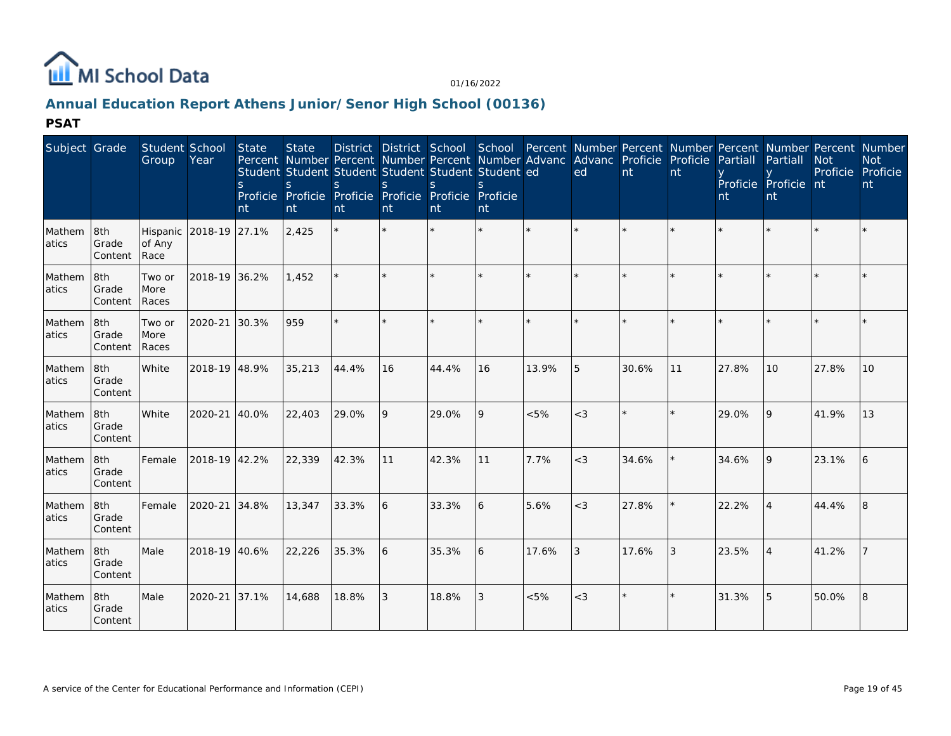

# **Annual Education Report Athens Junior/Senor High School (00136)**

| Subject Grade    |                          | Student School<br>Group        | Year                   | State<br><sub>S</sub><br>nt | <b>State</b><br>S.<br>nt | <sub>S</sub><br>nt | S<br>nt | Student Student Student Student Student Student ed<br>$\mathcal{S}$<br>Proficie Proficie Proficie Proficie Proficie Proficie<br>nt | nt |       | District District School School Percent Number Percent Number Percent Number Percent Number<br>Percent Number Percent Number Percent Number Advanc Advanc Proficie Proficie<br>ed | nt      | nt      | Partiall<br>nt | Partiall<br>Proficie Proficie nt<br>nt | <b>Not</b><br>Proficie Proficie | <b>Not</b><br>nt |
|------------------|--------------------------|--------------------------------|------------------------|-----------------------------|--------------------------|--------------------|---------|------------------------------------------------------------------------------------------------------------------------------------|----|-------|-----------------------------------------------------------------------------------------------------------------------------------------------------------------------------------|---------|---------|----------------|----------------------------------------|---------------------------------|------------------|
| Mathem<br>atics  | 8th<br>Grade<br> Content | of Any<br>Race                 | Hispanic 2018-19 27.1% |                             | 2,425                    |                    |         |                                                                                                                                    |    |       |                                                                                                                                                                                   |         |         |                |                                        |                                 |                  |
| Mathem<br>atics  | 8th<br>Grade<br>Content  | Two or<br><b>More</b><br>Races | 2018-19 36.2%          |                             | 1,452                    |                    |         |                                                                                                                                    |    |       |                                                                                                                                                                                   |         |         |                |                                        |                                 |                  |
| Mathem<br>atics  | 8th<br>Grade<br>Content  | Two or<br>More<br>Races        | 2020-21                | 30.3%                       | 959                      |                    |         |                                                                                                                                    |    |       |                                                                                                                                                                                   | $\star$ | ÷.      |                |                                        |                                 |                  |
| Mathem<br>atics  | 8th<br>Grade<br>Content  | White                          | 2018-19 48.9%          |                             | 35,213                   | 44.4%              | 16      | 44.4%                                                                                                                              | 16 | 13.9% | 5                                                                                                                                                                                 | 30.6%   | 11      | 27.8%          | 10 <sup>1</sup>                        | 27.8%                           | 10               |
| Mathem<br>atics  | 8th<br>Grade<br>Content  | White                          | 2020-21                | 40.0%                       | 22,403                   | 29.0%              | 9       | 29.0%                                                                                                                              | 9  | < 5%  | $<$ 3                                                                                                                                                                             | $\star$ | $\star$ | 29.0%          | 9                                      | 41.9%                           | 13               |
| Mathem<br>atics  | 8th<br>Grade<br>Content  | Female                         | 2018-19 42.2%          |                             | 22,339                   | 42.3%              | 11      | 42.3%                                                                                                                              | 11 | 7.7%  | $<$ 3                                                                                                                                                                             | 34.6%   |         | 34.6%          | 9                                      | 23.1%                           | 6                |
| Mathem<br>latics | 8th<br>Grade<br>Content  | Female                         | 2020-21 34.8%          |                             | 13,347                   | 33.3%              | 6       | 33.3%                                                                                                                              | 6  | 5.6%  | $<$ 3                                                                                                                                                                             | 27.8%   |         | 22.2%          |                                        | 44.4%                           | 8                |
| Mathem<br>atics  | 8th<br>Grade<br>Content  | Male                           | 2018-19 40.6%          |                             | 22,226                   | 35.3%              | 6       | 35.3%                                                                                                                              | 6  | 17.6% | 3                                                                                                                                                                                 | 17.6%   | 3       | 23.5%          |                                        | 41.2%                           |                  |
| Mathem<br>atics  | 8th<br>Grade<br>Content  | Male                           | 2020-21 37.1%          |                             | 14,688                   | 18.8%              | 3       | 18.8%                                                                                                                              | 3  | < 5%  | $<$ 3                                                                                                                                                                             | $\star$ | $\star$ | 31.3%          | 5                                      | 50.0%                           | 8                |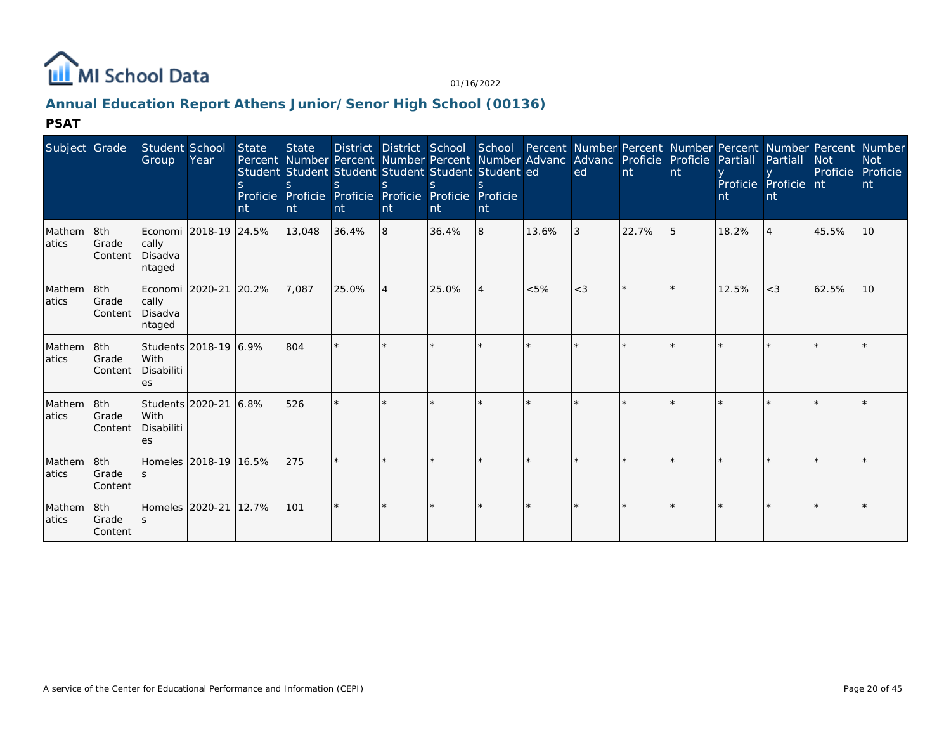

# **Annual Education Report Athens Junior/Senor High School (00136)**

| Subject Grade    |                                | Student School<br>Group                                 | Year                  | <b>State</b><br>nt | <b>State</b><br>Student Student Student Student Student Student ed<br>S.<br>Proficie Proficie Proficie Proficie Proficie Proficie<br>nt | District District School<br>$\mathcal{S}$<br>nt | <sub>S</sub><br>nt | $\mathcal{S}$<br>nt. | nt |       | School Percent Number Percent Number Percent Number Percent Number<br>Percent Number Percent Number Percent Number Advanc Advanc Proficie Proficie Partiall<br>ed | nt      | nt | nt    | Partiall<br>Proficie Proficie nt<br><sub>nt</sub> | <b>Not</b><br>Proficie | <b>Not</b><br>Proficie<br>nt |
|------------------|--------------------------------|---------------------------------------------------------|-----------------------|--------------------|-----------------------------------------------------------------------------------------------------------------------------------------|-------------------------------------------------|--------------------|----------------------|----|-------|-------------------------------------------------------------------------------------------------------------------------------------------------------------------|---------|----|-------|---------------------------------------------------|------------------------|------------------------------|
| Mathem<br>latics | 8th<br>Grade<br>Content        | Economi   2018-19   24.5%<br>cally<br>Disadva<br>ntaged |                       |                    | 13,048                                                                                                                                  | 36.4%                                           | 8                  | 36.4%                | 8  | 13.6% | 3                                                                                                                                                                 | 22.7%   | 5  | 18.2% | $\overline{4}$                                    | 45.5%                  | 10                           |
| Mathem<br>atics  | 8th<br>Grade<br>Content        | Economi   2020-21   20.2%<br>cally<br>Disadva<br>ntaged |                       |                    | 7,087                                                                                                                                   | 25.0%                                           | $\overline{4}$     | 25.0%                | 4  | < 5%  | $<$ 3                                                                                                                                                             |         |    | 12.5% | $<$ 3                                             | 62.5%                  | 10                           |
| Mathem<br>atics  | 8th<br><b>Grade</b><br>Content | With<br>Disabiliti<br>es                                | Students 2018-19 6.9% |                    | 804                                                                                                                                     |                                                 |                    |                      |    |       |                                                                                                                                                                   | $\star$ |    |       |                                                   |                        |                              |
| Mathem<br>atics  | 8th<br>Grade<br>Content        | Students 2020-21 6.8%<br>With<br>Disabiliti<br>es       |                       |                    | 526                                                                                                                                     |                                                 |                    |                      |    |       |                                                                                                                                                                   |         |    |       |                                                   |                        |                              |
| Mathem<br>latics | 8th<br><b>Grade</b><br>Content | Homeles 2018-19 16.5%<br><sub>S</sub>                   |                       |                    | 275                                                                                                                                     | $\star$                                         |                    |                      |    |       |                                                                                                                                                                   | $\star$ |    |       |                                                   |                        |                              |
| Mathem<br>atics  | 8th<br>Grade<br>Content        | Homeles 2020-21 12.7%                                   |                       |                    | 101                                                                                                                                     |                                                 |                    |                      |    |       |                                                                                                                                                                   | $\star$ |    |       |                                                   |                        |                              |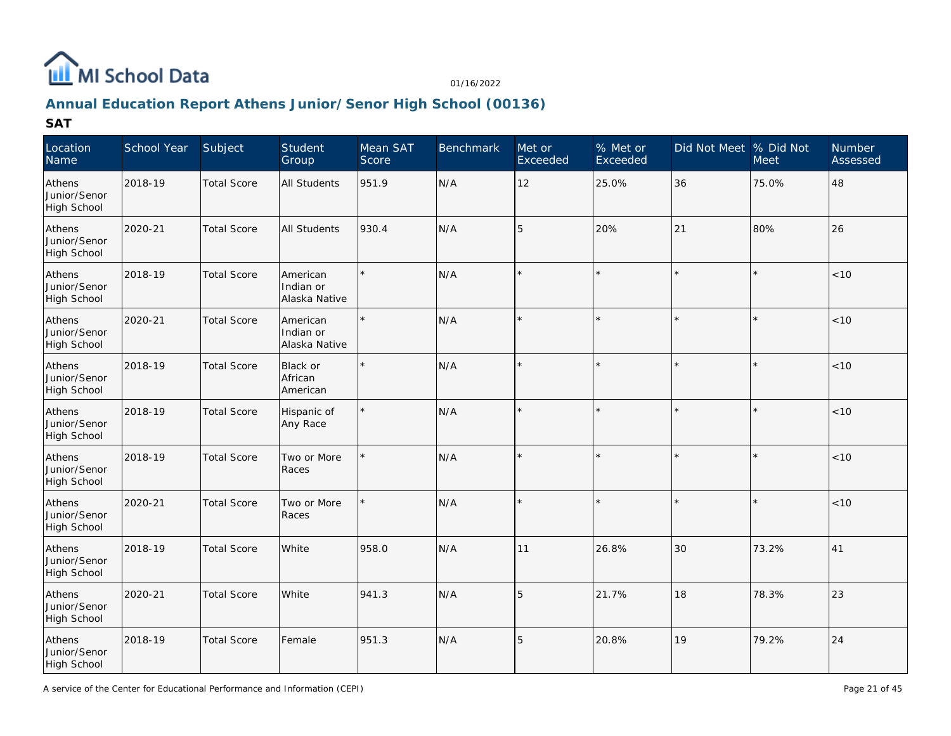

# **Annual Education Report Athens Junior/Senor High School (00136)**

| Location<br>Name                      | School Year | Subject            | Student<br>Group                       | Mean SAT<br>Score | <b>Benchmark</b> | Met or<br>Exceeded | % Met or<br>Exceeded | Did Not Meet % Did Not | Meet    | <b>Number</b><br>Assessed |
|---------------------------------------|-------------|--------------------|----------------------------------------|-------------------|------------------|--------------------|----------------------|------------------------|---------|---------------------------|
| Athens<br>Junior/Senor<br>High School | 2018-19     | <b>Total Score</b> | All Students                           | 951.9             | N/A              | 12                 | 25.0%                | 36                     | 75.0%   | 48                        |
| Athens<br>Junior/Senor<br>High School | 2020-21     | <b>Total Score</b> | All Students                           | 930.4             | N/A              | 5                  | 20%                  | 21                     | 80%     | 26                        |
| Athens<br>Junior/Senor<br>High School | 2018-19     | <b>Total Score</b> | American<br>Indian or<br>Alaska Native |                   | N/A              |                    |                      |                        |         | < 10                      |
| Athens<br>Junior/Senor<br>High School | 2020-21     | <b>Total Score</b> | American<br>Indian or<br>Alaska Native |                   | N/A              |                    | $\star$              |                        |         | $<10$                     |
| Athens<br>Junior/Senor<br>High School | 2018-19     | <b>Total Score</b> | Black or<br>African<br>American        |                   | N/A              |                    | $\star$              |                        | $\star$ | < 10                      |
| Athens<br>Junior/Senor<br>High School | 2018-19     | <b>Total Score</b> | Hispanic of<br>Any Race                | $\star$           | N/A              | $\star$            | $\star$              |                        |         | < 10                      |
| Athens<br>Junior/Senor<br>High School | 2018-19     | <b>Total Score</b> | Two or More<br>Races                   |                   | N/A              | ÷                  |                      |                        |         | < 10                      |
| Athens<br>Junior/Senor<br>High School | 2020-21     | <b>Total Score</b> | Two or More<br>Races                   |                   | N/A              | $\star$            | $\star$              |                        |         | $<10$                     |
| Athens<br>Junior/Senor<br>High School | 2018-19     | <b>Total Score</b> | White                                  | 958.0             | N/A              | 11                 | 26.8%                | 30                     | 73.2%   | 41                        |
| Athens<br>Junior/Senor<br>High School | 2020-21     | <b>Total Score</b> | White                                  | 941.3             | N/A              | 5                  | 21.7%                | 18                     | 78.3%   | 23                        |
| Athens<br>Junior/Senor<br>High School | 2018-19     | <b>Total Score</b> | Female                                 | 951.3             | N/A              | 5                  | 20.8%                | 19                     | 79.2%   | 24                        |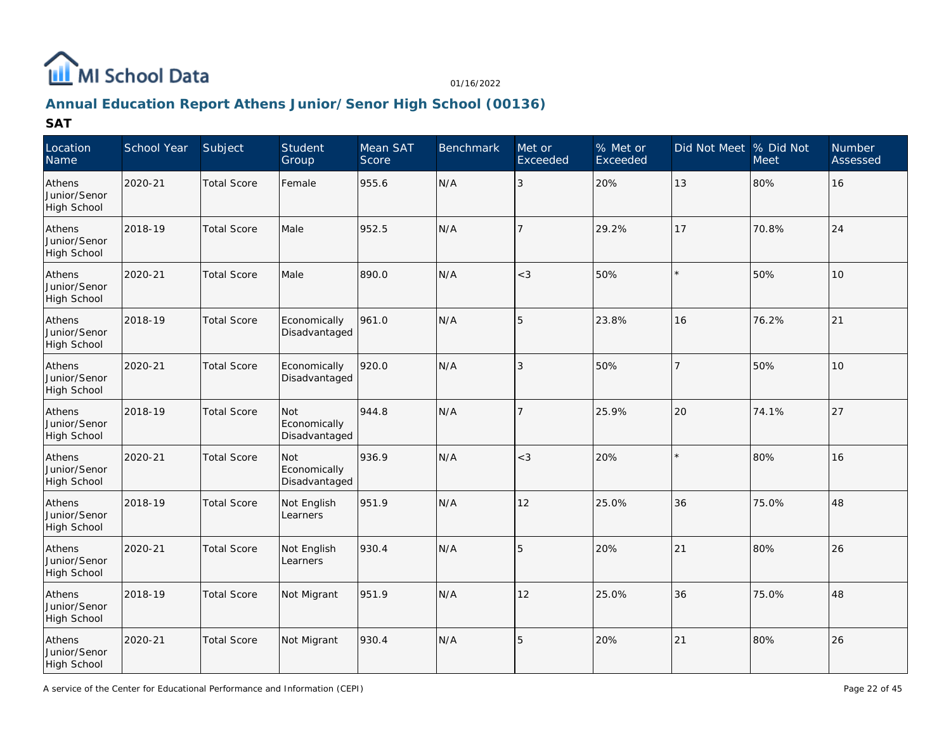

# **Annual Education Report Athens Junior/Senor High School (00136)**

| Location<br>Name                      | School Year | Subject            | Student<br>Group                     | Mean SAT<br>Score | Benchmark | Met or<br>Exceeded | % Met or<br>Exceeded | Did Not Meet % Did Not | <b>Meet</b> | <b>Number</b><br>Assessed |
|---------------------------------------|-------------|--------------------|--------------------------------------|-------------------|-----------|--------------------|----------------------|------------------------|-------------|---------------------------|
| Athens<br>Junior/Senor<br>High School | 2020-21     | <b>Total Score</b> | Female                               | 955.6             | N/A       | $\mathbf{3}$       | 20%                  | 13                     | 80%         | 16                        |
| Athens<br>Junior/Senor<br>High School | 2018-19     | <b>Total Score</b> | Male                                 | 952.5             | N/A       | $\overline{7}$     | 29.2%                | 17                     | 70.8%       | 24                        |
| Athens<br>Junior/Senor<br>High School | 2020-21     | <b>Total Score</b> | Male                                 | 890.0             | N/A       | $<$ 3              | 50%                  |                        | 50%         | 10                        |
| Athens<br>Junior/Senor<br>High School | 2018-19     | <b>Total Score</b> | Economically<br>Disadvantaged        | 961.0             | N/A       | 5                  | 23.8%                | 16                     | 76.2%       | 21                        |
| Athens<br>Junior/Senor<br>High School | 2020-21     | <b>Total Score</b> | Economically<br>Disadvantaged        | 920.0             | N/A       | $\mathbf{3}$       | 50%                  | $\overline{7}$         | 50%         | 10                        |
| Athens<br>Junior/Senor<br>High School | 2018-19     | <b>Total Score</b> | Not<br>Economically<br>Disadvantaged | 944.8             | N/A       | $\overline{7}$     | 25.9%                | 20                     | 74.1%       | 27                        |
| Athens<br>Junior/Senor<br>High School | 2020-21     | <b>Total Score</b> | Not<br>Economically<br>Disadvantaged | 936.9             | N/A       | $<$ 3              | 20%                  |                        | 80%         | 16                        |
| Athens<br>Junior/Senor<br>High School | 2018-19     | <b>Total Score</b> | Not English<br>Learners              | 951.9             | N/A       | 12                 | 25.0%                | 36                     | 75.0%       | 48                        |
| Athens<br>Junior/Senor<br>High School | 2020-21     | <b>Total Score</b> | Not English<br>Learners              | 930.4             | N/A       | 5                  | 20%                  | 21                     | 80%         | 26                        |
| Athens<br>Junior/Senor<br>High School | 2018-19     | <b>Total Score</b> | Not Migrant                          | 951.9             | N/A       | 12                 | 25.0%                | 36                     | 75.0%       | 48                        |
| Athens<br>Junior/Senor<br>High School | 2020-21     | <b>Total Score</b> | Not Migrant                          | 930.4             | N/A       | 5                  | 20%                  | 21                     | 80%         | 26                        |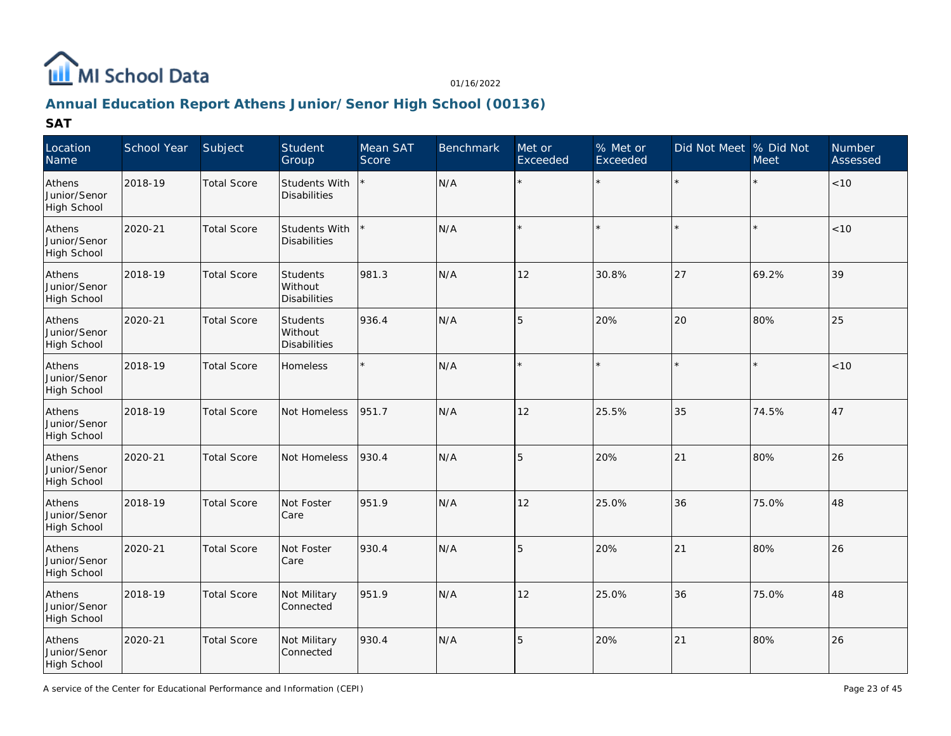

# **Annual Education Report Athens Junior/Senor High School (00136)**

| Location<br>Name                      | School Year | Subject            | Student<br>Group                           | Mean SAT<br>Score | Benchmark | Met or<br>Exceeded | % Met or<br>Exceeded | Did Not Meet % Did Not | Meet  | <b>Number</b><br>Assessed |
|---------------------------------------|-------------|--------------------|--------------------------------------------|-------------------|-----------|--------------------|----------------------|------------------------|-------|---------------------------|
| Athens<br>Junior/Senor<br>High School | 2018-19     | <b>Total Score</b> | Students With<br><b>Disabilities</b>       |                   | N/A       | $\star$            | $\star$              | $\star$                |       | $<10$                     |
| Athens<br>Junior/Senor<br>High School | 2020-21     | <b>Total Score</b> | Students With<br><b>Disabilities</b>       |                   | N/A       |                    |                      | $\star$                |       | < 10                      |
| Athens<br>Junior/Senor<br>High School | 2018-19     | <b>Total Score</b> | Students<br>Without<br><b>Disabilities</b> | 981.3             | N/A       | 12                 | 30.8%                | 27                     | 69.2% | 39                        |
| Athens<br>Junior/Senor<br>High School | 2020-21     | <b>Total Score</b> | Students<br>Without<br><b>Disabilities</b> | 936.4             | N/A       | 5                  | 20%                  | 20                     | 80%   | 25                        |
| Athens<br>Junior/Senor<br>High School | 2018-19     | <b>Total Score</b> | Homeless                                   |                   | N/A       |                    | $\star$              |                        |       | $<10$                     |
| Athens<br>Junior/Senor<br>High School | 2018-19     | <b>Total Score</b> | Not Homeless                               | 951.7             | N/A       | 12                 | 25.5%                | 35                     | 74.5% | 47                        |
| Athens<br>Junior/Senor<br>High School | 2020-21     | <b>Total Score</b> | Not Homeless                               | 930.4             | N/A       | 5                  | 20%                  | 21                     | 80%   | 26                        |
| Athens<br>Junior/Senor<br>High School | 2018-19     | <b>Total Score</b> | Not Foster<br>Care                         | 951.9             | N/A       | 12                 | 25.0%                | 36                     | 75.0% | 48                        |
| Athens<br>Junior/Senor<br>High School | 2020-21     | <b>Total Score</b> | Not Foster<br>Care                         | 930.4             | N/A       | 5                  | 20%                  | 21                     | 80%   | 26                        |
| Athens<br>Junior/Senor<br>High School | 2018-19     | <b>Total Score</b> | Not Military<br>Connected                  | 951.9             | N/A       | 12                 | 25.0%                | 36                     | 75.0% | 48                        |
| Athens<br>Junior/Senor<br>High School | 2020-21     | <b>Total Score</b> | Not Military<br>Connected                  | 930.4             | N/A       | 5                  | 20%                  | 21                     | 80%   | 26                        |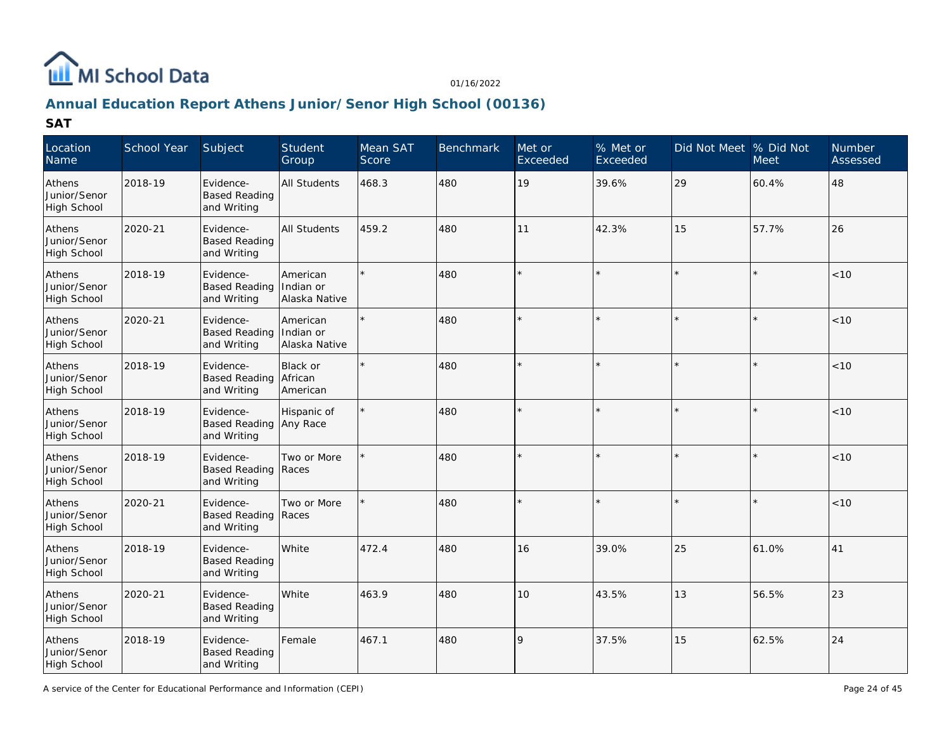

# **Annual Education Report Athens Junior/Senor High School (00136)**

| Location<br>Name                             | School Year | Subject                                          | Student<br>Group                       | Mean SAT<br>Score | Benchmark | Met or<br>Exceeded | % Met or<br>Exceeded | Did Not Meet  % Did Not | Meet  | Number<br>Assessed |
|----------------------------------------------|-------------|--------------------------------------------------|----------------------------------------|-------------------|-----------|--------------------|----------------------|-------------------------|-------|--------------------|
| Athens<br>Junior/Senor<br>High School        | 2018-19     | Evidence-<br><b>Based Reading</b><br>and Writing | <b>All Students</b>                    | 468.3             | 480       | 19                 | 39.6%                | 29                      | 60.4% | 48                 |
| Athens<br>Junior/Senor<br>High School        | 2020-21     | Evidence-<br><b>Based Reading</b><br>and Writing | <b>All Students</b>                    | 459.2             | 480       | 11                 | 42.3%                | 15                      | 57.7% | 26                 |
| Athens<br>Junior/Senor<br>High School        | 2018-19     | Evidence-<br><b>Based Reading</b><br>and Writing | American<br>Indian or<br>Alaska Native |                   | 480       |                    |                      |                         |       | < 10               |
| Athens<br>Junior/Senor<br>High School        | 2020-21     | Evidence-<br><b>Based Reading</b><br>and Writing | American<br>Indian or<br>Alaska Native |                   | 480       |                    |                      |                         |       | < 10               |
| Athens<br>Junior/Senor<br>High School        | 2018-19     | Evidence-<br><b>Based Reading</b><br>and Writing | Black or<br>African<br>American        |                   | 480       |                    | $\star$              |                         |       | < 10               |
| Athens<br>Junior/Senor<br>High School        | 2018-19     | Evidence-<br><b>Based Reading</b><br>and Writing | Hispanic of<br>Any Race                |                   | 480       | $\star$            | $\star$              |                         |       | < 10               |
| Athens<br>Junior/Senor<br><b>High School</b> | 2018-19     | Evidence-<br>Based Reading Races<br>and Writing  | Two or More                            |                   | 480       |                    |                      |                         |       | < 10               |
| Athens<br>Junior/Senor<br>High School        | 2020-21     | Evidence-<br>Based Reading Races<br>and Writing  | Two or More                            |                   | 480       |                    |                      |                         |       | $<10$              |
| Athens<br>Junior/Senor<br>High School        | 2018-19     | Evidence-<br><b>Based Reading</b><br>and Writing | White                                  | 472.4             | 480       | 16                 | 39.0%                | 25                      | 61.0% | 41                 |
| Athens<br>Junior/Senor<br>High School        | 2020-21     | Evidence-<br><b>Based Reading</b><br>and Writing | White                                  | 463.9             | 480       | 10                 | 43.5%                | 13                      | 56.5% | 23                 |
| Athens<br>Junior/Senor<br>High School        | 2018-19     | Evidence-<br><b>Based Reading</b><br>and Writing | Female                                 | 467.1             | 480       | $\mathsf{Q}$       | 37.5%                | 15                      | 62.5% | 24                 |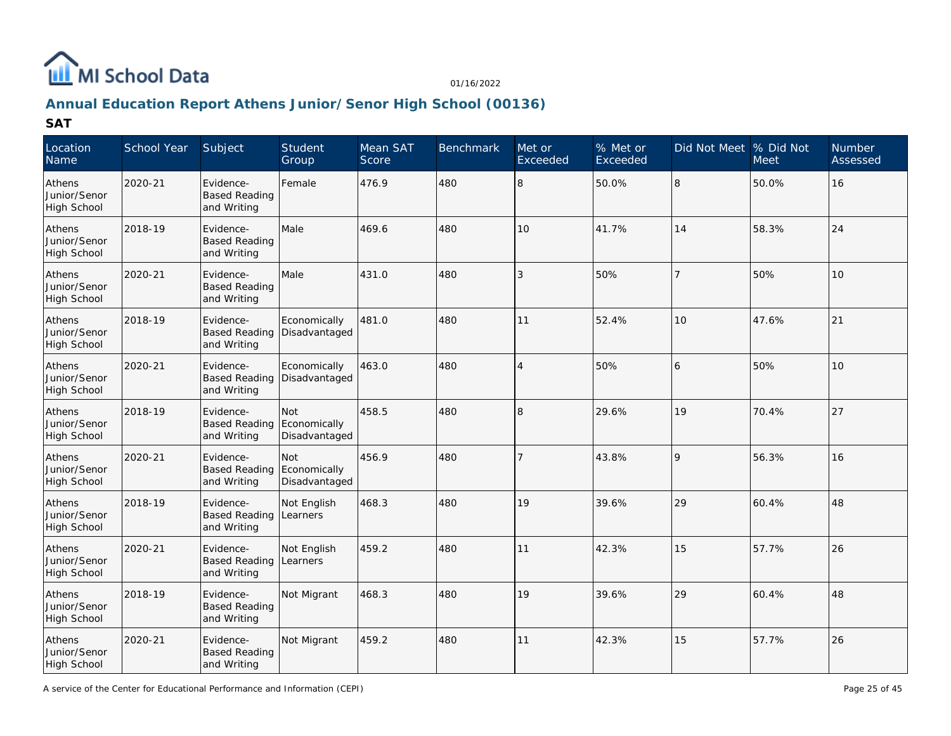

# **Annual Education Report Athens Junior/Senor High School (00136)**

| Location<br>Name                      | School Year | Subject                                          | Student<br>Group                     | Mean SAT<br>Score | Benchmark | Met or<br>Exceeded | % Met or<br>Exceeded | Did Not Meet  % Did Not | <b>Meet</b> | Number<br>Assessed |
|---------------------------------------|-------------|--------------------------------------------------|--------------------------------------|-------------------|-----------|--------------------|----------------------|-------------------------|-------------|--------------------|
| Athens<br>Junior/Senor<br>High School | 2020-21     | Evidence-<br><b>Based Reading</b><br>and Writing | Female                               | 476.9             | 480       | 8                  | 50.0%                | 8                       | 50.0%       | 16                 |
| Athens<br>Junior/Senor<br>High School | 2018-19     | Evidence-<br><b>Based Reading</b><br>and Writing | Male                                 | 469.6             | 480       | 10                 | 41.7%                | 14                      | 58.3%       | 24                 |
| Athens<br>Junior/Senor<br>High School | 2020-21     | Evidence-<br><b>Based Reading</b><br>and Writing | Male                                 | 431.0             | 480       | 3                  | 50%                  | 7                       | 50%         | 10                 |
| Athens<br>Junior/Senor<br>High School | 2018-19     | Evidence-<br><b>Based Reading</b><br>and Writing | Economically<br>Disadvantaged        | 481.0             | 480       | 11                 | 52.4%                | 10                      | 47.6%       | 21                 |
| Athens<br>Junior/Senor<br>High School | 2020-21     | Evidence-<br><b>Based Reading</b><br>and Writing | Economically<br>Disadvantaged        | 463.0             | 480       | $\overline{4}$     | 50%                  | 16                      | 50%         | 10                 |
| Athens<br>Junior/Senor<br>High School | 2018-19     | Evidence-<br><b>Based Reading</b><br>and Writing | Not<br>Economically<br>Disadvantaged | 458.5             | 480       | 8                  | 29.6%                | 19                      | 70.4%       | 27                 |
| Athens<br>Junior/Senor<br>High School | 2020-21     | Evidence-<br><b>Based Reading</b><br>and Writing | Not<br>Economically<br>Disadvantaged | 456.9             | 480       |                    | 43.8%                | 9                       | 56.3%       | 16                 |
| Athens<br>Junior/Senor<br>High School | 2018-19     | Evidence-<br><b>Based Reading</b><br>and Writing | Not English<br>Learners              | 468.3             | 480       | 19                 | 39.6%                | 29                      | 60.4%       | 48                 |
| Athens<br>Junior/Senor<br>High School | 2020-21     | Evidence-<br><b>Based Reading</b><br>and Writing | Not English<br>Learners              | 459.2             | 480       | 11                 | 42.3%                | 15                      | 57.7%       | 26                 |
| Athens<br>Junior/Senor<br>High School | 2018-19     | Evidence-<br><b>Based Reading</b><br>and Writing | Not Migrant                          | 468.3             | 480       | 19                 | 39.6%                | 29                      | 60.4%       | 48                 |
| Athens<br>Junior/Senor<br>High School | 2020-21     | Evidence-<br><b>Based Reading</b><br>and Writing | Not Migrant                          | 459.2             | 480       | 11                 | 42.3%                | 15                      | 57.7%       | 26                 |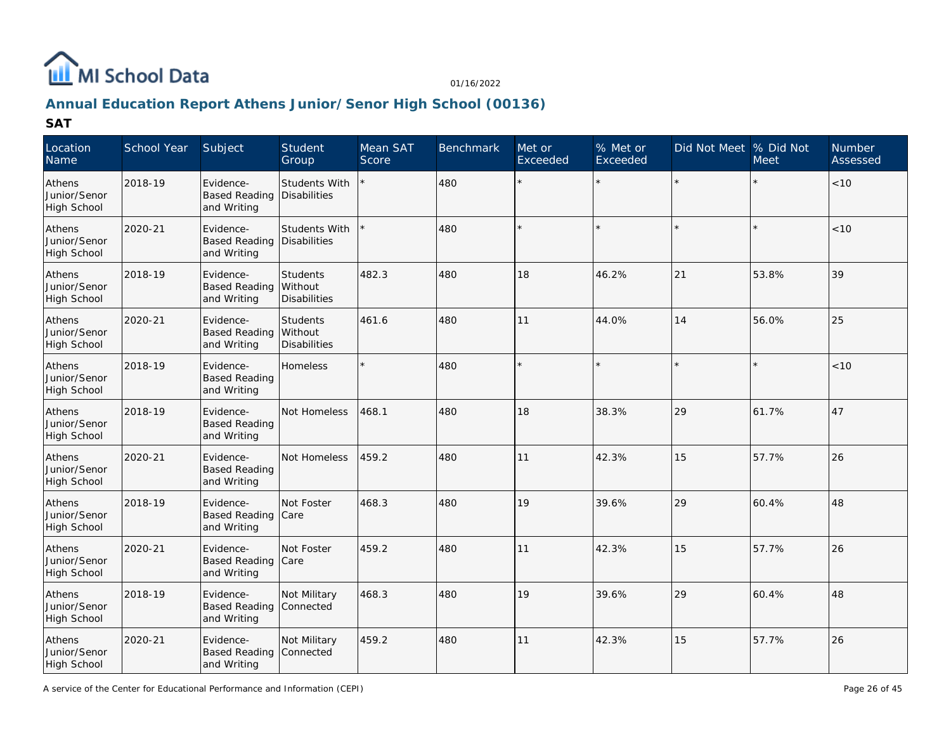

# **Annual Education Report Athens Junior/Senor High School (00136)**

| Location<br>Name                      | School Year | Subject                                          | Student<br>Group                            | Mean SAT<br>Score | Benchmark | Met or<br>Exceeded | % Met or<br>Exceeded | Did Not Meet  % Did Not | <b>Meet</b> | <b>Number</b><br>Assessed |
|---------------------------------------|-------------|--------------------------------------------------|---------------------------------------------|-------------------|-----------|--------------------|----------------------|-------------------------|-------------|---------------------------|
| Athens<br>Junior/Senor<br>High School | 2018-19     | Evidence-<br><b>Based Reading</b><br>and Writing | <b>Students With</b><br><b>Disabilities</b> |                   | 480       | $\star$            | $\star$              |                         |             | < 10                      |
| Athens<br>Junior/Senor<br>High School | 2020-21     | Evidence-<br><b>Based Reading</b><br>and Writing | Students With<br>Disabilities               |                   | 480       |                    |                      |                         |             | < 10                      |
| Athens<br>Junior/Senor<br>High School | 2018-19     | Evidence-<br><b>Based Reading</b><br>and Writing | <b>Students</b><br>Without<br>Disabilities  | 482.3             | 480       | 18                 | 46.2%                | 21                      | 53.8%       | 39                        |
| Athens<br>Junior/Senor<br>High School | 2020-21     | Evidence-<br><b>Based Reading</b><br>and Writing | Students<br>Without<br><b>Disabilities</b>  | 461.6             | 480       | 11                 | 44.0%                | 14                      | 56.0%       | 25                        |
| Athens<br>Junior/Senor<br>High School | 2018-19     | Evidence-<br><b>Based Reading</b><br>and Writing | <b>Homeless</b>                             |                   | 480       |                    |                      |                         |             | < 10                      |
| Athens<br>Junior/Senor<br>High School | 2018-19     | Evidence-<br><b>Based Reading</b><br>and Writing | Not Homeless                                | 468.1             | 480       | 18                 | 38.3%                | 29                      | 61.7%       | 47                        |
| Athens<br>Junior/Senor<br>High School | 2020-21     | Evidence-<br><b>Based Reading</b><br>and Writing | Not Homeless                                | 459.2             | 480       | 11                 | 42.3%                | 15                      | 57.7%       | 26                        |
| Athens<br>Junior/Senor<br>High School | 2018-19     | Evidence-<br><b>Based Reading</b><br>and Writing | Not Foster<br>Care                          | 468.3             | 480       | 19                 | 39.6%                | 29                      | 60.4%       | 48                        |
| Athens<br>Junior/Senor<br>High School | 2020-21     | Evidence-<br><b>Based Reading</b><br>and Writing | Not Foster<br>Care                          | 459.2             | 480       | 11                 | 42.3%                | 15                      | 57.7%       | 26                        |
| Athens<br>Junior/Senor<br>High School | 2018-19     | Evidence-<br><b>Based Reading</b><br>and Writing | Not Military<br>Connected                   | 468.3             | 480       | 19                 | 39.6%                | 29                      | 60.4%       | 48                        |
| Athens<br>Junior/Senor<br>High School | 2020-21     | Evidence-<br><b>Based Reading</b><br>and Writing | Not Military<br>Connected                   | 459.2             | 480       | 11                 | 42.3%                | 15                      | 57.7%       | 26                        |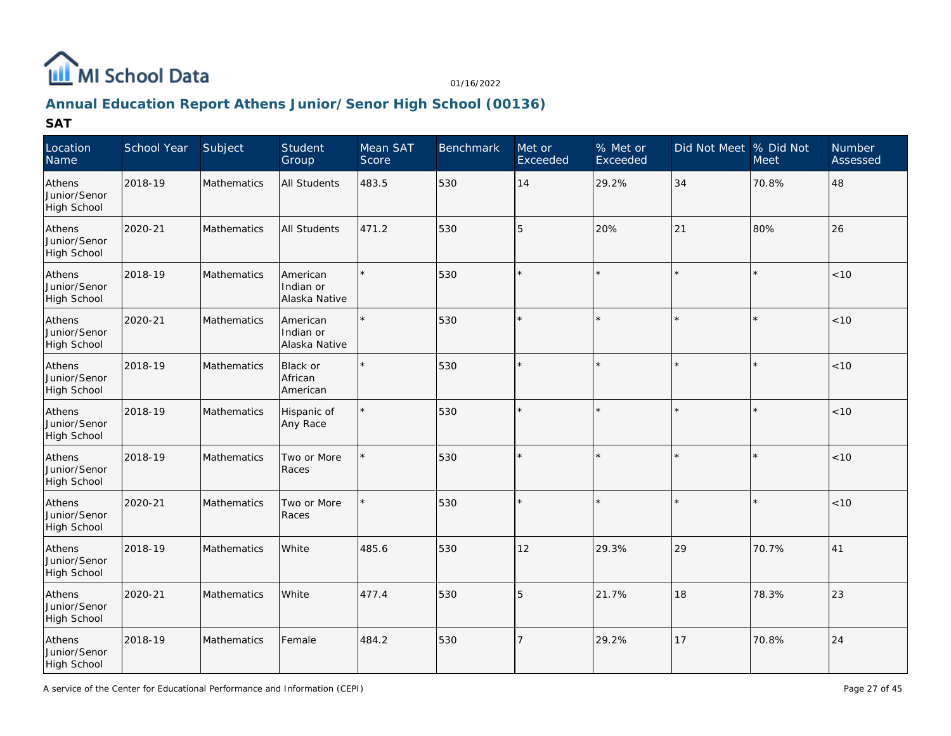

# **Annual Education Report Athens Junior/Senor High School (00136)**

| Location<br>Name                      | School Year | Subject     | Student<br>Group                       | Mean SAT<br>Score | Benchmark | Met or<br>Exceeded | % Met or<br>Exceeded | Did Not Meet % Did Not | <b>Meet</b> | Number<br>Assessed |
|---------------------------------------|-------------|-------------|----------------------------------------|-------------------|-----------|--------------------|----------------------|------------------------|-------------|--------------------|
| Athens<br>Junior/Senor<br>High School | 2018-19     | Mathematics | <b>All Students</b>                    | 483.5             | 530       | 14                 | 29.2%                | 34                     | 70.8%       | 48                 |
| Athens<br>Junior/Senor<br>High School | 2020-21     | Mathematics | <b>All Students</b>                    | 471.2             | 530       | $\overline{5}$     | 20%                  | 21                     | 80%         | 26                 |
| Athens<br>Junior/Senor<br>High School | 2018-19     | Mathematics | American<br>Indian or<br>Alaska Native |                   | 530       |                    | $\star$              |                        |             | < 10               |
| Athens<br>Junior/Senor<br>High School | 2020-21     | Mathematics | American<br>Indian or<br>Alaska Native |                   | 530       |                    | $\star$              |                        |             | < 10               |
| Athens<br>Junior/Senor<br>High School | 2018-19     | Mathematics | Black or<br>African<br>American        |                   | 530       |                    | $\star$              |                        |             | $<10$              |
| Athens<br>Junior/Senor<br>High School | 2018-19     | Mathematics | Hispanic of<br>Any Race                | $\star$           | 530       | $\star$            | $\star$              | $\star$                | $\star$     | <10                |
| Athens<br>Junior/Senor<br>High School | 2018-19     | Mathematics | Two or More<br>Races                   |                   | 530       |                    | $\star$              |                        |             | < 10               |
| Athens<br>Junior/Senor<br>High School | 2020-21     | Mathematics | Two or More<br>Races                   |                   | 530       |                    | $\star$              |                        |             | < 10               |
| Athens<br>Junior/Senor<br>High School | 2018-19     | Mathematics | White                                  | 485.6             | 530       | 12                 | 29.3%                | 29                     | 70.7%       | 41                 |
| Athens<br>Junior/Senor<br>High School | 2020-21     | Mathematics | White                                  | 477.4             | 530       | 5                  | 21.7%                | 18                     | 78.3%       | $ 23\rangle$       |
| Athens<br>Junior/Senor<br>High School | 2018-19     | Mathematics | Female                                 | 484.2             | 530       |                    | 29.2%                | 17                     | 70.8%       | 24                 |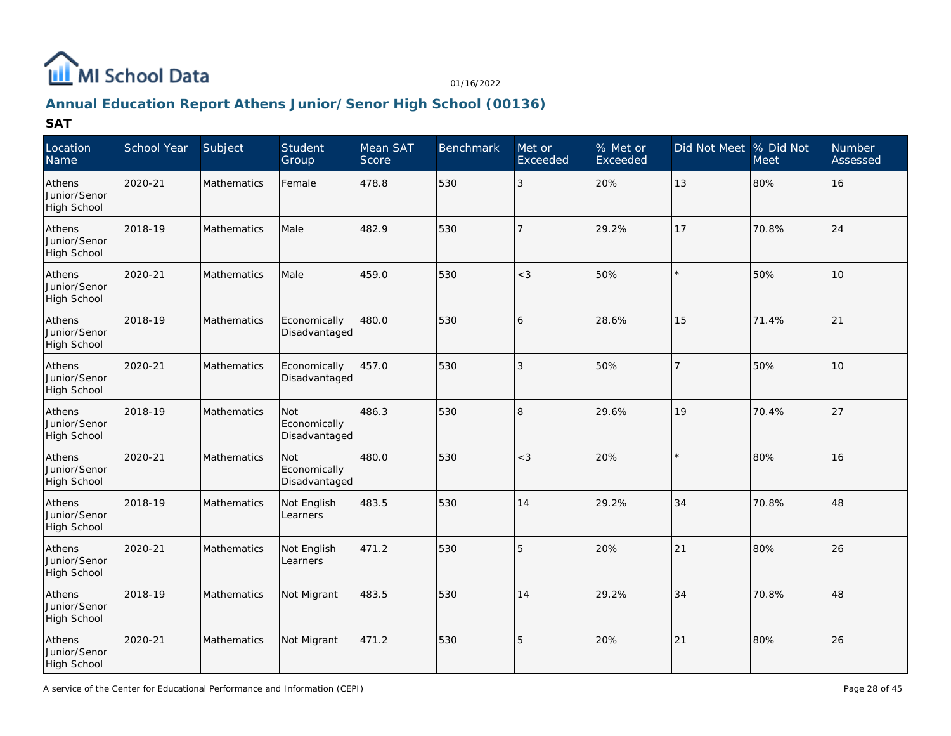

# **Annual Education Report Athens Junior/Senor High School (00136)**

| Location<br>Name                             | School Year | Subject            | Student<br>Group                     | Mean SAT<br>Score | Benchmark | Met or<br>Exceeded | % Met or<br>Exceeded | Did Not Meet % Did Not | <b>Meet</b> | Number<br>Assessed |
|----------------------------------------------|-------------|--------------------|--------------------------------------|-------------------|-----------|--------------------|----------------------|------------------------|-------------|--------------------|
| Athens<br>Junior/Senor<br>High School        | 2020-21     | Mathematics        | Female                               | 478.8             | 530       | $\overline{3}$     | 20%                  | 13                     | 80%         | 16                 |
| Athens<br>Junior/Senor<br><b>High School</b> | 2018-19     | Mathematics        | Male                                 | 482.9             | 530       | $\overline{7}$     | 29.2%                | 17                     | 70.8%       | 24                 |
| Athens<br>Junior/Senor<br>High School        | 2020-21     | Mathematics        | Male                                 | 459.0             | 530       | $<$ 3              | 50%                  |                        | 50%         | 10                 |
| Athens<br>Junior/Senor<br>High School        | 2018-19     | Mathematics        | Economically<br>Disadvantaged        | 480.0             | 530       | 6                  | 28.6%                | 15                     | 71.4%       | 21                 |
| Athens<br>Junior/Senor<br>High School        | 2020-21     | <b>Mathematics</b> | Economically<br>Disadvantaged        | 457.0             | 530       | $\overline{3}$     | 50%                  | $\overline{7}$         | 50%         | 10                 |
| Athens<br>Junior/Senor<br>High School        | 2018-19     | Mathematics        | Not<br>Economically<br>Disadvantaged | 486.3             | 530       | 8                  | 29.6%                | 19                     | 70.4%       | 27                 |
| Athens<br>Junior/Senor<br>High School        | 2020-21     | Mathematics        | Not<br>Economically<br>Disadvantaged | 480.0             | 530       | $<$ 3              | 20%                  |                        | 80%         | 16                 |
| Athens<br>Junior/Senor<br>High School        | 2018-19     | Mathematics        | Not English<br>Learners              | 483.5             | 530       | 14                 | 29.2%                | 34                     | 70.8%       | 48                 |
| Athens<br>Junior/Senor<br>High School        | 2020-21     | Mathematics        | Not English<br>Learners              | 471.2             | 530       | $\overline{5}$     | 20%                  | 21                     | 80%         | 26                 |
| Athens<br>Junior/Senor<br>High School        | 2018-19     | Mathematics        | Not Migrant                          | 483.5             | 530       | 14                 | 29.2%                | 34                     | 70.8%       | 48                 |
| Athens<br>Junior/Senor<br>High School        | 2020-21     | Mathematics        | Not Migrant                          | 471.2             | 530       | 5                  | 20%                  | 21                     | 80%         | 26                 |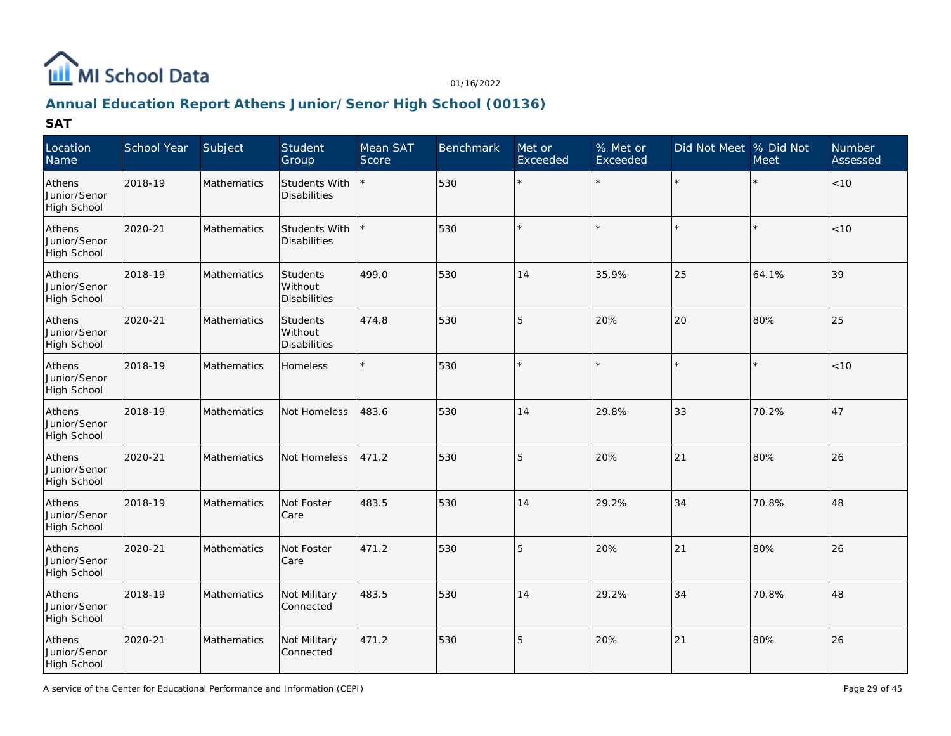

# **Annual Education Report Athens Junior/Senor High School (00136)**

| Location<br>Name                             | School Year | Subject            | Student<br>Group                            | Mean SAT<br>Score | Benchmark | Met or<br>Exceeded | % Met or<br>Exceeded | Did Not Meet % Did Not | Meet  | Number<br>Assessed |
|----------------------------------------------|-------------|--------------------|---------------------------------------------|-------------------|-----------|--------------------|----------------------|------------------------|-------|--------------------|
| Athens<br>Junior/Senor<br>High School        | 2018-19     | Mathematics        | <b>Students With</b><br><b>Disabilities</b> |                   | 530       |                    | $\star$              | $\star$                |       | $<10$              |
| Athens<br>Junior/Senor<br><b>High School</b> | 2020-21     | Mathematics        | Students With<br><b>Disabilities</b>        |                   | 530       |                    |                      |                        |       | < 10               |
| Athens<br>Junior/Senor<br>High School        | 2018-19     | Mathematics        | Students<br>Without<br><b>Disabilities</b>  | 499.0             | 530       | 14                 | 35.9%                | 25                     | 64.1% | 39                 |
| Athens<br>Junior/Senor<br>High School        | 2020-21     | Mathematics        | Students<br>Without<br><b>Disabilities</b>  | 474.8             | 530       | 5                  | 20%                  | 20                     | 80%   | 25                 |
| Athens<br>Junior/Senor<br>High School        | 2018-19     | Mathematics        | Homeless                                    |                   | 530       |                    |                      |                        |       | < 10               |
| Athens<br>Junior/Senor<br>High School        | 2018-19     | Mathematics        | Not Homeless                                | 483.6             | 530       | 14                 | 29.8%                | 33                     | 70.2% | 47                 |
| Athens<br>Junior/Senor<br>High School        | 2020-21     | Mathematics        | Not Homeless                                | 471.2             | 530       | 5                  | 20%                  | 21                     | 80%   | 26                 |
| Athens<br>Junior/Senor<br>High School        | 2018-19     | Mathematics        | Not Foster<br>Care                          | 483.5             | 530       | 14                 | 29.2%                | 34                     | 70.8% | 48                 |
| Athens<br>Junior/Senor<br>High School        | 2020-21     | Mathematics        | Not Foster<br>Care                          | 471.2             | 530       | $\overline{5}$     | 20%                  | 21                     | 80%   | 26                 |
| Athens<br>Junior/Senor<br>High School        | 2018-19     | Mathematics        | Not Military<br>Connected                   | 483.5             | 530       | 14                 | 29.2%                | 34                     | 70.8% | 48                 |
| Athens<br>Junior/Senor<br>High School        | 2020-21     | <b>Mathematics</b> | Not Military<br>Connected                   | 471.2             | 530       | 5                  | 20%                  | 21                     | 80%   | 26                 |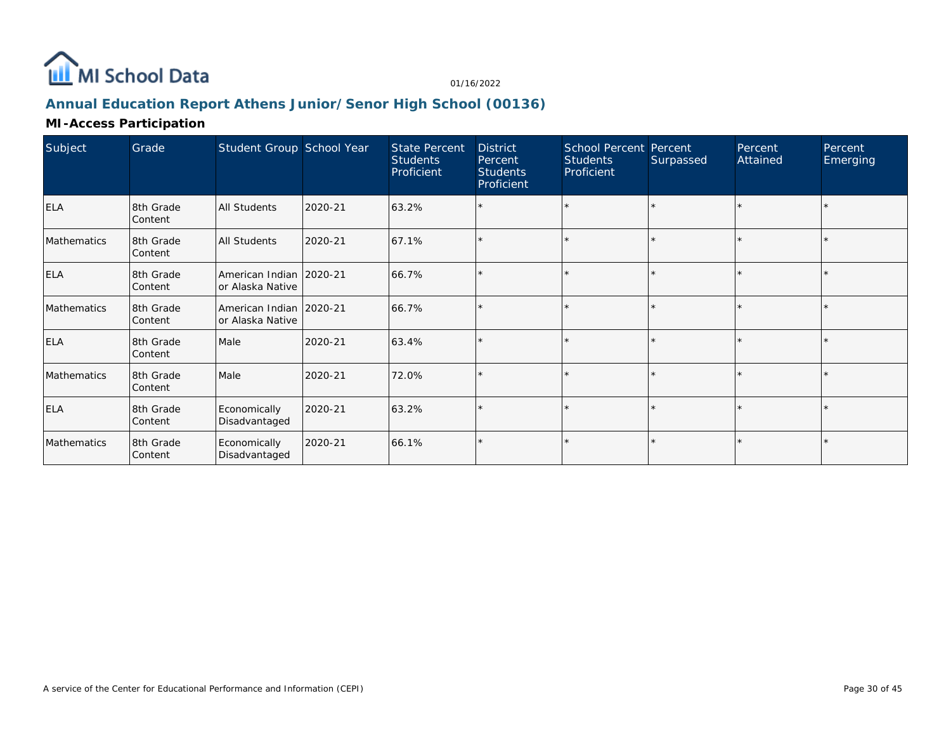

# **Annual Education Report Athens Junior/Senor High School (00136)**

### **MI-Access Participation**

| Subject     | Grade                | Student Group School Year                     |         | <b>State Percent</b><br><b>Students</b><br>Proficient | <b>District</b><br>Percent<br><b>Students</b><br><b>Proficient</b> | School Percent Percent<br><b>Students</b><br>Proficient | Surpassed | Percent<br>Attained | Percent<br>Emerging |
|-------------|----------------------|-----------------------------------------------|---------|-------------------------------------------------------|--------------------------------------------------------------------|---------------------------------------------------------|-----------|---------------------|---------------------|
| <b>ELA</b>  | 8th Grade<br>Content | <b>All Students</b>                           | 2020-21 | 63.2%                                                 |                                                                    | $\star$                                                 |           |                     |                     |
| Mathematics | 8th Grade<br>Content | <b>All Students</b>                           | 2020-21 | 67.1%                                                 |                                                                    | $\star$                                                 |           | $\star$             |                     |
| <b>ELA</b>  | 8th Grade<br>Content | American Indian   2020-21<br>or Alaska Native |         | 66.7%                                                 |                                                                    | $\star$                                                 | l +       |                     |                     |
| Mathematics | 8th Grade<br>Content | American Indian   2020-21<br>or Alaska Native |         | 66.7%                                                 |                                                                    | $\star$                                                 |           |                     |                     |
| <b>ELA</b>  | 8th Grade<br>Content | Male                                          | 2020-21 | 63.4%                                                 |                                                                    | $\star$                                                 |           |                     |                     |
| Mathematics | 8th Grade<br>Content | Male                                          | 2020-21 | 72.0%                                                 |                                                                    | $\star$                                                 |           |                     |                     |
| <b>ELA</b>  | 8th Grade<br>Content | Economically<br>Disadvantaged                 | 2020-21 | 63.2%                                                 |                                                                    | $\star$                                                 |           |                     |                     |
| Mathematics | 8th Grade<br>Content | Economically<br>Disadvantaged                 | 2020-21 | 66.1%                                                 |                                                                    | $\star$                                                 |           |                     |                     |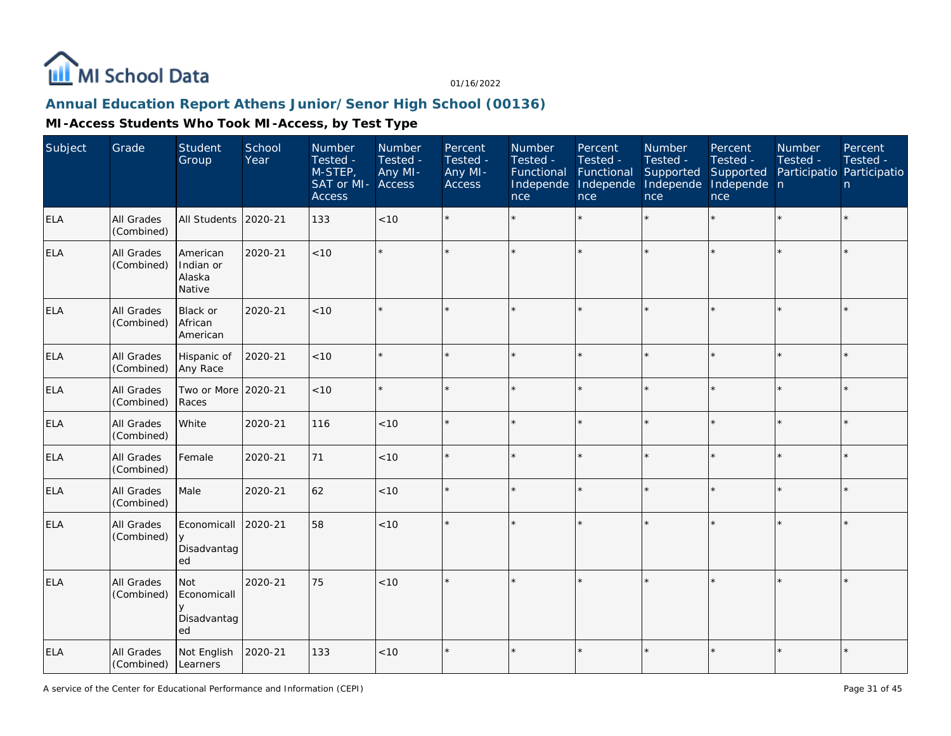

# **Annual Education Report Athens Junior/Senor High School (00136)**

| Subject    | Grade                           | <b>Student</b><br>Group                      | School<br>Year | Number<br>Tested -<br>M-STEP,<br>SAT or MI- Access<br><b>Access</b> | Number<br>Tested -<br>Any MI- | Percent<br>Tested -<br>Any MI-<br><b>Access</b> | Number<br>Tested -<br>Functional<br>Independe<br>nce | Percent<br>Tested -<br>Functional<br>Independe<br>nce | Number<br>Tested -<br>Supported<br>Independe<br>nce | Percent<br>Tested -<br>Supported<br>Independe n<br>nce | Number<br>Tested -<br>Participatio Participatio | Percent<br>Tested -<br>n |
|------------|---------------------------------|----------------------------------------------|----------------|---------------------------------------------------------------------|-------------------------------|-------------------------------------------------|------------------------------------------------------|-------------------------------------------------------|-----------------------------------------------------|--------------------------------------------------------|-------------------------------------------------|--------------------------|
| <b>ELA</b> | <b>All Grades</b><br>(Combined) | <b>All Students</b>                          | 2020-21        | 133                                                                 | < 10                          |                                                 |                                                      | $\star$                                               | $\star$                                             | $\star$                                                | $\star$                                         | $\star$                  |
| <b>ELA</b> | All Grades<br>(Combined)        | American<br>Indian or<br>Alaska<br>Native    | 2020-21        | < 10                                                                |                               |                                                 |                                                      | $\star$                                               | $\star$                                             | $\star$                                                | $\star$                                         | $\star$                  |
| <b>ELA</b> | All Grades<br>(Combined)        | Black or<br>African<br>American              | 2020-21        | < 10                                                                |                               | $\star$                                         |                                                      | $\star$                                               |                                                     | $\star$                                                | $\star$                                         | $\star$                  |
| <b>ELA</b> | All Grades<br>(Combined)        | Hispanic of<br>Any Race                      | 2020-21        | < 10                                                                |                               |                                                 |                                                      | $\star$                                               | ÷                                                   | $\star$                                                | ×.                                              | $\star$                  |
| <b>ELA</b> | All Grades<br>(Combined)        | Two or More<br>Races                         | 2020-21        | <10                                                                 |                               |                                                 |                                                      | $\star$                                               | ÷                                                   | ×.                                                     | $\star$                                         | $\star$                  |
| <b>ELA</b> | All Grades<br>(Combined)        | White                                        | 2020-21        | 116                                                                 | < 10                          | $\star$                                         |                                                      | $\star$                                               |                                                     |                                                        | $\star$                                         | $\star$                  |
| <b>ELA</b> | All Grades<br>(Combined)        | Female                                       | 2020-21        | 71                                                                  | < 10                          |                                                 |                                                      | $\star$                                               | $\star$                                             |                                                        |                                                 | $\star$                  |
| <b>ELA</b> | All Grades<br>(Combined)        | Male                                         | 2020-21        | 62                                                                  | < 10                          |                                                 |                                                      | $\star$                                               | $\star$                                             | $\star$                                                | $\star$                                         | $\star$                  |
| <b>ELA</b> | All Grades<br>(Combined)        | Economicall<br>y<br>Disadvantag<br>ed        | 2020-21        | 58                                                                  | < 10                          |                                                 |                                                      | $\star$                                               |                                                     | $\star$                                                | $\star$                                         | $\star$                  |
| <b>ELA</b> | All Grades<br>(Combined)        | Not<br>Economicall<br>V<br>Disadvantag<br>ed | 2020-21        | 75                                                                  | $<10$                         | $\star$                                         |                                                      | $\star$                                               |                                                     |                                                        | $\star$                                         | $\star$                  |
| <b>ELA</b> | All Grades<br>(Combined)        | Not English<br>Learners                      | 2020-21        | 133                                                                 | $<10$                         | $\star$                                         |                                                      | $\star$                                               |                                                     |                                                        | $\star$                                         | $\star$                  |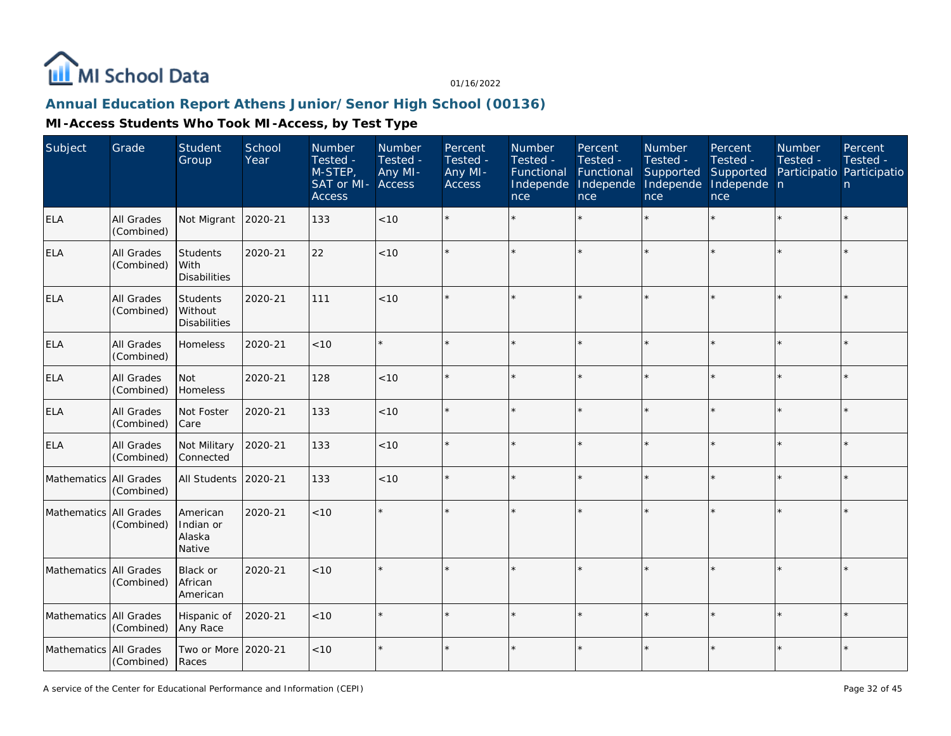

# **Annual Education Report Athens Junior/Senor High School (00136)**

| Subject                | Grade                    | Student<br>Group                           | School<br>Year | Number<br>Tested -<br>M-STEP,<br>SAT or MI-<br><b>Access</b> | Number<br>Tested -<br>Any MI-<br>Access | Percent<br>Tested -<br>Any MI-<br>Access | Number<br>Tested -<br>Functional<br>Independe<br>nce | Percent<br>Tested -<br>Functional<br>Independe<br>nce | Number<br>Tested -<br>Supported<br>Independe<br>nce | Percent<br>Tested -<br>Supported<br>Independe n<br>nce | Number<br>Tested -<br>Participatio Participatio | Percent<br>Tested -<br>n. |
|------------------------|--------------------------|--------------------------------------------|----------------|--------------------------------------------------------------|-----------------------------------------|------------------------------------------|------------------------------------------------------|-------------------------------------------------------|-----------------------------------------------------|--------------------------------------------------------|-------------------------------------------------|---------------------------|
| <b>ELA</b>             | All Grades<br>(Combined) | Not Migrant                                | 2020-21        | 133                                                          | < 10                                    |                                          |                                                      |                                                       | ÷                                                   |                                                        |                                                 | $\star$                   |
| <b>ELA</b>             | All Grades<br>(Combined) | Students<br>l With<br><b>Disabilities</b>  | 2020-21        | 22                                                           | < 10                                    |                                          |                                                      |                                                       |                                                     |                                                        |                                                 | $\star$                   |
| <b>ELA</b>             | All Grades<br>(Combined) | Students<br>Without<br><b>Disabilities</b> | 2020-21        | 111                                                          | < 10                                    |                                          |                                                      |                                                       |                                                     |                                                        |                                                 | $\star$                   |
| <b>ELA</b>             | All Grades<br>(Combined) | Homeless                                   | 2020-21        | $<10$                                                        |                                         |                                          |                                                      |                                                       |                                                     |                                                        | $\star$                                         | $\star$                   |
| <b>ELA</b>             | All Grades<br>(Combined) | Not<br>Homeless                            | 2020-21        | 128                                                          | < 10                                    |                                          |                                                      |                                                       |                                                     |                                                        |                                                 | $\star$                   |
| <b>ELA</b>             | All Grades<br>(Combined) | Not Foster<br>Care                         | 2020-21        | 133                                                          | < 10                                    |                                          |                                                      |                                                       |                                                     |                                                        | $\star$                                         | $\star$                   |
| <b>ELA</b>             | All Grades<br>(Combined) | Not Military<br>Connected                  | 2020-21        | 133                                                          | $<10$                                   |                                          |                                                      |                                                       |                                                     |                                                        |                                                 | $\star$                   |
| Mathematics All Grades | (Combined)               | <b>All Students</b>                        | 2020-21        | 133                                                          | < 10                                    |                                          |                                                      |                                                       |                                                     | $\star$                                                |                                                 | $\star$                   |
| Mathematics All Grades | (Combined)               | American<br>Indian or<br>Alaska<br>Native  | 2020-21        | <10                                                          |                                         |                                          |                                                      |                                                       |                                                     |                                                        |                                                 | $\star$                   |
| Mathematics All Grades | (Combined)               | Black or<br>African<br>American            | 2020-21        | < 10                                                         |                                         |                                          |                                                      |                                                       |                                                     |                                                        |                                                 | $\star$                   |
| Mathematics All Grades | (Combined)               | Hispanic of<br>Any Race                    | 2020-21        | < 10                                                         |                                         |                                          |                                                      |                                                       |                                                     |                                                        |                                                 | $\star$                   |
| Mathematics All Grades | (Combined)               | Two or More 2020-21<br>Races               |                | < 10                                                         |                                         |                                          |                                                      |                                                       |                                                     |                                                        |                                                 | $\star$                   |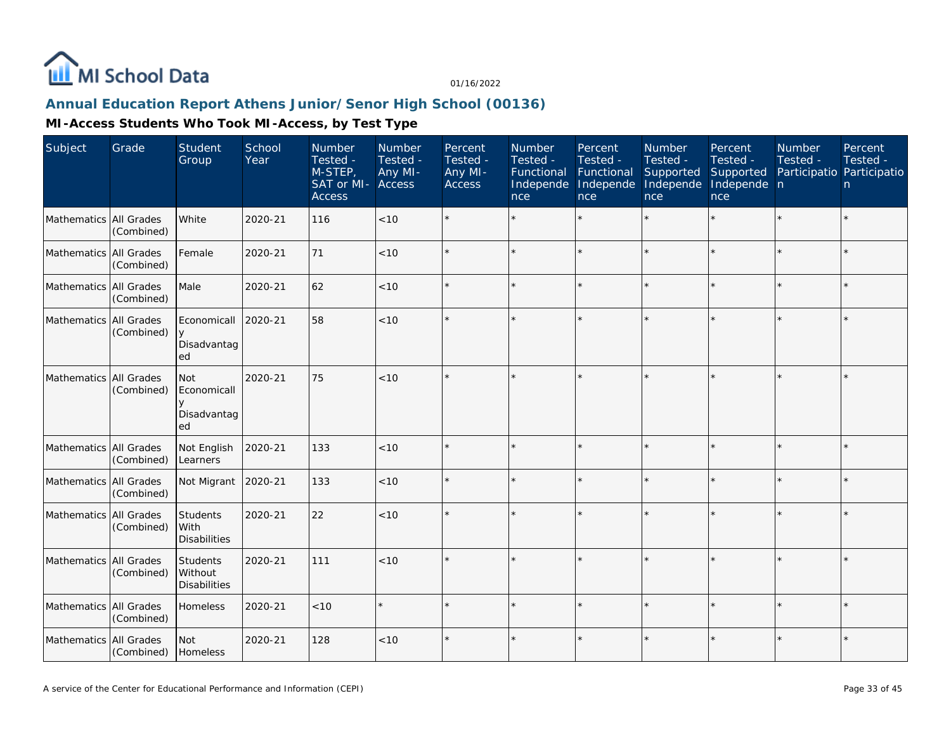

# **Annual Education Report Athens Junior/Senor High School (00136)**

| Subject                | Grade                           | Student<br>Group                                  | School<br>Year | <b>Number</b><br>Tested -<br>M-STEP,<br>SAT or MI-<br><b>Access</b> | Number<br>Tested -<br>Any MI-<br>Access | Percent<br>Tested -<br>Any MI-<br>Access | Number<br>Tested -<br>Functional<br>Independe<br>nce | Percent<br>Tested -<br>Functional<br>Independe<br>nce | Number<br>Tested -<br>Supported<br>Independe<br>nce | Percent<br>Tested -<br>Supported<br>Independe n<br>nce | Number<br>Tested -<br>Participatio Participatio | Percent<br>Tested -<br>n |
|------------------------|---------------------------------|---------------------------------------------------|----------------|---------------------------------------------------------------------|-----------------------------------------|------------------------------------------|------------------------------------------------------|-------------------------------------------------------|-----------------------------------------------------|--------------------------------------------------------|-------------------------------------------------|--------------------------|
| Mathematics All Grades | (Combined)                      | White                                             | 2020-21        | 116                                                                 | < 10                                    |                                          |                                                      | $\star$                                               |                                                     | $\star$                                                | $\star$                                         | $\star$                  |
| Mathematics All Grades | (Combined)                      | Female                                            | 2020-21        | 71                                                                  | < 10                                    | $\star$                                  |                                                      | $\star$                                               | $\star$                                             | $\star$                                                | $\star$                                         | $\star$                  |
| Mathematics All Grades | (Combined)                      | Male                                              | 2020-21        | 62                                                                  | < 10                                    |                                          |                                                      | $\star$                                               |                                                     | $\star$                                                | $\star$                                         | ×.                       |
| Mathematics All Grades | (Combined)                      | Economicall<br>y<br>Disadvantag<br>ed             | 2020-21        | 58                                                                  | $<10$                                   |                                          |                                                      |                                                       |                                                     |                                                        |                                                 | $\star$                  |
| Mathematics            | All Grades<br>(Combined)        | Not<br>Economicall<br>V<br>Disadvantag<br>ed      | 2020-21        | 75                                                                  | $<10$                                   |                                          |                                                      | $\star$                                               |                                                     |                                                        |                                                 | $\star$                  |
| Mathematics            | <b>All Grades</b><br>(Combined) | Not English<br>Learners                           | 2020-21        | 133                                                                 | < 10                                    | $\star$                                  |                                                      | $\star$                                               |                                                     | $\star$                                                | $\star$                                         | $\star$                  |
| Mathematics All Grades | (Combined)                      | Not Migrant                                       | 2020-21        | 133                                                                 | $<10$                                   |                                          |                                                      | $\star$                                               |                                                     |                                                        |                                                 | $\star$                  |
| Mathematics All Grades | (Combined)                      | Students<br>l With<br><b>Disabilities</b>         | 2020-21        | 22                                                                  | < 10                                    |                                          |                                                      | $\star$                                               |                                                     |                                                        | $\star$                                         | $\star$                  |
| Mathematics All Grades | (Combined)                      | <b>Students</b><br>Without<br><b>Disabilities</b> | 2020-21        | 111                                                                 | < 10                                    | $\star$                                  |                                                      | $\star$                                               |                                                     | ×                                                      | $\star$                                         | ÷.                       |
| Mathematics All Grades | (Combined)                      | Homeless                                          | 2020-21        | < 10                                                                |                                         |                                          |                                                      | $\star$                                               |                                                     | ×                                                      | $\star$                                         | ÷.                       |
| Mathematics All Grades | (Combined)                      | Not<br>Homeless                                   | 2020-21        | 128                                                                 | $<10$                                   | $\star$                                  |                                                      | $\star$                                               |                                                     | $\star$                                                | $\star$                                         | $\star$                  |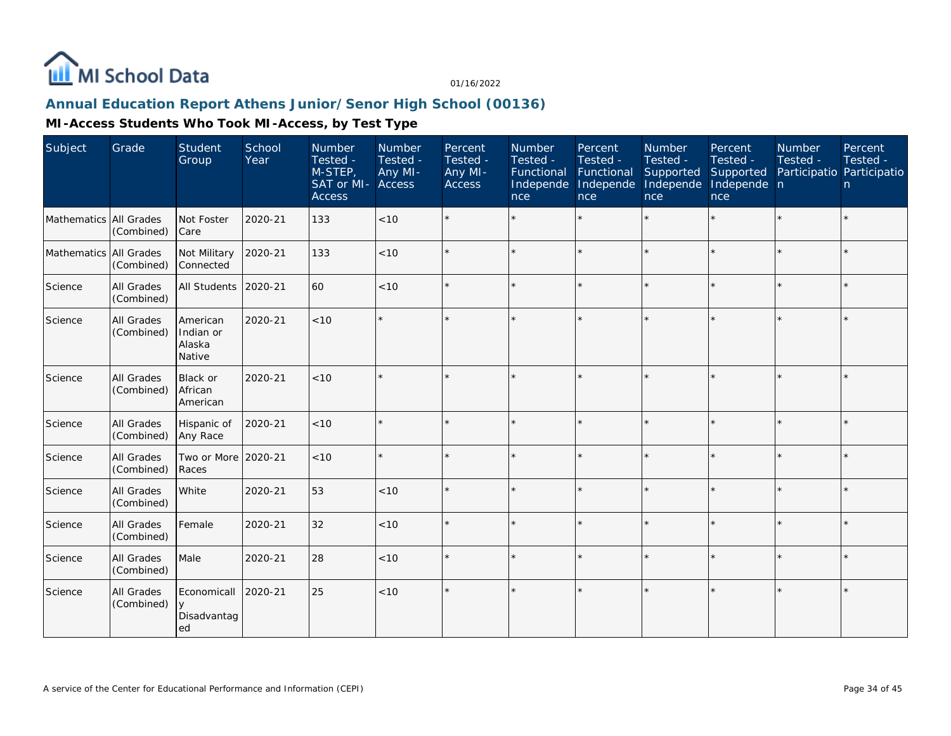

# **Annual Education Report Athens Junior/Senor High School (00136)**

| Subject                | Grade                           | <b>Student</b><br>Group                   | School<br>Year | Number<br>Tested -<br>M-STEP,<br>SAT or MI-<br><b>Access</b> | Number<br>Tested -<br>Any MI-<br>Access | Percent<br>Tested -<br>Any MI-<br><b>Access</b> | <b>Number</b><br>Tested -<br>Functional<br>Independe<br>nce | Percent<br>Tested -<br>Functional<br>Independe<br>nce | Number<br>Tested -<br>Supported<br>Independe<br>nce | Percent<br>Tested -<br>Supported<br>Independe n<br>nce | Number<br>Tested -<br>Participatio Participatio | Percent<br>Tested -<br>n. |
|------------------------|---------------------------------|-------------------------------------------|----------------|--------------------------------------------------------------|-----------------------------------------|-------------------------------------------------|-------------------------------------------------------------|-------------------------------------------------------|-----------------------------------------------------|--------------------------------------------------------|-------------------------------------------------|---------------------------|
| Mathematics            | All Grades<br>(Combined)        | Not Foster<br>Care                        | 2020-21        | 133                                                          | < 10                                    |                                                 |                                                             |                                                       |                                                     |                                                        |                                                 | $\star$                   |
| Mathematics All Grades | (Combined)                      | Not Military<br>Connected                 | 2020-21        | 133                                                          | < 10                                    |                                                 |                                                             |                                                       |                                                     | ×.                                                     |                                                 | $\star$                   |
| Science                | All Grades<br>(Combined)        | All Students                              | 2020-21        | 60                                                           | < 10                                    |                                                 |                                                             |                                                       |                                                     |                                                        |                                                 | $\star$                   |
| Science                | <b>All Grades</b><br>(Combined) | American<br>Indian or<br>Alaska<br>Native | 2020-21        | < 10                                                         |                                         |                                                 |                                                             |                                                       |                                                     |                                                        |                                                 | $\star$                   |
| Science                | All Grades<br>(Combined)        | Black or<br>African<br>American           | 2020-21        | < 10                                                         |                                         |                                                 |                                                             |                                                       |                                                     |                                                        |                                                 | $\star$                   |
| Science                | All Grades<br>(Combined)        | Hispanic of<br>Any Race                   | 2020-21        | < 10                                                         |                                         |                                                 |                                                             |                                                       | $\star$                                             | ×.                                                     | $\star$                                         | $\star$                   |
| Science                | All Grades<br>(Combined)        | Two or More<br>Races                      | 2020-21        | $<10$                                                        |                                         |                                                 |                                                             |                                                       |                                                     |                                                        |                                                 | $\star$                   |
| Science                | All Grades<br>(Combined)        | White                                     | 2020-21        | 53                                                           | < 10                                    |                                                 |                                                             |                                                       |                                                     |                                                        |                                                 | $\star$                   |
| Science                | All Grades<br>(Combined)        | Female                                    | 2020-21        | 32                                                           | < 10                                    |                                                 |                                                             |                                                       |                                                     |                                                        |                                                 | $\star$                   |
| Science                | All Grades<br>(Combined)        | Male                                      | 2020-21        | 28                                                           | < 10                                    |                                                 |                                                             |                                                       |                                                     |                                                        |                                                 | $\star$                   |
| Science                | All Grades<br>(Combined)        | Economicall<br>y<br>Disadvantag<br>ed     | 2020-21        | 25                                                           | < 10                                    | $\star$                                         |                                                             |                                                       |                                                     |                                                        |                                                 | $\star$                   |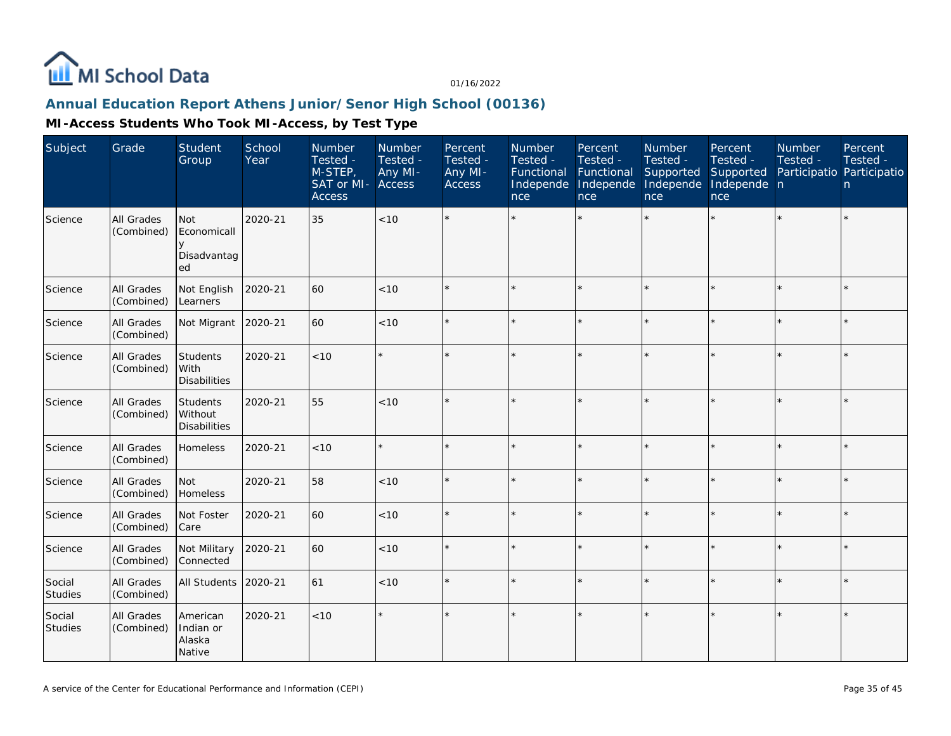

## **Annual Education Report Athens Junior/Senor High School (00136)**

| Subject                  | Grade                    | Student<br>Group                           | School<br>Year | Number<br>Tested -<br>M-STEP,<br>SAT or MI-<br><b>Access</b> | Number<br>Tested -<br>Any MI-<br>Access | Percent<br>Tested -<br>Any MI-<br>Access | Number<br>Tested -<br>Functional<br>Independe<br>nce | Percent<br>Tested -<br>Functional<br>Independe<br>nce | Number<br>Tested -<br>Supported<br>Independe<br>nce | Percent<br>Tested -<br>Supported<br>Independe n<br>nce | Number<br>Tested - | Percent<br>Tested -<br>Participatio Participatio<br>n. |
|--------------------------|--------------------------|--------------------------------------------|----------------|--------------------------------------------------------------|-----------------------------------------|------------------------------------------|------------------------------------------------------|-------------------------------------------------------|-----------------------------------------------------|--------------------------------------------------------|--------------------|--------------------------------------------------------|
| Science                  | All Grades<br>(Combined) | Not<br>Economicall<br>Disadvantag<br>ed    | 2020-21        | 35                                                           | <10                                     |                                          |                                                      |                                                       |                                                     |                                                        |                    | $\star$                                                |
| Science                  | All Grades<br>(Combined) | Not English<br>Learners                    | 2020-21        | 60                                                           | < 10                                    |                                          |                                                      |                                                       |                                                     |                                                        |                    | $\star$                                                |
| Science                  | All Grades<br>(Combined) | Not Migrant                                | 2020-21        | 60                                                           | < 10                                    | $\Phi$                                   |                                                      |                                                       |                                                     |                                                        |                    | $\star$                                                |
| Science                  | All Grades<br>(Combined) | Students<br>With<br><b>Disabilities</b>    | 2020-21        | <10                                                          |                                         |                                          |                                                      |                                                       |                                                     |                                                        |                    | $\star$                                                |
| Science                  | All Grades<br>(Combined) | Students<br>Without<br><b>Disabilities</b> | 2020-21        | 55                                                           | < 10                                    |                                          |                                                      |                                                       | $\star$                                             |                                                        |                    | $\star$                                                |
| Science                  | All Grades<br>(Combined) | Homeless                                   | 2020-21        | < 10                                                         |                                         |                                          |                                                      |                                                       |                                                     |                                                        |                    | $\star$                                                |
| Science                  | All Grades<br>(Combined) | Not<br>Homeless                            | 2020-21        | 58                                                           | $<10$                                   |                                          |                                                      |                                                       |                                                     |                                                        |                    | $\star$                                                |
| Science                  | All Grades<br>(Combined) | Not Foster<br>Care                         | 2020-21        | 60                                                           | < 10                                    |                                          |                                                      |                                                       |                                                     |                                                        |                    | $\star$                                                |
| Science                  | All Grades<br>(Combined) | Not Military<br>Connected                  | 2020-21        | 60                                                           | < 10                                    |                                          |                                                      |                                                       |                                                     | $\star$                                                |                    | $\star$                                                |
| Social<br>Studies        | All Grades<br>(Combined) | All Students                               | 2020-21        | 61                                                           | $<10$                                   |                                          |                                                      |                                                       |                                                     |                                                        |                    | $\star$                                                |
| Social<br><b>Studies</b> | All Grades<br>(Combined) | American<br>Indian or<br>Alaska<br>Native  | 2020-21        | < 10                                                         |                                         |                                          |                                                      |                                                       |                                                     |                                                        |                    | $\star$                                                |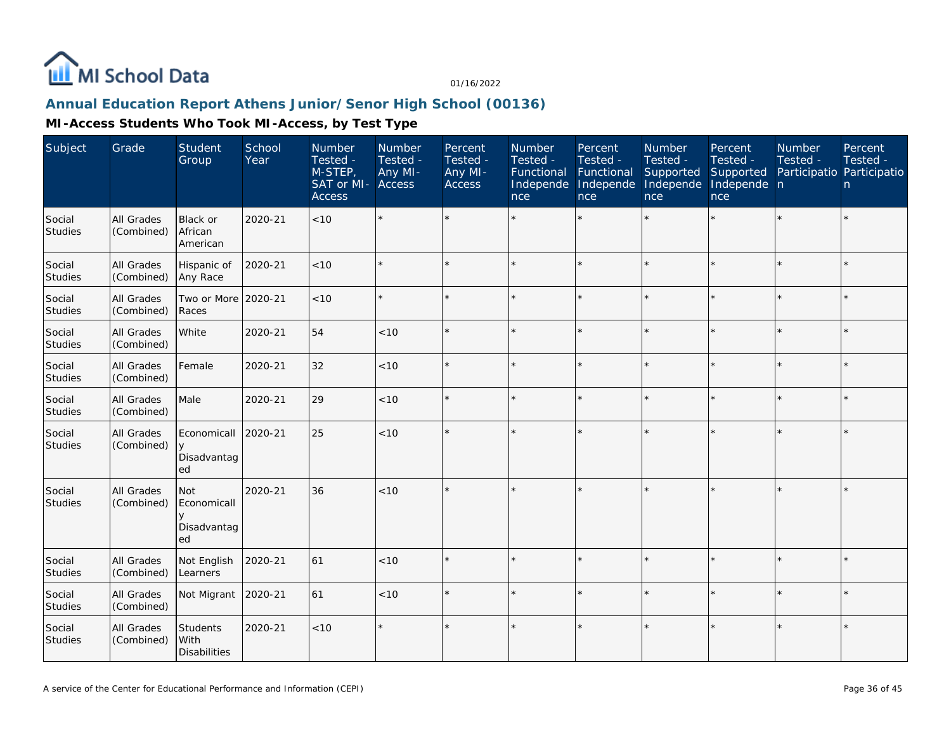

## **Annual Education Report Athens Junior/Senor High School (00136)**

| Subject                  | Grade                           | Student<br>Group                             | School<br>Year | Number<br>Tested -<br>M-STEP,<br>SAT or MI-<br><b>Access</b> | Number<br>Tested -<br>Any MI-<br>Access | Percent<br>Tested -<br>Any MI-<br>Access | Number<br>Tested -<br>Functional<br>Independe<br>nce | Percent<br>Tested -<br>Functional<br>Independe<br>nce | Number<br>Tested -<br>Supported<br>Independe<br>nce | Percent<br>Tested -<br>Supported<br>Independe n<br>nce | Number<br>Tested -<br>Participatio Participatio | Percent<br>Tested -<br>n |
|--------------------------|---------------------------------|----------------------------------------------|----------------|--------------------------------------------------------------|-----------------------------------------|------------------------------------------|------------------------------------------------------|-------------------------------------------------------|-----------------------------------------------------|--------------------------------------------------------|-------------------------------------------------|--------------------------|
| Social<br>Studies        | <b>All Grades</b><br>(Combined) | Black or<br>African<br>American              | 2020-21        | < 10                                                         |                                         |                                          |                                                      | $\star$                                               |                                                     | $\star$                                                |                                                 | $\star$                  |
| Social<br><b>Studies</b> | All Grades<br>(Combined)        | Hispanic of<br>Any Race                      | 2020-21        | < 10                                                         |                                         | $\star$                                  |                                                      | $\star$                                               |                                                     | $\star$                                                | $\star$                                         | $\star$                  |
| Social<br><b>Studies</b> | <b>All Grades</b><br>(Combined) | Two or More<br>Races                         | 2020-21        | < 10                                                         |                                         |                                          |                                                      | $\star$                                               |                                                     | ×                                                      |                                                 | $\star$                  |
| Social<br>Studies        | All Grades<br>(Combined)        | White                                        | 2020-21        | 54                                                           | < 10                                    |                                          |                                                      | $\star$                                               | ÷                                                   | ×.                                                     | $\star$                                         | $\star$                  |
| Social<br>Studies        | All Grades<br>(Combined)        | Female                                       | 2020-21        | 32                                                           | < 10                                    | $\Phi$                                   |                                                      | $\star$                                               |                                                     | ×                                                      |                                                 | $\star$                  |
| Social<br>Studies        | All Grades<br>(Combined)        | Male                                         | 2020-21        | 29                                                           | < 10                                    | $\star$                                  |                                                      | $\star$                                               | ÷                                                   | $\star$                                                | ×.                                              | $\star$                  |
| Social<br><b>Studies</b> | All Grades<br>(Combined)        | Economicall<br>y<br>Disadvantag<br>ed        | 2020-21        | 25                                                           | $<10$                                   | $\star$                                  |                                                      | $\star$                                               |                                                     | $\star$                                                | $\star$                                         | $\star$                  |
| Social<br>Studies        | All Grades<br>(Combined)        | Not<br>Economicall<br>У<br>Disadvantag<br>ed | 2020-21        | 36                                                           | < 10                                    | $\star$                                  |                                                      | $\star$                                               |                                                     |                                                        |                                                 | $\star$                  |
| Social<br>Studies        | All Grades<br>(Combined)        | Not English<br>Learners                      | 2020-21        | 61                                                           | $<10$                                   | $\star$                                  |                                                      | $\star$                                               |                                                     |                                                        |                                                 | $\star$                  |
| Social<br><b>Studies</b> | All Grades<br>(Combined)        | Not Migrant                                  | 2020-21        | 61                                                           | < 10                                    | $\Phi$                                   |                                                      | $\star$                                               |                                                     | ×                                                      | $\star$                                         | ÷.                       |
| Social<br><b>Studies</b> | All Grades<br>(Combined)        | Students<br>With<br><b>Disabilities</b>      | 2020-21        | < 10                                                         |                                         | $\star$                                  |                                                      | $\star$                                               |                                                     |                                                        | $\star$                                         | $\star$                  |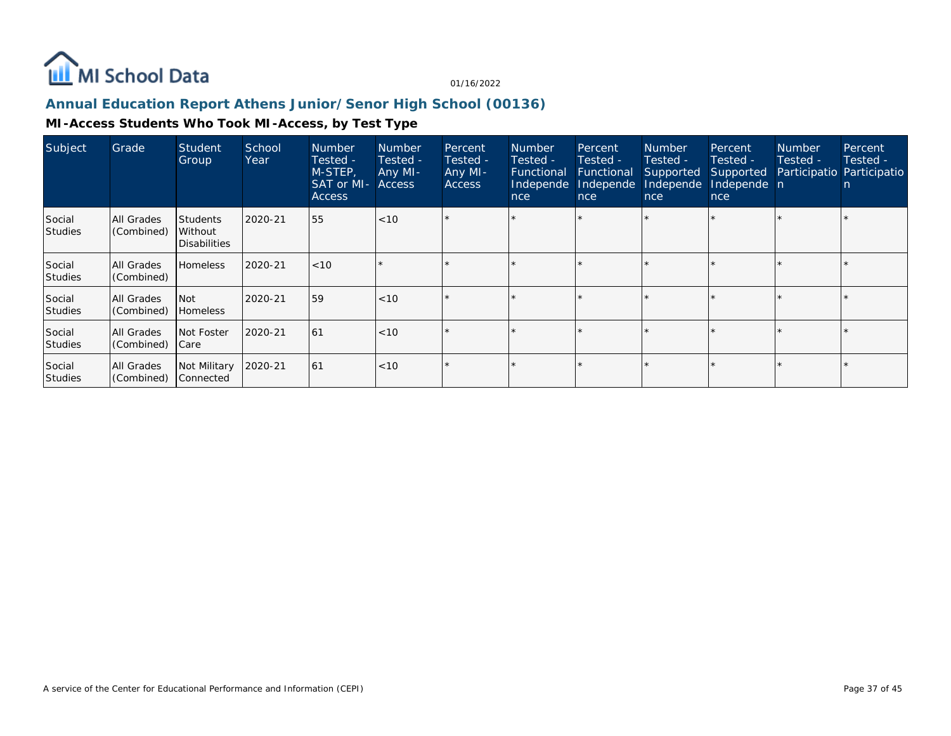

## **Annual Education Report Athens Junior/Senor High School (00136)**

| Subject                  | Grade                    | <b>Student</b><br>Group                           | School<br>Year | <b>Number</b><br>Tested -<br>M-STEP,<br><b>SAT or MI- Access</b><br><b>Access</b> | <b>Number</b><br>Tested -<br>Any MI- | Percent<br>Tested -<br>Any MI-<br><b>Access</b> | Number<br>Tested -<br>Functional<br>Independe<br>nce | Percent,<br>Tested -<br>Functional<br>Independe<br>nce | <b>Number</b><br>Tested -<br>Supported<br>Independe<br>nce | Percent<br>Tested -<br>Supported<br>Independe n<br>nce | <b>Number</b><br>Tested -<br>Participatio Participatio | Percent<br>Tested -<br>n |
|--------------------------|--------------------------|---------------------------------------------------|----------------|-----------------------------------------------------------------------------------|--------------------------------------|-------------------------------------------------|------------------------------------------------------|--------------------------------------------------------|------------------------------------------------------------|--------------------------------------------------------|--------------------------------------------------------|--------------------------|
| Social<br><b>Studies</b> | All Grades<br>(Combined) | <b>Students</b><br>Without<br><b>Disabilities</b> | 2020-21        | 55                                                                                | < 10                                 |                                                 |                                                      |                                                        |                                                            |                                                        |                                                        |                          |
| Social<br><b>Studies</b> | All Grades<br>(Combined) | <b>Homeless</b>                                   | 2020-21        | $ $ < 10                                                                          |                                      |                                                 |                                                      | $\star$                                                |                                                            |                                                        |                                                        |                          |
| Social<br><b>Studies</b> | All Grades<br>(Combined) | l Not<br>Homeless                                 | 2020-21        | 59                                                                                | < 10                                 |                                                 |                                                      |                                                        |                                                            |                                                        |                                                        |                          |
| Social<br><b>Studies</b> | All Grades<br>(Combined) | Not Foster<br>  Care                              | 2020-21        | 61                                                                                | < 10                                 |                                                 |                                                      | $\star$                                                |                                                            |                                                        |                                                        |                          |
| Social<br><b>Studies</b> | All Grades<br>(Combined) | Not Military<br>Connected                         | 2020-21        | 61                                                                                | < 10                                 |                                                 |                                                      | $\star$                                                |                                                            |                                                        |                                                        |                          |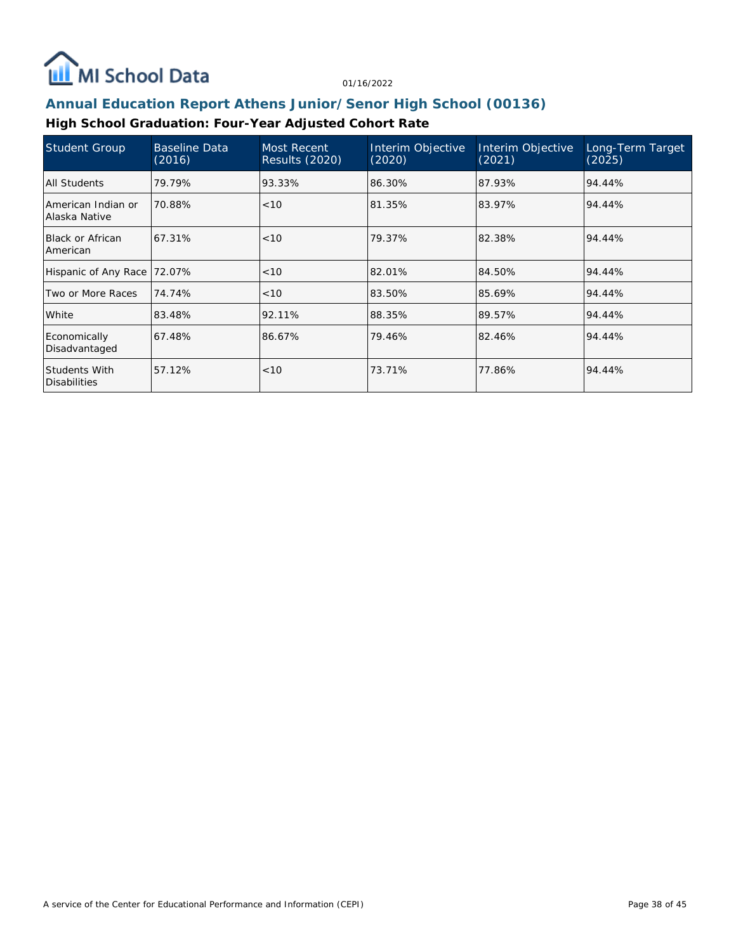

# **Annual Education Report Athens Junior/Senor High School (00136)**

## **High School Graduation: Four-Year Adjusted Cohort Rate**

| Student Group                        | <b>Baseline Data</b><br>(2016) | Most Recent<br><b>Results (2020)</b> | Interim Objective<br>(2020) | Interim Objective<br>(2021) | Long-Term Target<br>(2025) |
|--------------------------------------|--------------------------------|--------------------------------------|-----------------------------|-----------------------------|----------------------------|
| All Students                         | 79.79%                         | 93.33%                               | 86.30%                      | 87.93%                      | 94.44%                     |
| American Indian or<br>Alaska Native  | 70.88%                         | < 10                                 | 81.35%                      | 83.97%                      | 94.44%                     |
| <b>Black or African</b><br>American  | 67.31%                         | < 10                                 | 79.37%                      | 82.38%                      | 94.44%                     |
| Hispanic of Any Race                 | 72.07%                         | < 10                                 | 82.01%                      | 84.50%                      | 94.44%                     |
| Two or More Races                    | 74.74%                         | < 10                                 | 83.50%                      | 85.69%                      | 94.44%                     |
| White                                | 83.48%                         | 92.11%                               | 88.35%                      | 89.57%                      | 94.44%                     |
| Economically<br>Disadvantaged        | 67.48%                         | 86.67%                               | 79.46%                      | 82.46%                      | 94.44%                     |
| Students With<br><b>Disabilities</b> | 57.12%                         | < 10                                 | 73.71%                      | 77.86%                      | 94.44%                     |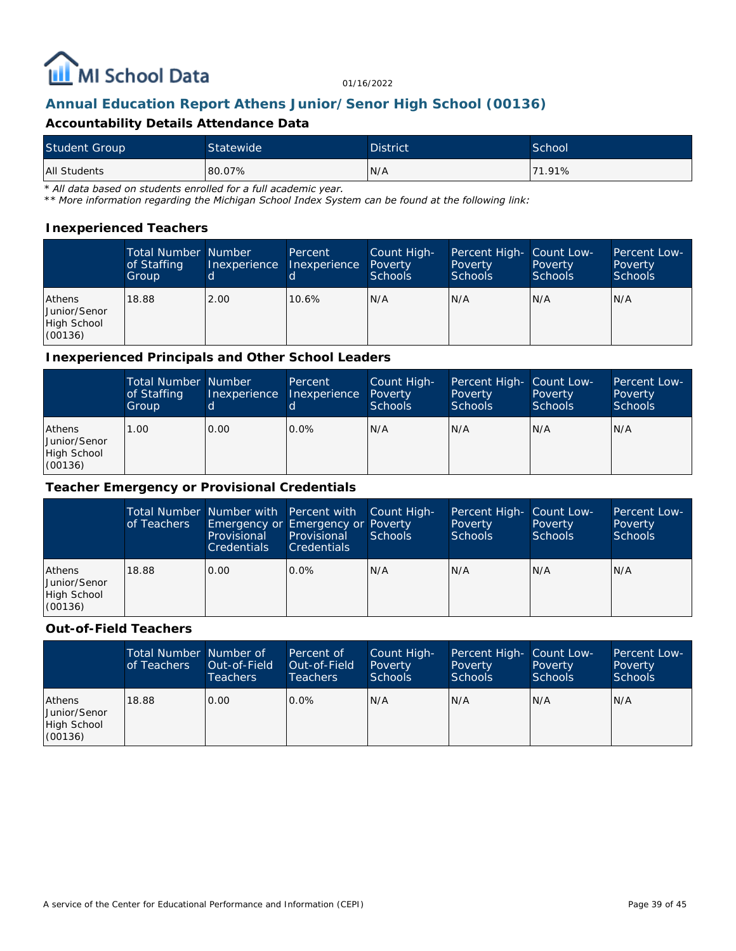

# **Annual Education Report Athens Junior/Senor High School (00136)**

### **Accountability Details Attendance Data**

| <b>Student Group</b> | Statewide <sup>1</sup> | <b>District</b> | School <sup>1</sup> |
|----------------------|------------------------|-----------------|---------------------|
| <b>All Students</b>  | 80.07%                 | N/A             | 71.91%              |

*\* All data based on students enrolled for a full academic year.*

*\*\* More information regarding the Michigan School Index System can be found at the following link:*

#### **Inexperienced Teachers**

|                                                         | <b>Total Number Number</b><br>of Staffing<br>Group | Inexperience | Percent<br>Inexperience | Count High-<br>Poverty<br><b>Schools</b> | Percent High- Count Low-<br>Poverty<br><b>Schools</b> | Poverty<br><b>Schools</b> | Percent Low-<br>Poverty<br>Schools |
|---------------------------------------------------------|----------------------------------------------------|--------------|-------------------------|------------------------------------------|-------------------------------------------------------|---------------------------|------------------------------------|
| <b>Athens</b><br>Junior/Senor<br>High School<br>(00136) | 18.88                                              | 2.00         | 10.6%                   | IN/A                                     | N/A                                                   | N/A                       | IN/A                               |

#### **Inexperienced Principals and Other School Leaders**

|                                                         | Total Number Number<br>of Staffing<br>Group | Inexperience<br>Id. | Percent<br>Inexperience | Count High-<br>Poverty<br><b>Schools</b> | Percent High- Count Low-<br>Poverty<br><b>Schools</b> | Poverty<br><b>Schools</b> | Percent Low-<br>Poverty<br><b>Schools</b> |
|---------------------------------------------------------|---------------------------------------------|---------------------|-------------------------|------------------------------------------|-------------------------------------------------------|---------------------------|-------------------------------------------|
| <b>Athens</b><br>Junior/Senor<br>High School<br>(00136) | .00                                         | 0.00                | $0.0\%$                 | N/A                                      | N/A                                                   | N/A                       | IN/A                                      |

#### **Teacher Emergency or Provisional Credentials**

|                                                  | of Teachers | Total Number Number with Percent with Count High-<br>Emergency or Emergency or Poverty<br>Provisional<br><b>Credentials</b> | Provisional<br><b>Credentials</b> | Schools | Percent High- Count Low-<br>Poverty<br><b>Schools</b> | Poverty<br><b>Schools</b> | Percent Low-<br>Poverty<br><b>Schools</b> |
|--------------------------------------------------|-------------|-----------------------------------------------------------------------------------------------------------------------------|-----------------------------------|---------|-------------------------------------------------------|---------------------------|-------------------------------------------|
| Athens<br>Junior/Senor<br>High School<br>(00136) | 18.88       | 0.00                                                                                                                        | $0.0\%$                           | N/A     | N/A                                                   | N/A                       | N/A                                       |

#### **Out-of-Field Teachers**

|                                                         | Total Number Number of<br>of Teachers | Out-of-Field<br><b>Teachers</b> | Percent of<br>Out-of-Field<br>Teachers | Count High-<br>Poverty<br>Schools | Percent High- Count Low-<br>Poverty<br>Schools | Poverty<br><b>Schools</b> | Percent Low-<br>Poverty<br><b>Schools</b> |
|---------------------------------------------------------|---------------------------------------|---------------------------------|----------------------------------------|-----------------------------------|------------------------------------------------|---------------------------|-------------------------------------------|
| <b>Athens</b><br>Junior/Senor<br>High School<br>(00136) | 18.88                                 | 0.00                            | $0.0\%$                                | N/A                               | IN/A                                           | IN/A                      | N/A                                       |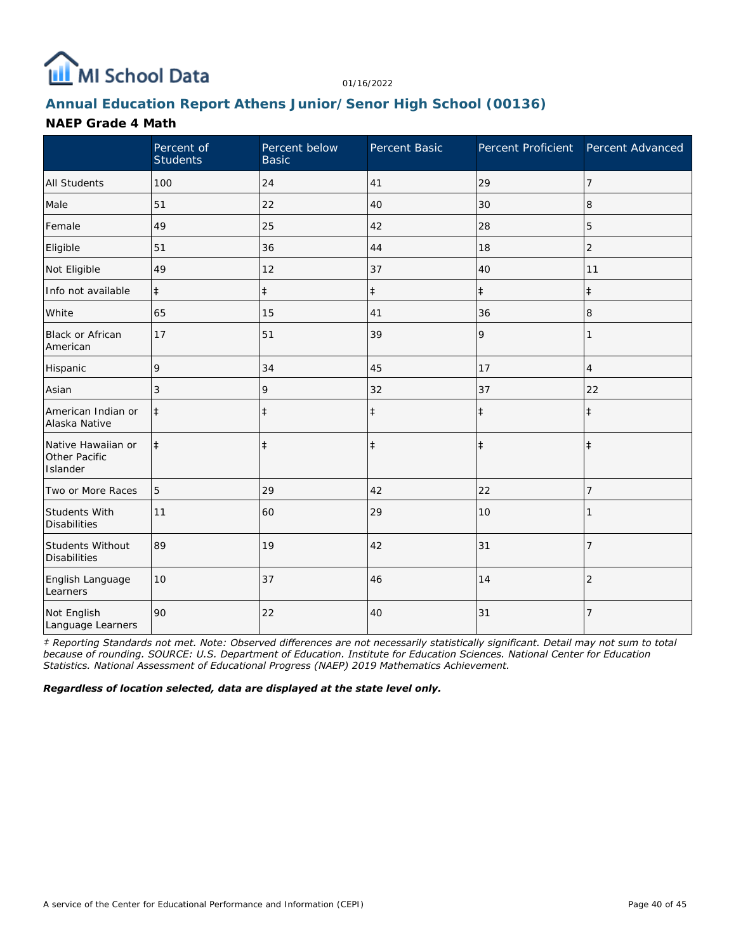

# **Annual Education Report Athens Junior/Senor High School (00136)**

### **NAEP Grade 4 Math**

|                                                 | Percent of<br><b>Students</b> | Percent below<br><b>Basic</b> | Percent Basic | Percent Proficient Percent Advanced |                |
|-------------------------------------------------|-------------------------------|-------------------------------|---------------|-------------------------------------|----------------|
| <b>All Students</b>                             | 100                           | 24                            | 41            | 29                                  | 7              |
| Male                                            | 51                            | 22                            | 40            | 30                                  | 8              |
| Female                                          | 49                            | 25                            | 42            | 28                                  | 5              |
| Eligible                                        | 51                            | 36                            | 44            | 18                                  | $\overline{2}$ |
| Not Eligible                                    | 49                            | 12                            | 37            | 40                                  | 11             |
| Info not available                              | $\ddagger$                    | $\ddagger$                    | $\ddagger$    | $\ddagger$                          | $\ddagger$     |
| White                                           | 65                            | 15                            | 41            | 36                                  | 8              |
| <b>Black or African</b><br>American             | 17                            | 51                            | 39            | 9                                   | 1              |
| Hispanic                                        | 9                             | 34                            | 45            | 17                                  | 4              |
| Asian                                           | 3                             | 9                             | 32            | 37                                  | 22             |
| American Indian or<br>Alaska Native             | $\ddagger$                    | $\ddagger$                    | $\ddagger$    | $\ddagger$                          | $\ddagger$     |
| Native Hawaiian or<br>Other Pacific<br>Islander | $\ddagger$                    | $\ddagger$                    | $\ddagger$    | $\ddagger$                          | $\ddagger$     |
| Two or More Races                               | 5                             | 29                            | 42            | 22                                  | 7              |
| Students With<br><b>Disabilities</b>            | 11                            | 60                            | 29            | 10                                  |                |
| Students Without<br><b>Disabilities</b>         | 89                            | 19                            | 42            | 31                                  | $\overline{7}$ |
| English Language<br>Learners                    | 10                            | 37                            | 46            | 14                                  | $\overline{2}$ |
| Not English<br>Language Learners                | 90                            | 22                            | 40            | 31                                  | $\overline{7}$ |

*‡ Reporting Standards not met. Note: Observed differences are not necessarily statistically significant. Detail may not sum to total because of rounding. SOURCE: U.S. Department of Education. Institute for Education Sciences. National Center for Education Statistics. National Assessment of Educational Progress (NAEP) 2019 Mathematics Achievement.*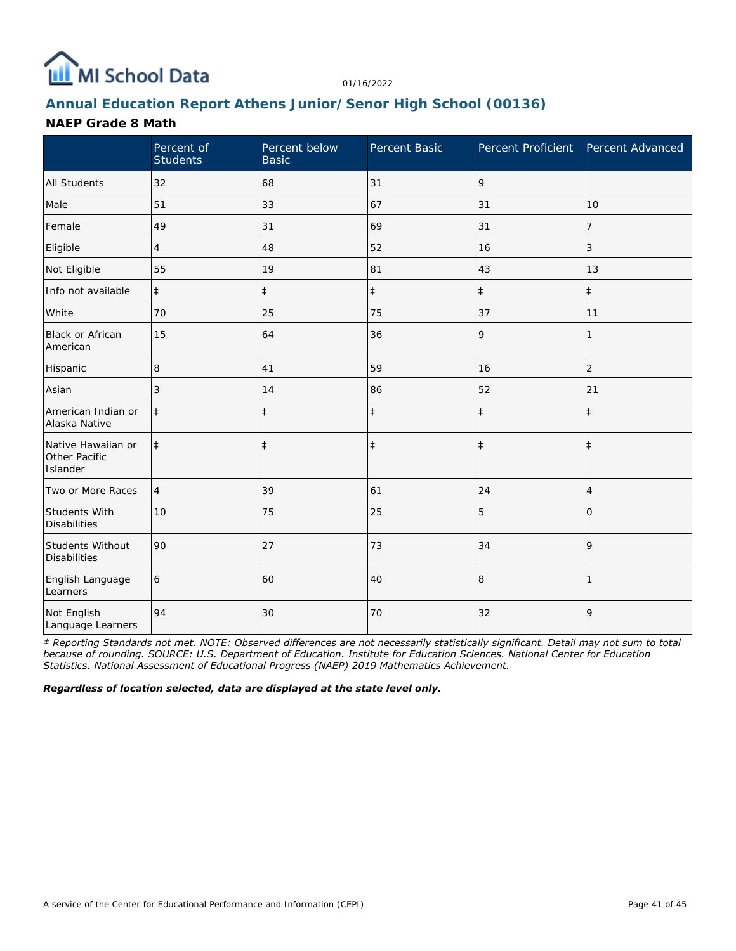

# **Annual Education Report Athens Junior/Senor High School (00136)**

### **NAEP Grade 8 Math**

|                                                 | Percent of<br><b>Students</b> | Percent below<br><b>Basic</b> | Percent Basic | Percent Proficient | Percent Advanced |
|-------------------------------------------------|-------------------------------|-------------------------------|---------------|--------------------|------------------|
| <b>All Students</b>                             | 32                            | 68                            | 31            | 9                  |                  |
| Male                                            | 51                            | 33                            | 67            | 31                 | 10               |
| Female                                          | 49                            | 31                            | 69            | 31                 | 7                |
| Eligible                                        | $\overline{4}$                | 48                            | 52            | 16                 | 3                |
| Not Eligible                                    | 55                            | 19                            | 81            | 43                 | 13               |
| Info not available                              | $\ddagger$                    | $\ddagger$                    | $\ddagger$    | $\ddagger$         | $\ddagger$       |
| White                                           | 70                            | 25                            | 75            | 37                 | 11               |
| <b>Black or African</b><br>American             | 15                            | 64                            | 36            | 9                  | 1                |
| Hispanic                                        | 8                             | 41                            | 59            | 16                 | $\overline{2}$   |
| Asian                                           | 3                             | 14                            | 86            | 52                 | 21               |
| American Indian or<br>Alaska Native             | $\ddagger$                    | $\ddagger$                    | $\ddagger$    | $\ddagger$         | $\ddagger$       |
| Native Hawaiian or<br>Other Pacific<br>Islander | $\ddagger$                    | $\ddagger$                    | $\ddagger$    | $\ddagger$         | $\ddagger$       |
| Two or More Races                               | $\overline{4}$                | 39                            | 61            | 24                 | $\overline{4}$   |
| Students With<br><b>Disabilities</b>            | 10                            | 75                            | 25            | 5                  | 0                |
| Students Without<br><b>Disabilities</b>         | 90                            | 27                            | 73            | 34                 | 9                |
| English Language<br>Learners                    | 6                             | 60                            | 40            | 8                  |                  |
| Not English<br>Language Learners                | 94                            | 30                            | 70            | 32                 | 9                |

*‡ Reporting Standards not met. NOTE: Observed differences are not necessarily statistically significant. Detail may not sum to total because of rounding. SOURCE: U.S. Department of Education. Institute for Education Sciences. National Center for Education Statistics. National Assessment of Educational Progress (NAEP) 2019 Mathematics Achievement.*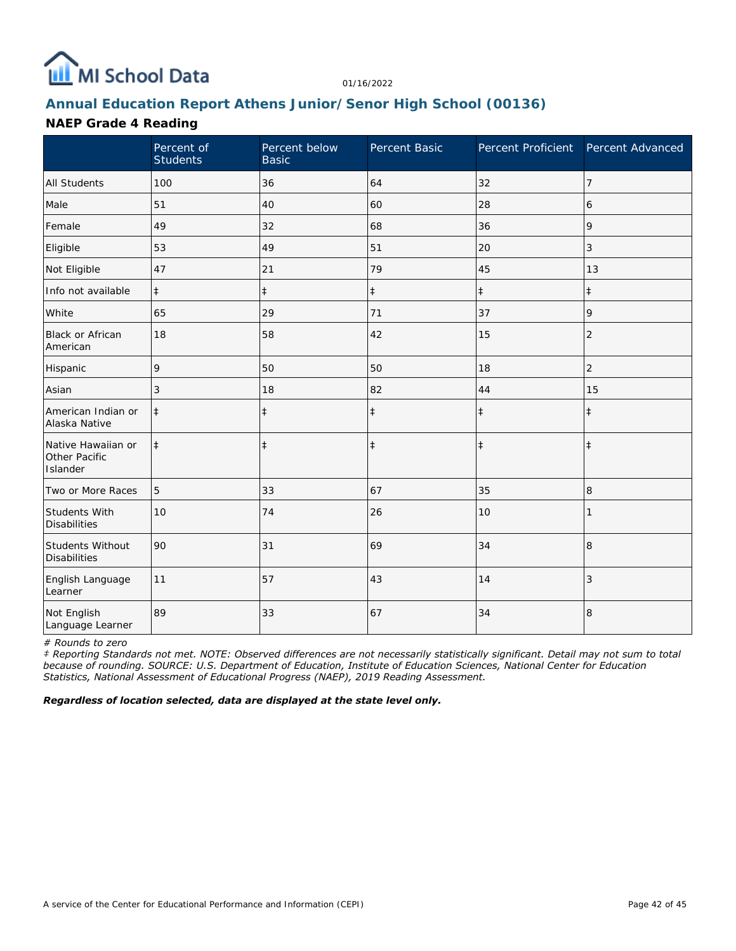

# **Annual Education Report Athens Junior/Senor High School (00136)**

## **NAEP Grade 4 Reading**

|                                                 | Percent of<br><b>Students</b> | Percent below<br><b>Basic</b> | Percent Basic | Percent Proficient | Percent Advanced |
|-------------------------------------------------|-------------------------------|-------------------------------|---------------|--------------------|------------------|
| <b>All Students</b>                             | 100                           | 36                            | 64            | 32                 | 7                |
| Male                                            | 51                            | 40                            | 60            | 28                 | 6                |
| Female                                          | 49                            | 32                            | 68            | 36                 | 9                |
| Eligible                                        | 53                            | 49                            | 51            | 20                 | 3                |
| Not Eligible                                    | 47                            | 21                            | 79            | 45                 | 13               |
| Info not available                              | $\ddagger$                    | $\ddagger$                    | $\ddagger$    | $\ddagger$         | $\ddagger$       |
| White                                           | 65                            | 29                            | 71            | 37                 | 9                |
| Black or African<br>American                    | 18                            | 58                            | 42            | 15                 | $\overline{2}$   |
| Hispanic                                        | 9                             | 50                            | 50            | 18                 | $\overline{c}$   |
| Asian                                           | 3                             | 18                            | 82            | 44                 | 15               |
| American Indian or<br>Alaska Native             | $\ddagger$                    | $\ddagger$                    | $\ddagger$    | $\ddagger$         | $\ddagger$       |
| Native Hawaiian or<br>Other Pacific<br>Islander | $\ddagger$                    | $\ddagger$                    | $\ddagger$    | $\ddagger$         | $\ddagger$       |
| Two or More Races                               | 5                             | 33                            | 67            | 35                 | 8                |
| <b>Students With</b><br><b>Disabilities</b>     | 10                            | 74                            | 26            | 10                 |                  |
| Students Without<br><b>Disabilities</b>         | 90                            | 31                            | 69            | 34                 | 8                |
| English Language<br>Learner                     | 11                            | 57                            | 43            | 14                 | 3                |
| Not English<br>Language Learner                 | 89                            | 33                            | 67            | 34                 | 8                |

*# Rounds to zero*

*‡ Reporting Standards not met. NOTE: Observed differences are not necessarily statistically significant. Detail may not sum to total because of rounding. SOURCE: U.S. Department of Education, Institute of Education Sciences, National Center for Education Statistics, National Assessment of Educational Progress (NAEP), 2019 Reading Assessment.*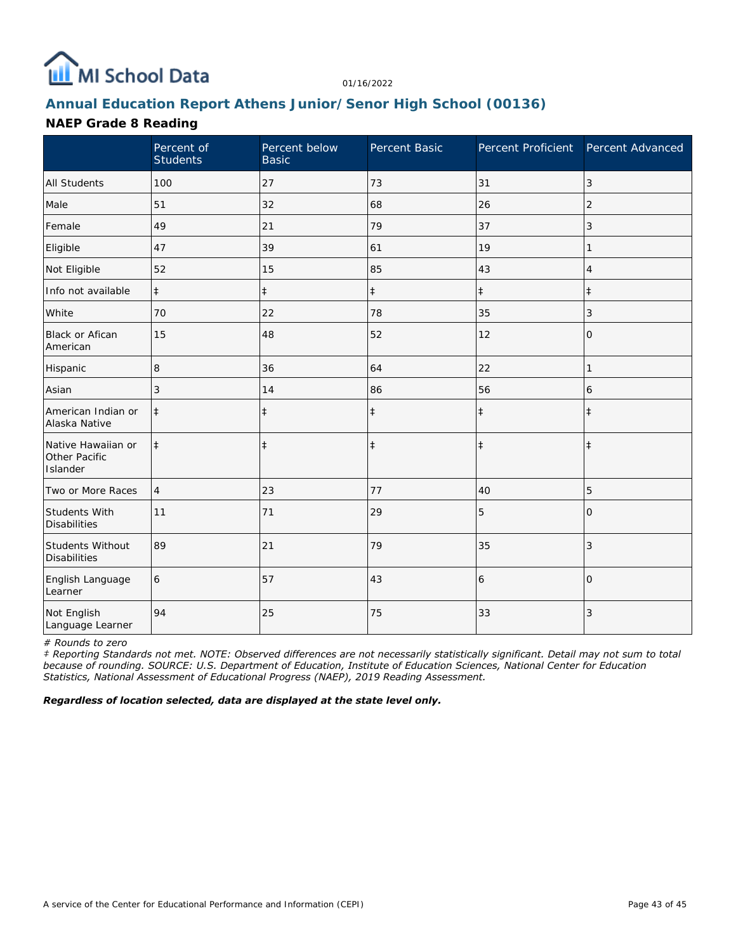

# **Annual Education Report Athens Junior/Senor High School (00136)**

## **NAEP Grade 8 Reading**

|                                                 | Percent of<br><b>Students</b> | Percent below<br><b>Basic</b> | Percent Basic | Percent Proficient | Percent Advanced |
|-------------------------------------------------|-------------------------------|-------------------------------|---------------|--------------------|------------------|
| <b>All Students</b>                             | 100                           | 27                            | 73            | 31                 | 3                |
| Male                                            | 51                            | 32                            | 68            | 26                 | $\overline{2}$   |
| Female                                          | 49                            | 21                            | 79            | 37                 | 3                |
| Eligible                                        | 47                            | 39                            | 61            | 19                 |                  |
| Not Eligible                                    | 52                            | 15                            | 85            | 43                 | $\overline{4}$   |
| Info not available                              | $\ddagger$                    | $\ddagger$                    | $\ddagger$    | $\ddagger$         | $\ddagger$       |
| White                                           | 70                            | 22                            | 78            | 35                 | 3                |
| Black or Afican<br>American                     | 15                            | 48                            | 52            | 12                 | 0                |
| Hispanic                                        | 8                             | 36                            | 64            | 22                 | 1                |
| Asian                                           | 3                             | 14                            | 86            | 56                 | 6                |
| American Indian or<br>Alaska Native             | $\ddagger$                    | $\ddagger$                    | $\ddagger$    | $\ddagger$         | $\ddagger$       |
| Native Hawaiian or<br>Other Pacific<br>Islander | $\ddagger$                    | $\ddagger$                    | $\ddagger$    | $\ddagger$         | $\ddagger$       |
| Two or More Races                               | $\overline{4}$                | 23                            | 77            | 40                 | 5                |
| <b>Students With</b><br><b>Disabilities</b>     | 11                            | 71                            | 29            | 5                  | $\Omega$         |
| Students Without<br><b>Disabilities</b>         | 89                            | 21                            | 79            | 35                 | 3                |
| English Language<br>Learner                     | 6                             | 57                            | 43            | 6                  | $\Omega$         |
| Not English<br>Language Learner                 | 94                            | 25                            | 75            | 33                 | 3                |

*# Rounds to zero*

*‡ Reporting Standards not met. NOTE: Observed differences are not necessarily statistically significant. Detail may not sum to total because of rounding. SOURCE: U.S. Department of Education, Institute of Education Sciences, National Center for Education Statistics, National Assessment of Educational Progress (NAEP), 2019 Reading Assessment.*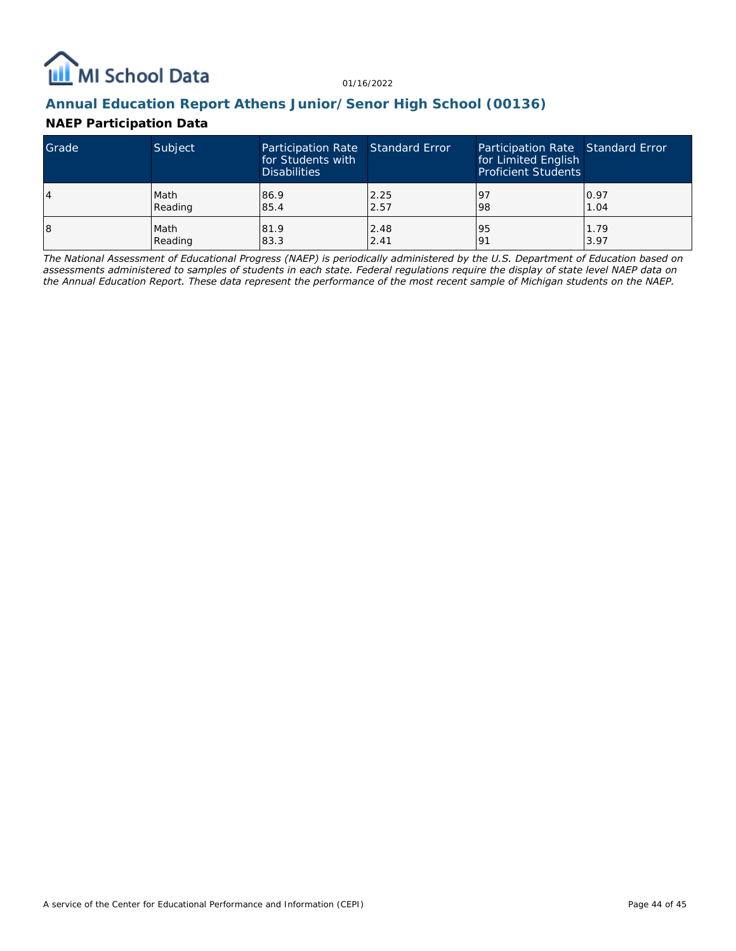

## **Annual Education Report Athens Junior/Senor High School (00136)**

## **NAEP Participation Data**

| Grade | Subject | Participation Rate Standard Error<br>for Students with<br><b>Disabilities</b> |      | Participation Rate Standard Error<br>for Limited English<br><b>Proficient Students</b> |      |
|-------|---------|-------------------------------------------------------------------------------|------|----------------------------------------------------------------------------------------|------|
| 4     | Math    | 86.9                                                                          | 2.25 | 197                                                                                    | 0.97 |
|       | Reading | 85.4                                                                          | 2.57 | 98                                                                                     | 1.04 |
| 18    | Math    | 81.9                                                                          | 2.48 | 95                                                                                     | 1.79 |
|       | Reading | 83.3                                                                          | 2.41 | <u>o</u>                                                                               | 3.97 |

*The National Assessment of Educational Progress (NAEP) is periodically administered by the U.S. Department of Education based on assessments administered to samples of students in each state. Federal regulations require the display of state level NAEP data on the Annual Education Report. These data represent the performance of the most recent sample of Michigan students on the NAEP.*